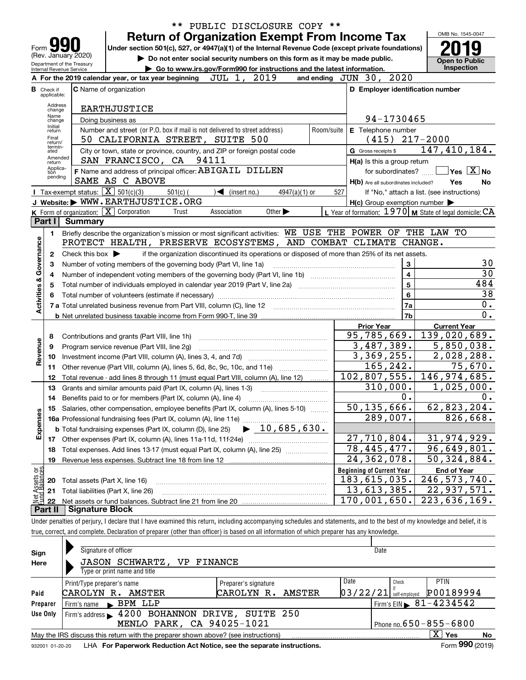|                                |                   |                          |                                                                                                 | PUBLIC DISCLOSURE COPY **<br>* *                                                                                                                                           |                                                           |         |                                            |  |  |  |
|--------------------------------|-------------------|--------------------------|-------------------------------------------------------------------------------------------------|----------------------------------------------------------------------------------------------------------------------------------------------------------------------------|-----------------------------------------------------------|---------|--------------------------------------------|--|--|--|
|                                |                   |                          |                                                                                                 | <b>Return of Organization Exempt From Income Tax</b>                                                                                                                       |                                                           |         | OMB No. 1545-0047                          |  |  |  |
| Form                           |                   |                          |                                                                                                 | Under section 501(c), 527, or 4947(a)(1) of the Internal Revenue Code (except private foundations)                                                                         |                                                           |         |                                            |  |  |  |
|                                |                   |                          | (Rev. January 2020)                                                                             | Do not enter social security numbers on this form as it may be made public.                                                                                                |                                                           |         | <b>Open to Public</b>                      |  |  |  |
|                                |                   | Internal Revenue Service | Department of the Treasury                                                                      | Go to www.irs.gov/Form990 for instructions and the latest information.                                                                                                     |                                                           |         | Inspection                                 |  |  |  |
|                                |                   |                          |                                                                                                 | A For the 2019 calendar year, or tax year beginning $JUL$ 1, $2019$                                                                                                        | and ending JUN 30, 2020                                   |         |                                            |  |  |  |
|                                | <b>B</b> Check if | applicable:              |                                                                                                 | C Name of organization                                                                                                                                                     | D Employer identification number                          |         |                                            |  |  |  |
|                                | Address           |                          |                                                                                                 |                                                                                                                                                                            |                                                           |         |                                            |  |  |  |
|                                |                   | change<br>Name           |                                                                                                 | <b>EARTHJUSTICE</b>                                                                                                                                                        |                                                           |         |                                            |  |  |  |
|                                |                   | change<br>Initial        | Doing business as<br>Number and street (or P.O. box if mail is not delivered to street address) | 94-1730465<br>Room/suite<br>E Telephone number                                                                                                                             |                                                           |         |                                            |  |  |  |
|                                | return<br>Final   |                          |                                                                                                 |                                                                                                                                                                            |                                                           |         |                                            |  |  |  |
|                                |                   | return/<br>termin-       |                                                                                                 | 50 CALIFORNIA STREET, SUITE 500                                                                                                                                            | $(415)$ 217-2000                                          |         | 147,410,184.                               |  |  |  |
|                                |                   | ated<br>Amended          |                                                                                                 | City or town, state or province, country, and ZIP or foreign postal code<br>SAN FRANCISCO, CA 94111                                                                        | G Gross receipts \$                                       |         |                                            |  |  |  |
|                                |                   | return<br>Applica-       |                                                                                                 | F Name and address of principal officer: ABIGAIL DILLEN                                                                                                                    | H(a) Is this a group return<br>for subordinates?          |         | $\sqrt{}$ Yes $\sqrt{}$ X $\sqrt{}$ No     |  |  |  |
|                                | tion              | pending                  |                                                                                                 | SAME AS C ABOVE                                                                                                                                                            | H(b) Are all subordinates included?                       |         | Yes<br>No                                  |  |  |  |
|                                |                   |                          |                                                                                                 | <b>I</b> Tax-exempt status: $\boxed{\mathbf{X}}$ 501(c)(3)<br>$\sqrt{\phantom{a}}$ (insert no.)<br>$501(c)$ (<br>$4947(a)(1)$ or                                           | 527                                                       |         | If "No," attach a list. (see instructions) |  |  |  |
|                                |                   |                          |                                                                                                 | J Website: WWW.EARTHJUSTICE.ORG                                                                                                                                            | $H(c)$ Group exemption number $\blacktriangleright$       |         |                                            |  |  |  |
|                                |                   |                          |                                                                                                 | K Form of organization: $\boxed{\mathbf{X}}$ Corporation<br>Other $\blacktriangleright$<br>Trust<br>Association                                                            | L Year of formation: 1970   M State of legal domicile: CA |         |                                            |  |  |  |
|                                | Part I            |                          | <b>Summary</b>                                                                                  |                                                                                                                                                                            |                                                           |         |                                            |  |  |  |
|                                | 1                 |                          |                                                                                                 | Briefly describe the organization's mission or most significant activities: WE USE THE POWER OF THE LAW TO                                                                 |                                                           |         |                                            |  |  |  |
|                                |                   |                          |                                                                                                 | PROTECT HEALTH, PRESERVE ECOSYSTEMS, AND COMBAT                                                                                                                            | CLIMATE                                                   | CHANGE. |                                            |  |  |  |
| Governance                     | 2                 |                          | Check this box $\blacktriangleright$                                                            | if the organization discontinued its operations or disposed of more than 25% of its net assets.                                                                            |                                                           |         |                                            |  |  |  |
|                                | 3                 |                          |                                                                                                 | Number of voting members of the governing body (Part VI, line 1a)                                                                                                          | 3                                                         |         | 30                                         |  |  |  |
|                                | 4                 |                          |                                                                                                 |                                                                                                                                                                            | $\overline{\mathbf{4}}$                                   |         | $\overline{30}$                            |  |  |  |
|                                | 5                 |                          |                                                                                                 | Total number of individuals employed in calendar year 2019 (Part V, line 2a) manufacture of individuals employed in calendar year 2019 (Part V, line 2a)                   | $\overline{\mathbf{5}}$                                   |         | 484                                        |  |  |  |
|                                | 6                 |                          |                                                                                                 |                                                                                                                                                                            | 6                                                         |         | 38                                         |  |  |  |
| <b>Activities &amp;</b>        |                   |                          |                                                                                                 |                                                                                                                                                                            | 7a                                                        |         | 0.                                         |  |  |  |
|                                |                   |                          |                                                                                                 |                                                                                                                                                                            | 7 <sub>b</sub>                                            |         | $\overline{0}$ .                           |  |  |  |
|                                |                   |                          |                                                                                                 |                                                                                                                                                                            | <b>Prior Year</b>                                         |         | <b>Current Year</b>                        |  |  |  |
|                                | 8                 |                          |                                                                                                 | Contributions and grants (Part VIII, line 1h)                                                                                                                              | $\overline{95}$ , 785, 669.                               |         | 139,020,689.                               |  |  |  |
| Revenue                        | 9                 |                          |                                                                                                 | Program service revenue (Part VIII, line 2g)                                                                                                                               | 3,487,389.                                                |         | $\overline{5}$ , 850, 038.                 |  |  |  |
|                                | 10                |                          |                                                                                                 |                                                                                                                                                                            | 3,369,255.<br>165,242.                                    |         | 2,028,288.<br>75,670.                      |  |  |  |
|                                | 11                |                          |                                                                                                 | Other revenue (Part VIII, column (A), lines 5, 6d, 8c, 9c, 10c, and 11e) <i>mummumm</i>                                                                                    | 102,807,555.                                              |         | 146,974,685.                               |  |  |  |
|                                | 12                |                          |                                                                                                 | Total revenue - add lines 8 through 11 (must equal Part VIII, column (A), line 12)                                                                                         | 310,000.                                                  |         | 1,025,000.                                 |  |  |  |
|                                | 13<br>14          |                          |                                                                                                 | Grants and similar amounts paid (Part IX, column (A), lines 1-3)<br>Benefits paid to or for members (Part IX, column (A), line 4)                                          | 0.                                                        |         | 0.                                         |  |  |  |
|                                | 15                |                          |                                                                                                 | Salaries, other compensation, employee benefits (Part IX, column (A), lines 5-10)                                                                                          | 50, 135, 666.                                             |         | 62,823,204.                                |  |  |  |
|                                |                   |                          |                                                                                                 |                                                                                                                                                                            | 289,007.                                                  |         | 826,668.                                   |  |  |  |
|                                | Expenses          |                          |                                                                                                 | $\blacktriangleright$ 10,685,630.<br><b>b</b> Total fundraising expenses (Part IX, column (D), line 25)                                                                    |                                                           |         |                                            |  |  |  |
|                                |                   |                          |                                                                                                 | 17 Other expenses (Part IX, column (A), lines 11a-11d, 11f-24e)                                                                                                            | 27,710,804.                                               |         | 31,974,929.                                |  |  |  |
|                                | 18                |                          |                                                                                                 | Total expenses. Add lines 13-17 (must equal Part IX, column (A), line 25) [                                                                                                | $\overline{78}$ , 445, 477.                               |         | 96,649,801.                                |  |  |  |
|                                | 19                |                          |                                                                                                 | Revenue less expenses. Subtract line 18 from line 12                                                                                                                       | $\overline{24}$ , 362, 078.                               |         | 50,324,884.                                |  |  |  |
|                                |                   |                          |                                                                                                 |                                                                                                                                                                            | <b>Beginning of Current Year</b>                          |         | <b>End of Year</b>                         |  |  |  |
|                                | 20                |                          |                                                                                                 | Total assets (Part X, line 16)                                                                                                                                             | 183,615,035.                                              |         | 246, 573, 740.                             |  |  |  |
| Net Assets or<br>Fund Balances | 21                |                          |                                                                                                 | Total liabilities (Part X, line 26)                                                                                                                                        | 13,613,385.                                               |         | 22,937,571.                                |  |  |  |
|                                | 22                |                          |                                                                                                 |                                                                                                                                                                            | 170,001,650.                                              |         | $\overline{22}3,636,169.$                  |  |  |  |
|                                | <b>Part II</b>    |                          | <b>Signature Block</b>                                                                          |                                                                                                                                                                            |                                                           |         |                                            |  |  |  |
|                                |                   |                          |                                                                                                 | Under penalties of perjury, I declare that I have examined this return, including accompanying schedules and statements, and to the best of my knowledge and belief, it is |                                                           |         |                                            |  |  |  |
|                                |                   |                          |                                                                                                 | true, correct, and complete. Declaration of preparer (other than officer) is based on all information of which preparer has any knowledge.                                 |                                                           |         |                                            |  |  |  |

| Sign     | Signature of officer<br>Date                                                                                 |                            |              |                              |        |  |  |                                                                                   |  |        |          |  |               |                                            |    |
|----------|--------------------------------------------------------------------------------------------------------------|----------------------------|--------------|------------------------------|--------|--|--|-----------------------------------------------------------------------------------|--|--------|----------|--|---------------|--------------------------------------------|----|
| Here     | <b>JASON SCHWARTZ, VP FINANCE</b>                                                                            |                            |              |                              |        |  |  |                                                                                   |  |        |          |  |               |                                            |    |
|          |                                                                                                              |                            |              | Type or print name and title |        |  |  |                                                                                   |  |        |          |  |               |                                            |    |
|          |                                                                                                              | Print/Type preparer's name |              |                              |        |  |  | Preparer's signature                                                              |  |        | Date     |  | Check         | <b>PTIN</b>                                |    |
| Paid     |                                                                                                              | CAROLYN R.                 |              |                              | AMSTER |  |  | CAROLYN R.                                                                        |  | AMSTER | 03/22/21 |  | self-emploved | P00189994                                  |    |
| Preparer |                                                                                                              | Firm's name                | $\mathbf{K}$ | BPM LLP                      |        |  |  |                                                                                   |  |        |          |  |               | $1$ Firm's EIN $\triangleright$ 81-4234542 |    |
| Use Only |                                                                                                              |                            |              |                              |        |  |  | Firm's address > 4200 BOHANNON DRIVE, SUITE 250                                   |  |        |          |  |               |                                            |    |
|          |                                                                                                              |                            |              |                              |        |  |  | MENLO PARK, CA 94025-1021                                                         |  |        |          |  |               | Phone no. $650 - 855 - 6800$               |    |
|          |                                                                                                              |                            |              |                              |        |  |  | May the IRS discuss this return with the preparer shown above? (see instructions) |  |        |          |  |               | $X \mid$<br>Yes                            | No |
|          | Form 990 (2019)<br>LHA For Paperwork Reduction Act Notice, see the separate instructions.<br>932001 01-20-20 |                            |              |                              |        |  |  |                                                                                   |  |        |          |  |               |                                            |    |

932001 01-20-20 LHA **For Paperwork Reduction Act Notice, see the separate instructions.**<br>932001 01-20-20 LHA **For Paperwork Reduction Act Notice, see the separate instructions.** 

 $\overline{\mathbf{K}}$ 

 $\perp$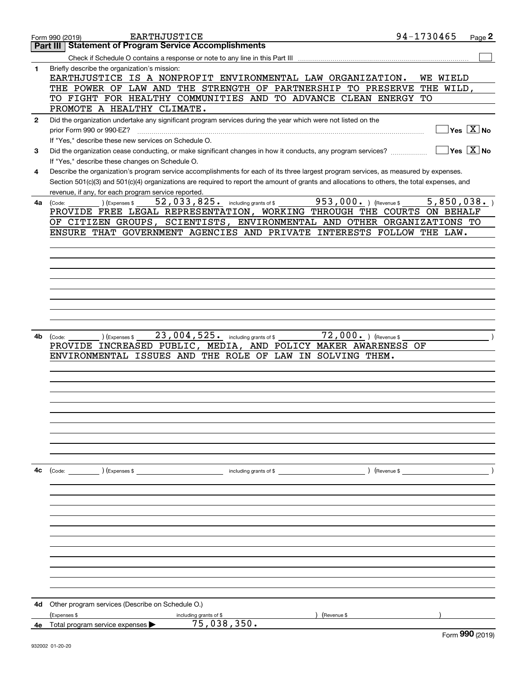|              | <b>EARTHJUSTICE</b><br>Form 990 (2019)                                                                                                                                                                                                                                               | 94-1730465 | Page 2                                 |
|--------------|--------------------------------------------------------------------------------------------------------------------------------------------------------------------------------------------------------------------------------------------------------------------------------------|------------|----------------------------------------|
|              | <b>Statement of Program Service Accomplishments</b><br><b>Part III</b>                                                                                                                                                                                                               |            |                                        |
|              | Check if Schedule O contains a response or note to any line in this Part III                                                                                                                                                                                                         |            |                                        |
| 1            | Briefly describe the organization's mission:<br>EARTHJUSTICE IS A NONPROFIT ENVIRONMENTAL LAW ORGANIZATION.                                                                                                                                                                          | WE WIELD   |                                        |
|              | THE POWER OF LAW AND THE STRENGTH OF PARTNERSHIP TO PRESERVE                                                                                                                                                                                                                         | THE WILD,  |                                        |
|              | TO FIGHT FOR HEALTHY COMMUNITIES AND TO ADVANCE CLEAN ENERGY                                                                                                                                                                                                                         | TО         |                                        |
|              | PROMOTE A HEALTHY CLIMATE.                                                                                                                                                                                                                                                           |            |                                        |
| $\mathbf{2}$ | Did the organization undertake any significant program services during the year which were not listed on the<br>prior Form 990 or 990-EZ?                                                                                                                                            |            | $\sqrt{}$ Yes $\sqrt{X}$ No            |
|              | If "Yes," describe these new services on Schedule O.                                                                                                                                                                                                                                 |            |                                        |
| 3            | Did the organization cease conducting, or make significant changes in how it conducts, any program services?                                                                                                                                                                         |            | $\sqrt{}$ Yes $\sqrt{}$ X $\sqrt{}$ No |
|              | If "Yes," describe these changes on Schedule O.                                                                                                                                                                                                                                      |            |                                        |
| 4            | Describe the organization's program service accomplishments for each of its three largest program services, as measured by expenses.<br>Section 501(c)(3) and 501(c)(4) organizations are required to report the amount of grants and allocations to others, the total expenses, and |            |                                        |
|              | revenue, if any, for each program service reported.                                                                                                                                                                                                                                  |            |                                        |
| 4a           | 52,033,825. including grants of \$953,000. ) (Revenue \$<br>(Expenses \$<br>(Code:                                                                                                                                                                                                   | 5,850,038. |                                        |
|              | PROVIDE FREE LEGAL REPRESENTATION, WORKING THROUGH THE COURTS ON BEHALF                                                                                                                                                                                                              |            |                                        |
|              | OF CITIZEN GROUPS, SCIENTISTS, ENVIRONMENTAL AND OTHER ORGANIZATIONS TO                                                                                                                                                                                                              |            |                                        |
|              | ENSURE THAT GOVERNMENT AGENCIES AND PRIVATE INTERESTS FOLLOW THE LAW.                                                                                                                                                                                                                |            |                                        |
|              |                                                                                                                                                                                                                                                                                      |            |                                        |
|              |                                                                                                                                                                                                                                                                                      |            |                                        |
|              |                                                                                                                                                                                                                                                                                      |            |                                        |
|              |                                                                                                                                                                                                                                                                                      |            |                                        |
|              |                                                                                                                                                                                                                                                                                      |            |                                        |
|              |                                                                                                                                                                                                                                                                                      |            |                                        |
|              |                                                                                                                                                                                                                                                                                      |            |                                        |
|              |                                                                                                                                                                                                                                                                                      |            |                                        |
| 4b           | 23,004,525. including grants of \$<br>$72,000.$ (Revenue \$<br>) (Expenses \$<br>(Code:                                                                                                                                                                                              |            |                                        |
|              | PROVIDE INCREASED PUBLIC, MEDIA, AND POLICY MAKER AWARENESS OF                                                                                                                                                                                                                       |            |                                        |
|              | ENVIRONMENTAL ISSUES AND THE ROLE OF LAW IN SOLVING THEM.                                                                                                                                                                                                                            |            |                                        |
|              |                                                                                                                                                                                                                                                                                      |            |                                        |
|              |                                                                                                                                                                                                                                                                                      |            |                                        |
|              |                                                                                                                                                                                                                                                                                      |            |                                        |
|              |                                                                                                                                                                                                                                                                                      |            |                                        |
|              |                                                                                                                                                                                                                                                                                      |            |                                        |
|              |                                                                                                                                                                                                                                                                                      |            |                                        |
|              |                                                                                                                                                                                                                                                                                      |            |                                        |
|              |                                                                                                                                                                                                                                                                                      |            |                                        |
|              |                                                                                                                                                                                                                                                                                      |            |                                        |
|              |                                                                                                                                                                                                                                                                                      |            |                                        |
| 4c           | (Code: ) (Expenses \$<br>) (Revenue \$<br>including grants of \$                                                                                                                                                                                                                     |            |                                        |
|              |                                                                                                                                                                                                                                                                                      |            |                                        |
|              |                                                                                                                                                                                                                                                                                      |            |                                        |
|              |                                                                                                                                                                                                                                                                                      |            |                                        |
|              |                                                                                                                                                                                                                                                                                      |            |                                        |
|              |                                                                                                                                                                                                                                                                                      |            |                                        |
|              |                                                                                                                                                                                                                                                                                      |            |                                        |
|              |                                                                                                                                                                                                                                                                                      |            |                                        |
|              |                                                                                                                                                                                                                                                                                      |            |                                        |
|              |                                                                                                                                                                                                                                                                                      |            |                                        |
|              |                                                                                                                                                                                                                                                                                      |            |                                        |
|              |                                                                                                                                                                                                                                                                                      |            |                                        |
| 4d           | Other program services (Describe on Schedule O.)                                                                                                                                                                                                                                     |            |                                        |
|              | (Expenses \$<br>) (Revenue \$<br>including grants of \$                                                                                                                                                                                                                              |            |                                        |
| 4е           | 75,038,350.<br>Total program service expenses                                                                                                                                                                                                                                        |            |                                        |
|              |                                                                                                                                                                                                                                                                                      |            | $000 \times 100$                       |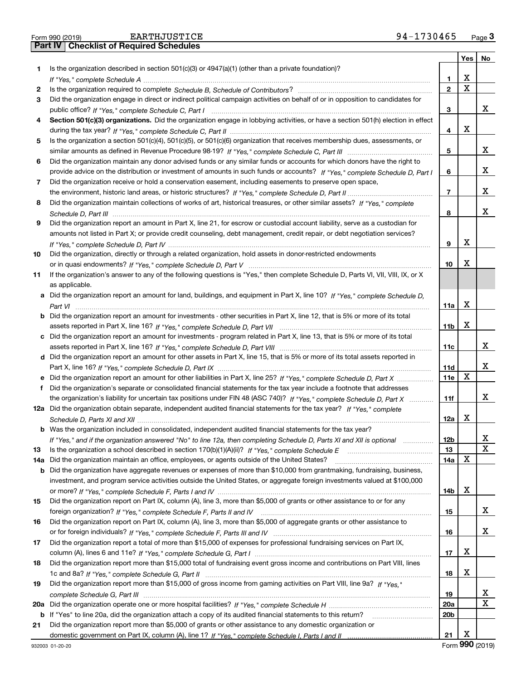|  | Form 990 (2019) |  |
|--|-----------------|--|

|     |                                                                                                                                       |                 | Yes   No |   |
|-----|---------------------------------------------------------------------------------------------------------------------------------------|-----------------|----------|---|
| 1.  | Is the organization described in section $501(c)(3)$ or $4947(a)(1)$ (other than a private foundation)?                               |                 |          |   |
|     |                                                                                                                                       | 1               | х        |   |
| 2   |                                                                                                                                       | $\overline{2}$  | X        |   |
| 3   | Did the organization engage in direct or indirect political campaign activities on behalf of or in opposition to candidates for       |                 |          |   |
|     |                                                                                                                                       | 3               |          | x |
| 4   | Section 501(c)(3) organizations. Did the organization engage in lobbying activities, or have a section 501(h) election in effect      |                 |          |   |
|     |                                                                                                                                       | 4               | х        |   |
| 5   | Is the organization a section 501(c)(4), 501(c)(5), or 501(c)(6) organization that receives membership dues, assessments, or          |                 |          |   |
|     |                                                                                                                                       | 5               |          | x |
| 6   | Did the organization maintain any donor advised funds or any similar funds or accounts for which donors have the right to             |                 |          |   |
|     | provide advice on the distribution or investment of amounts in such funds or accounts? If "Yes," complete Schedule D, Part I          | 6               |          | х |
| 7   | Did the organization receive or hold a conservation easement, including easements to preserve open space,                             |                 |          |   |
|     |                                                                                                                                       | 7               |          | х |
| 8   | Did the organization maintain collections of works of art, historical treasures, or other similar assets? If "Yes," complete          |                 |          |   |
|     |                                                                                                                                       | 8               |          | x |
| 9   | Did the organization report an amount in Part X, line 21, for escrow or custodial account liability, serve as a custodian for         |                 |          |   |
|     | amounts not listed in Part X; or provide credit counseling, debt management, credit repair, or debt negotiation services?             |                 |          |   |
|     |                                                                                                                                       | 9               | х        |   |
| 10  | Did the organization, directly or through a related organization, hold assets in donor-restricted endowments                          |                 |          |   |
|     |                                                                                                                                       |                 | х        |   |
|     |                                                                                                                                       | 10              |          |   |
| 11  | If the organization's answer to any of the following questions is "Yes," then complete Schedule D, Parts VI, VII, VIII, IX, or X      |                 |          |   |
|     | as applicable.                                                                                                                        |                 |          |   |
|     | a Did the organization report an amount for land, buildings, and equipment in Part X, line 10? If "Yes," complete Schedule D,         |                 |          |   |
|     |                                                                                                                                       | 11a             | х        |   |
|     | <b>b</b> Did the organization report an amount for investments - other securities in Part X, line 12, that is 5% or more of its total |                 |          |   |
|     |                                                                                                                                       | 11 <sub>b</sub> | х        |   |
|     | c Did the organization report an amount for investments - program related in Part X, line 13, that is 5% or more of its total         |                 |          |   |
|     |                                                                                                                                       | 11c             |          | x |
|     | d Did the organization report an amount for other assets in Part X, line 15, that is 5% or more of its total assets reported in       |                 |          |   |
|     |                                                                                                                                       | 11d             |          | х |
|     | e Did the organization report an amount for other liabilities in Part X, line 25? If "Yes," complete Schedule D, Part X               | <b>11e</b>      | х        |   |
|     | f Did the organization's separate or consolidated financial statements for the tax year include a footnote that addresses             |                 |          |   |
|     | the organization's liability for uncertain tax positions under FIN 48 (ASC 740)? If "Yes," complete Schedule D, Part X                | 11f             |          | х |
|     | 12a Did the organization obtain separate, independent audited financial statements for the tax year? If "Yes." complete               |                 |          |   |
|     |                                                                                                                                       | 12a             | х        |   |
|     | <b>b</b> Was the organization included in consolidated, independent audited financial statements for the tax year?                    |                 |          |   |
|     | If "Yes," and if the organization answered "No" to line 12a, then completing Schedule D, Parts XI and XII is optional                 | 12 <sub>b</sub> |          | х |
| 13  |                                                                                                                                       | 13              |          | X |
| 14a | Did the organization maintain an office, employees, or agents outside of the United States?                                           | 14a             | х        |   |
|     | <b>b</b> Did the organization have aggregate revenues or expenses of more than \$10,000 from grantmaking, fundraising, business,      |                 |          |   |
|     | investment, and program service activities outside the United States, or aggregate foreign investments valued at \$100,000            |                 |          |   |
|     |                                                                                                                                       | 14b             | х        |   |
| 15  | Did the organization report on Part IX, column (A), line 3, more than \$5,000 of grants or other assistance to or for any             |                 |          |   |
|     |                                                                                                                                       | 15              |          | x |
| 16  | Did the organization report on Part IX, column (A), line 3, more than \$5,000 of aggregate grants or other assistance to              |                 |          |   |
|     |                                                                                                                                       | 16              |          | х |
| 17  | Did the organization report a total of more than \$15,000 of expenses for professional fundraising services on Part IX,               |                 |          |   |
|     |                                                                                                                                       | 17              | x        |   |
| 18  | Did the organization report more than \$15,000 total of fundraising event gross income and contributions on Part VIII, lines          |                 |          |   |
|     |                                                                                                                                       | 18              | х        |   |
| 19  | Did the organization report more than \$15,000 of gross income from gaming activities on Part VIII, line 9a? If "Yes."                |                 |          |   |
|     |                                                                                                                                       | 19              |          | х |
| 20a |                                                                                                                                       | <b>20a</b>      |          | х |
|     | b If "Yes" to line 20a, did the organization attach a copy of its audited financial statements to this return?                        | 20 <sub>b</sub> |          |   |
| 21  | Did the organization report more than \$5,000 of grants or other assistance to any domestic organization or                           |                 |          |   |
|     |                                                                                                                                       | 21              | х        |   |
|     |                                                                                                                                       |                 |          |   |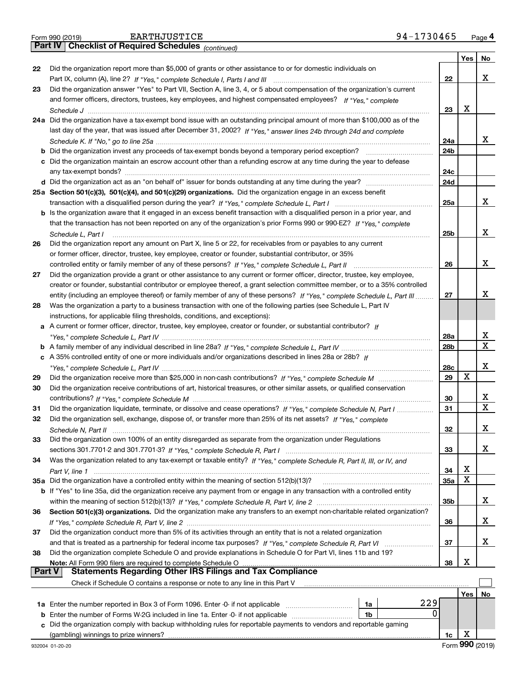|  | Form 990 (2019) |
|--|-----------------|

*(continued)*

|               |                                                                                                                              |     | Yes $ $ | No               |  |  |  |
|---------------|------------------------------------------------------------------------------------------------------------------------------|-----|---------|------------------|--|--|--|
| 22            | Did the organization report more than \$5,000 of grants or other assistance to or for domestic individuals on                |     |         |                  |  |  |  |
|               |                                                                                                                              | 22  |         | х                |  |  |  |
| 23            | Did the organization answer "Yes" to Part VII, Section A, line 3, 4, or 5 about compensation of the organization's current   |     |         |                  |  |  |  |
|               | and former officers, directors, trustees, key employees, and highest compensated employees? If "Yes," complete               |     |         |                  |  |  |  |
|               |                                                                                                                              | 23  | Х       |                  |  |  |  |
|               | 24a Did the organization have a tax-exempt bond issue with an outstanding principal amount of more than \$100,000 as of the  |     |         |                  |  |  |  |
|               | last day of the year, that was issued after December 31, 2002? If "Yes," answer lines 24b through 24d and complete           |     |         |                  |  |  |  |
|               |                                                                                                                              | 24a |         | х                |  |  |  |
|               | <b>b</b> Did the organization invest any proceeds of tax-exempt bonds beyond a temporary period exception?                   | 24b |         |                  |  |  |  |
|               | c Did the organization maintain an escrow account other than a refunding escrow at any time during the year to defease       |     |         |                  |  |  |  |
|               |                                                                                                                              | 24c |         |                  |  |  |  |
|               |                                                                                                                              | 24d |         |                  |  |  |  |
|               | 25a Section 501(c)(3), 501(c)(4), and 501(c)(29) organizations. Did the organization engage in an excess benefit             |     |         |                  |  |  |  |
|               |                                                                                                                              | 25a |         | х                |  |  |  |
|               | b Is the organization aware that it engaged in an excess benefit transaction with a disqualified person in a prior year, and |     |         |                  |  |  |  |
|               | that the transaction has not been reported on any of the organization's prior Forms 990 or 990-EZ? If "Yes," complete        |     |         |                  |  |  |  |
|               |                                                                                                                              |     |         | x                |  |  |  |
|               | Schedule L. Part I                                                                                                           | 25b |         |                  |  |  |  |
| 26            | Did the organization report any amount on Part X, line 5 or 22, for receivables from or payables to any current              |     |         |                  |  |  |  |
|               | or former officer, director, trustee, key employee, creator or founder, substantial contributor, or 35%                      | 26  |         | х                |  |  |  |
|               | controlled entity or family member of any of these persons? If "Yes," complete Schedule L, Part II                           |     |         |                  |  |  |  |
| 27            | Did the organization provide a grant or other assistance to any current or former officer, director, trustee, key employee,  |     |         |                  |  |  |  |
|               | creator or founder, substantial contributor or employee thereof, a grant selection committee member, or to a 35% controlled  |     |         |                  |  |  |  |
|               | entity (including an employee thereof) or family member of any of these persons? If "Yes," complete Schedule L, Part III     | 27  |         | х                |  |  |  |
| 28            | Was the organization a party to a business transaction with one of the following parties (see Schedule L, Part IV            |     |         |                  |  |  |  |
|               | instructions, for applicable filing thresholds, conditions, and exceptions):                                                 |     |         |                  |  |  |  |
| a             | A current or former officer, director, trustee, key employee, creator or founder, or substantial contributor? If             |     |         |                  |  |  |  |
|               |                                                                                                                              | 28a |         | х<br>$\mathbf X$ |  |  |  |
|               |                                                                                                                              |     |         |                  |  |  |  |
|               | c A 35% controlled entity of one or more individuals and/or organizations described in lines 28a or 28b? If                  |     |         |                  |  |  |  |
|               |                                                                                                                              | 28c |         | х                |  |  |  |
| 29            |                                                                                                                              | 29  | X       |                  |  |  |  |
| 30            | Did the organization receive contributions of art, historical treasures, or other similar assets, or qualified conservation  |     |         |                  |  |  |  |
|               |                                                                                                                              | 30  |         | X                |  |  |  |
| 31            | Did the organization liquidate, terminate, or dissolve and cease operations? If "Yes," complete Schedule N. Part I           | 31  |         | $\mathbf X$      |  |  |  |
| 32            | Did the organization sell, exchange, dispose of, or transfer more than 25% of its net assets? If "Yes," complete             |     |         |                  |  |  |  |
|               |                                                                                                                              | 32  |         | х                |  |  |  |
| 33            | Did the organization own 100% of an entity disregarded as separate from the organization under Regulations                   |     |         |                  |  |  |  |
|               |                                                                                                                              | 33  |         | x                |  |  |  |
| 34            | Was the organization related to any tax-exempt or taxable entity? If "Yes," complete Schedule R, Part II, III, or IV, and    |     |         |                  |  |  |  |
|               |                                                                                                                              | 34  | х       |                  |  |  |  |
|               | 35a Did the organization have a controlled entity within the meaning of section 512(b)(13)?                                  | 35a | X       |                  |  |  |  |
|               | b If "Yes" to line 35a, did the organization receive any payment from or engage in any transaction with a controlled entity  |     |         |                  |  |  |  |
|               |                                                                                                                              | 35b |         | x                |  |  |  |
| 36            | Section 501(c)(3) organizations. Did the organization make any transfers to an exempt non-charitable related organization?   |     |         |                  |  |  |  |
|               |                                                                                                                              | 36  |         | x                |  |  |  |
| 37            | Did the organization conduct more than 5% of its activities through an entity that is not a related organization             |     |         |                  |  |  |  |
|               |                                                                                                                              | 37  |         | х                |  |  |  |
| 38            | Did the organization complete Schedule O and provide explanations in Schedule O for Part VI, lines 11b and 19?               |     |         |                  |  |  |  |
|               | Note: All Form 990 filers are required to complete Schedule O                                                                | 38  | х       |                  |  |  |  |
| <b>Part V</b> | <b>Statements Regarding Other IRS Filings and Tax Compliance</b>                                                             |     |         |                  |  |  |  |
|               | Check if Schedule O contains a response or note to any line in this Part V                                                   |     |         |                  |  |  |  |
|               |                                                                                                                              |     | Yes     | No               |  |  |  |
|               | 229<br>1a Enter the number reported in Box 3 of Form 1096. Enter -0- if not applicable<br>1a                                 |     |         |                  |  |  |  |
| b             | 0<br>Enter the number of Forms W-2G included in line 1a. Enter -0- if not applicable<br>1b                                   |     |         |                  |  |  |  |
| C.            | Did the organization comply with backup withholding rules for reportable payments to vendors and reportable gaming           |     |         |                  |  |  |  |
|               |                                                                                                                              | 1c  | х       |                  |  |  |  |
|               |                                                                                                                              |     |         |                  |  |  |  |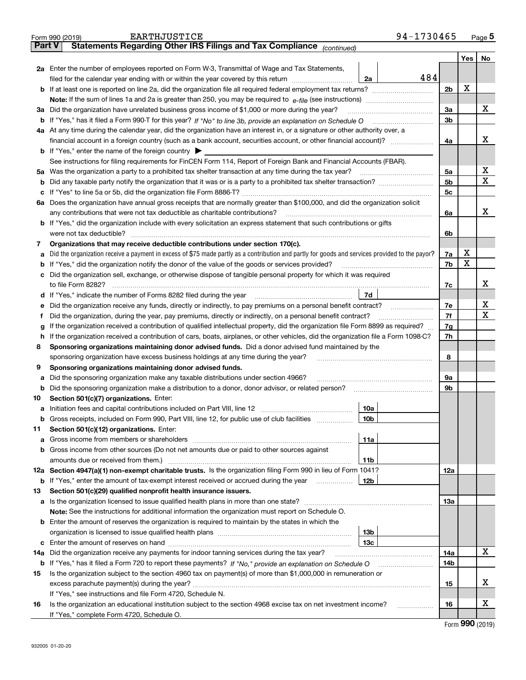|                                                                                                                    | Form 990 (2019)                                                                                                                                                                                                                      | <b>EARTHJUSTICE</b>                                                                                                                             | 94-1730465 |                |         | Page $5$ |  |  |  |
|--------------------------------------------------------------------------------------------------------------------|--------------------------------------------------------------------------------------------------------------------------------------------------------------------------------------------------------------------------------------|-------------------------------------------------------------------------------------------------------------------------------------------------|------------|----------------|---------|----------|--|--|--|
| <b>Part V</b>                                                                                                      |                                                                                                                                                                                                                                      | Statements Regarding Other IRS Filings and Tax Compliance (continued)                                                                           |            |                |         |          |  |  |  |
|                                                                                                                    |                                                                                                                                                                                                                                      |                                                                                                                                                 |            |                | Yes $ $ | No       |  |  |  |
|                                                                                                                    |                                                                                                                                                                                                                                      | 2a Enter the number of employees reported on Form W-3, Transmittal of Wage and Tax Statements,                                                  |            |                |         |          |  |  |  |
|                                                                                                                    |                                                                                                                                                                                                                                      | filed for the calendar year ending with or within the year covered by this return <i>manumumumum</i>                                            | 484<br>2a  |                |         |          |  |  |  |
|                                                                                                                    |                                                                                                                                                                                                                                      |                                                                                                                                                 |            | 2 <sub>b</sub> | х       |          |  |  |  |
|                                                                                                                    |                                                                                                                                                                                                                                      |                                                                                                                                                 |            |                |         |          |  |  |  |
|                                                                                                                    |                                                                                                                                                                                                                                      | 3a Did the organization have unrelated business gross income of \$1,000 or more during the year?                                                |            | 3a             |         | х        |  |  |  |
|                                                                                                                    |                                                                                                                                                                                                                                      |                                                                                                                                                 |            | 3 <sub>b</sub> |         |          |  |  |  |
|                                                                                                                    |                                                                                                                                                                                                                                      | 4a At any time during the calendar year, did the organization have an interest in, or a signature or other authority over, a                    |            |                |         |          |  |  |  |
|                                                                                                                    |                                                                                                                                                                                                                                      |                                                                                                                                                 |            | 4a             |         | х        |  |  |  |
|                                                                                                                    |                                                                                                                                                                                                                                      | <b>b</b> If "Yes," enter the name of the foreign country $\blacktriangleright$                                                                  |            |                |         |          |  |  |  |
|                                                                                                                    |                                                                                                                                                                                                                                      | See instructions for filing requirements for FinCEN Form 114, Report of Foreign Bank and Financial Accounts (FBAR).                             |            |                |         |          |  |  |  |
|                                                                                                                    |                                                                                                                                                                                                                                      | 5a Was the organization a party to a prohibited tax shelter transaction at any time during the tax year?                                        |            | 5a             |         | x        |  |  |  |
| b                                                                                                                  |                                                                                                                                                                                                                                      |                                                                                                                                                 |            | 5 <sub>b</sub> |         | X        |  |  |  |
| c                                                                                                                  |                                                                                                                                                                                                                                      |                                                                                                                                                 |            | 5c             |         |          |  |  |  |
|                                                                                                                    |                                                                                                                                                                                                                                      | 6a Does the organization have annual gross receipts that are normally greater than \$100,000, and did the organization solicit                  |            |                |         |          |  |  |  |
|                                                                                                                    |                                                                                                                                                                                                                                      | any contributions that were not tax deductible as charitable contributions?                                                                     |            | 6a             |         | х        |  |  |  |
|                                                                                                                    |                                                                                                                                                                                                                                      | <b>b</b> If "Yes," did the organization include with every solicitation an express statement that such contributions or gifts                   |            |                |         |          |  |  |  |
|                                                                                                                    |                                                                                                                                                                                                                                      |                                                                                                                                                 |            | 6b             |         |          |  |  |  |
| 7                                                                                                                  |                                                                                                                                                                                                                                      | Organizations that may receive deductible contributions under section 170(c).                                                                   |            |                |         |          |  |  |  |
| а                                                                                                                  |                                                                                                                                                                                                                                      | Did the organization receive a payment in excess of \$75 made partly as a contribution and partly for goods and services provided to the payor? |            | 7a             | x       |          |  |  |  |
| b                                                                                                                  |                                                                                                                                                                                                                                      | If "Yes," did the organization notify the donor of the value of the goods or services provided?                                                 |            | 7b             | х       |          |  |  |  |
| с                                                                                                                  |                                                                                                                                                                                                                                      | Did the organization sell, exchange, or otherwise dispose of tangible personal property for which it was required                               |            |                |         |          |  |  |  |
|                                                                                                                    |                                                                                                                                                                                                                                      |                                                                                                                                                 |            |                |         |          |  |  |  |
|                                                                                                                    | 7d<br>d If "Yes," indicate the number of Forms 8282 filed during the year [11] [11] No. 2010 [12] Henry Marian Marian Marian Marian Marian Marian Marian Marian Marian Marian Marian Marian Marian Marian Marian Marian Marian Maria |                                                                                                                                                 |            |                |         |          |  |  |  |
| е                                                                                                                  |                                                                                                                                                                                                                                      |                                                                                                                                                 |            |                |         |          |  |  |  |
| f                                                                                                                  | Did the organization, during the year, pay premiums, directly or indirectly, on a personal benefit contract?                                                                                                                         |                                                                                                                                                 |            |                |         |          |  |  |  |
| g                                                                                                                  | If the organization received a contribution of qualified intellectual property, did the organization file Form 8899 as required?                                                                                                     |                                                                                                                                                 |            |                |         |          |  |  |  |
| h.                                                                                                                 | If the organization received a contribution of cars, boats, airplanes, or other vehicles, did the organization file a Form 1098-C?                                                                                                   |                                                                                                                                                 |            |                |         |          |  |  |  |
| 8                                                                                                                  |                                                                                                                                                                                                                                      | Sponsoring organizations maintaining donor advised funds. Did a donor advised fund maintained by the                                            |            |                |         |          |  |  |  |
|                                                                                                                    |                                                                                                                                                                                                                                      | sponsoring organization have excess business holdings at any time during the year?                                                              |            | 8              |         |          |  |  |  |
| 9                                                                                                                  |                                                                                                                                                                                                                                      | Sponsoring organizations maintaining donor advised funds.                                                                                       |            |                |         |          |  |  |  |
| а                                                                                                                  |                                                                                                                                                                                                                                      | Did the sponsoring organization make any taxable distributions under section 4966?                                                              |            | 9а             |         |          |  |  |  |
| b                                                                                                                  |                                                                                                                                                                                                                                      | Did the sponsoring organization make a distribution to a donor, donor advisor, or related person?                                               |            | 9b             |         |          |  |  |  |
| 10                                                                                                                 | Section 501(c)(7) organizations. Enter:                                                                                                                                                                                              |                                                                                                                                                 |            |                |         |          |  |  |  |
|                                                                                                                    |                                                                                                                                                                                                                                      |                                                                                                                                                 | 10a        |                |         |          |  |  |  |
|                                                                                                                    |                                                                                                                                                                                                                                      | Gross receipts, included on Form 990, Part VIII, line 12, for public use of club facilities                                                     | 10b        |                |         |          |  |  |  |
| 11                                                                                                                 |                                                                                                                                                                                                                                      | Section 501(c)(12) organizations. Enter:                                                                                                        |            |                |         |          |  |  |  |
|                                                                                                                    |                                                                                                                                                                                                                                      |                                                                                                                                                 | 11a        |                |         |          |  |  |  |
| b                                                                                                                  |                                                                                                                                                                                                                                      | Gross income from other sources (Do not net amounts due or paid to other sources against                                                        |            |                |         |          |  |  |  |
|                                                                                                                    |                                                                                                                                                                                                                                      |                                                                                                                                                 | 11b        |                |         |          |  |  |  |
|                                                                                                                    |                                                                                                                                                                                                                                      | 12a Section 4947(a)(1) non-exempt charitable trusts. Is the organization filing Form 990 in lieu of Form 1041?                                  |            | 12a            |         |          |  |  |  |
|                                                                                                                    |                                                                                                                                                                                                                                      | <b>b</b> If "Yes," enter the amount of tax-exempt interest received or accrued during the year                                                  | 12b        |                |         |          |  |  |  |
| 13                                                                                                                 |                                                                                                                                                                                                                                      | Section 501(c)(29) qualified nonprofit health insurance issuers.                                                                                |            |                |         |          |  |  |  |
|                                                                                                                    |                                                                                                                                                                                                                                      | a Is the organization licensed to issue qualified health plans in more than one state?                                                          |            | 13а            |         |          |  |  |  |
|                                                                                                                    |                                                                                                                                                                                                                                      | Note: See the instructions for additional information the organization must report on Schedule O.                                               |            |                |         |          |  |  |  |
| b                                                                                                                  |                                                                                                                                                                                                                                      | Enter the amount of reserves the organization is required to maintain by the states in which the                                                |            |                |         |          |  |  |  |
|                                                                                                                    |                                                                                                                                                                                                                                      |                                                                                                                                                 | 13b        |                |         |          |  |  |  |
|                                                                                                                    |                                                                                                                                                                                                                                      |                                                                                                                                                 | 13c        |                |         |          |  |  |  |
| 14a                                                                                                                |                                                                                                                                                                                                                                      | Did the organization receive any payments for indoor tanning services during the tax year?                                                      |            | 14a            |         | x        |  |  |  |
| <b>b</b> If "Yes," has it filed a Form 720 to report these payments? If "No," provide an explanation on Schedule O |                                                                                                                                                                                                                                      |                                                                                                                                                 |            |                |         |          |  |  |  |
| 15                                                                                                                 |                                                                                                                                                                                                                                      | Is the organization subject to the section 4960 tax on payment(s) of more than \$1,000,000 in remuneration or                                   |            |                |         |          |  |  |  |
|                                                                                                                    |                                                                                                                                                                                                                                      |                                                                                                                                                 |            | 15             |         | х        |  |  |  |
|                                                                                                                    |                                                                                                                                                                                                                                      | If "Yes," see instructions and file Form 4720, Schedule N.                                                                                      |            |                |         |          |  |  |  |
| 16                                                                                                                 |                                                                                                                                                                                                                                      | Is the organization an educational institution subject to the section 4968 excise tax on net investment income?                                 |            | 16             |         | х        |  |  |  |
|                                                                                                                    |                                                                                                                                                                                                                                      | If "Yes," complete Form 4720, Schedule O.                                                                                                       |            |                |         |          |  |  |  |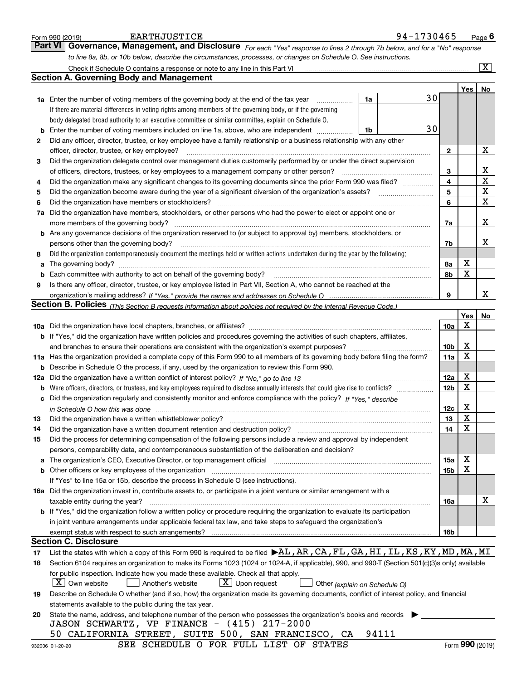|        | <b>EARTHJUSTICE</b><br>Form 990 (2019)                                                                                                                                                                                                                  |    | 94-1730465 |                 |        | Page $6$              |
|--------|---------------------------------------------------------------------------------------------------------------------------------------------------------------------------------------------------------------------------------------------------------|----|------------|-----------------|--------|-----------------------|
|        | <b>Part VI</b><br>Governance, Management, and Disclosure For each "Yes" response to lines 2 through 7b below, and for a "No" response                                                                                                                   |    |            |                 |        |                       |
|        | to line 8a, 8b, or 10b below, describe the circumstances, processes, or changes on Schedule O. See instructions.                                                                                                                                        |    |            |                 |        |                       |
|        |                                                                                                                                                                                                                                                         |    |            |                 |        | $\overline{\text{X}}$ |
|        | <b>Section A. Governing Body and Management</b>                                                                                                                                                                                                         |    |            |                 |        |                       |
|        |                                                                                                                                                                                                                                                         |    |            |                 | Yes    | No                    |
|        | <b>1a</b> Enter the number of voting members of the governing body at the end of the tax year<br>.                                                                                                                                                      | 1a | 30         |                 |        |                       |
|        | If there are material differences in voting rights among members of the governing body, or if the governing                                                                                                                                             |    |            |                 |        |                       |
|        | body delegated broad authority to an executive committee or similar committee, explain on Schedule O.                                                                                                                                                   |    |            |                 |        |                       |
| b      | Enter the number of voting members included on line 1a, above, who are independent                                                                                                                                                                      | 1b | 30         |                 |        |                       |
| 2      | Did any officer, director, trustee, or key employee have a family relationship or a business relationship with any other                                                                                                                                |    |            |                 |        |                       |
|        | officer, director, trustee, or key employee?                                                                                                                                                                                                            |    |            | $\mathbf{2}$    |        | Х                     |
| 3      | Did the organization delegate control over management duties customarily performed by or under the direct supervision                                                                                                                                   |    |            |                 |        |                       |
|        | of officers, directors, trustees, or key employees to a management company or other person?                                                                                                                                                             |    |            | 3               |        | х<br>$\rm X$          |
| 4      | Did the organization make any significant changes to its governing documents since the prior Form 990 was filed?                                                                                                                                        |    |            | 4<br>5          |        | х                     |
| 5<br>6 | Did the organization become aware during the year of a significant diversion of the organization's assets?<br>Did the organization have members or stockholders?                                                                                        |    |            | 6               |        | $\mathbf X$           |
| 7a     | Did the organization have members, stockholders, or other persons who had the power to elect or appoint one or                                                                                                                                          |    |            |                 |        |                       |
|        | more members of the governing body?                                                                                                                                                                                                                     |    |            | 7a              |        | х                     |
|        | b Are any governance decisions of the organization reserved to (or subject to approval by) members, stockholders, or                                                                                                                                    |    |            |                 |        |                       |
|        | persons other than the governing body?                                                                                                                                                                                                                  |    |            | 7b              |        | х                     |
| 8      | Did the organization contemporaneously document the meetings held or written actions undertaken during the year by the following:                                                                                                                       |    |            |                 |        |                       |
| a      |                                                                                                                                                                                                                                                         |    |            | 8a              | X      |                       |
| b      | Each committee with authority to act on behalf of the governing body?                                                                                                                                                                                   |    |            | 8b              | X      |                       |
| 9      | Is there any officer, director, trustee, or key employee listed in Part VII, Section A, who cannot be reached at the                                                                                                                                    |    |            |                 |        |                       |
|        |                                                                                                                                                                                                                                                         |    |            | 9               |        | x                     |
|        | <b>Section B. Policies</b> (This Section B requests information about policies not required by the Internal Revenue Code.)                                                                                                                              |    |            |                 |        |                       |
|        |                                                                                                                                                                                                                                                         |    |            |                 | Yes    | No                    |
|        |                                                                                                                                                                                                                                                         |    |            | 10a             | х      |                       |
|        | <b>b</b> If "Yes," did the organization have written policies and procedures governing the activities of such chapters, affiliates,                                                                                                                     |    |            |                 |        |                       |
|        | and branches to ensure their operations are consistent with the organization's exempt purposes?                                                                                                                                                         |    |            | 10b             | X<br>X |                       |
|        | 11a Has the organization provided a complete copy of this Form 990 to all members of its governing body before filing the form?<br><b>b</b> Describe in Schedule O the process, if any, used by the organization to review this Form 990.               |    |            | 11a             |        |                       |
|        |                                                                                                                                                                                                                                                         |    |            | 12a             | X      |                       |
| b      | Were officers, directors, or trustees, and key employees required to disclose annually interests that could give rise to conflicts?                                                                                                                     |    |            | 12 <sub>b</sub> | X      |                       |
| с      | Did the organization regularly and consistently monitor and enforce compliance with the policy? If "Yes." describe                                                                                                                                      |    |            |                 |        |                       |
|        | in Schedule O how this was done manufactured and continuum and contact the O how this was done                                                                                                                                                          |    |            | 12c             | X      |                       |
| 13     | Did the organization have a written whistleblower policy?                                                                                                                                                                                               |    |            | 13              | Y      |                       |
| 14     | Did the organization have a written document retention and destruction policy?                                                                                                                                                                          |    |            | 14              | X      |                       |
| 15     | Did the process for determining compensation of the following persons include a review and approval by independent                                                                                                                                      |    |            |                 |        |                       |
|        | persons, comparability data, and contemporaneous substantiation of the deliberation and decision?                                                                                                                                                       |    |            |                 |        |                       |
| а      | The organization's CEO, Executive Director, or top management official manufactured contains and contained and the organization's CEO, Executive Director, or top management official manufactured manufactured and the origin                          |    |            | 15a             | X      |                       |
| b      | Other officers or key employees of the organization                                                                                                                                                                                                     |    |            | 15b             | X      |                       |
|        | If "Yes" to line 15a or 15b, describe the process in Schedule O (see instructions).                                                                                                                                                                     |    |            |                 |        |                       |
|        | 16a Did the organization invest in, contribute assets to, or participate in a joint venture or similar arrangement with a                                                                                                                               |    |            |                 |        | х                     |
|        | taxable entity during the year?                                                                                                                                                                                                                         |    |            | 16a             |        |                       |
|        | <b>b</b> If "Yes," did the organization follow a written policy or procedure requiring the organization to evaluate its participation<br>in joint venture arrangements under applicable federal tax law, and take steps to safeguard the organization's |    |            |                 |        |                       |
|        |                                                                                                                                                                                                                                                         |    |            | 16b             |        |                       |
|        | <b>Section C. Disclosure</b>                                                                                                                                                                                                                            |    |            |                 |        |                       |
| 17     | List the states with which a copy of this Form 990 is required to be filed $\blacktriangleright$ AL, AR, CA, FL, GA, HI, IL, KS, KY, MD, MA, MI                                                                                                         |    |            |                 |        |                       |
| 18     | Section 6104 requires an organization to make its Forms 1023 (1024 or 1024-A, if applicable), 990, and 990-T (Section 501(c)(3)s only) available                                                                                                        |    |            |                 |        |                       |
|        | for public inspection. Indicate how you made these available. Check all that apply.                                                                                                                                                                     |    |            |                 |        |                       |
|        | $X$ Own website<br>$X$ Upon request<br>Another's website<br>Other (explain on Schedule O)                                                                                                                                                               |    |            |                 |        |                       |
| 19     | Describe on Schedule O whether (and if so, how) the organization made its governing documents, conflict of interest policy, and financial                                                                                                               |    |            |                 |        |                       |
|        | statements available to the public during the tax year.                                                                                                                                                                                                 |    |            |                 |        |                       |
| 20     | State the name, address, and telephone number of the person who possesses the organization's books and records                                                                                                                                          |    |            |                 |        |                       |
|        | JASON SCHWARTZ, VP FINANCE - (415) 217-2000                                                                                                                                                                                                             |    | 94111      |                 |        |                       |
|        | CALIFORNIA STREET, SUITE 500, SAN FRANCISCO, CA<br>50<br>SEE SCHEDULE O FOR FULL LIST OF STATES                                                                                                                                                         |    |            |                 |        | Form 990 (2019)       |
|        | 932006 01-20-20                                                                                                                                                                                                                                         |    |            |                 |        |                       |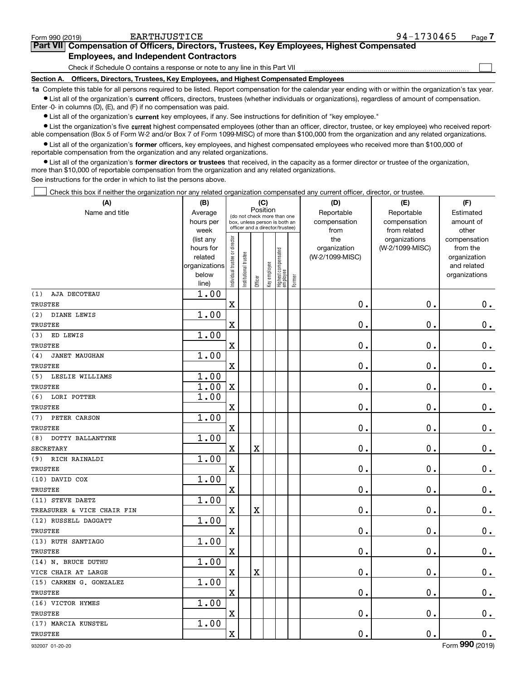| Form 990 (2019) | EARTHJUSTICE                                                                               | 94-1730465 | Page |
|-----------------|--------------------------------------------------------------------------------------------|------------|------|
|                 | Part VII Compensation of Officers, Directors, Trustees, Key Employees, Highest Compensated |            |      |
|                 | <b>Employees, and Independent Contractors</b>                                              |            |      |
|                 | Check if Schedule O contains a response or note to any line in this Part VII               |            |      |
|                 | Section A. Officers, Directors, Trustees, Key Employees, and Highest Compensated Employees |            |      |
|                 |                                                                                            |            |      |

**1a**  Complete this table for all persons required to be listed. Report compensation for the calendar year ending with or within the organization's tax year. **•** List all of the organization's current officers, directors, trustees (whether individuals or organizations), regardless of amount of compensation.

Enter -0- in columns (D), (E), and (F) if no compensation was paid.

 $\bullet$  List all of the organization's  $\,$ current key employees, if any. See instructions for definition of "key employee."

**•** List the organization's five current highest compensated employees (other than an officer, director, trustee, or key employee) who received reportable compensation (Box 5 of Form W-2 and/or Box 7 of Form 1099-MISC) of more than \$100,000 from the organization and any related organizations.

**•** List all of the organization's former officers, key employees, and highest compensated employees who received more than \$100,000 of reportable compensation from the organization and any related organizations.

**former directors or trustees**  ¥ List all of the organization's that received, in the capacity as a former director or trustee of the organization, more than \$10,000 of reportable compensation from the organization and any related organizations.

See instructions for the order in which to list the persons above.

Check this box if neither the organization nor any related organization compensated any current officer, director, or trustee.  $\mathcal{L}^{\text{max}}$ 

| (A)                         | (B)                    |                                         |                                                                  | (C)                     |              |                                  |        | (D)             | (E)                              | (F)                      |
|-----------------------------|------------------------|-----------------------------------------|------------------------------------------------------------------|-------------------------|--------------|----------------------------------|--------|-----------------|----------------------------------|--------------------------|
| Name and title              | Average                | Position<br>(do not check more than one |                                                                  |                         |              |                                  |        | Reportable      | Reportable                       | Estimated                |
|                             | hours per              |                                         | box, unless person is both an<br>officer and a director/trustee) |                         |              |                                  |        | compensation    | compensation                     | amount of                |
|                             | week                   |                                         |                                                                  |                         |              |                                  |        | from<br>the     | from related                     | other                    |
|                             | (list any<br>hours for |                                         |                                                                  |                         |              |                                  |        | organization    | organizations<br>(W-2/1099-MISC) | compensation<br>from the |
|                             | related                |                                         |                                                                  |                         |              |                                  |        | (W-2/1099-MISC) |                                  | organization             |
|                             | organizations          |                                         |                                                                  |                         |              |                                  |        |                 |                                  | and related              |
|                             | below                  | Individual trustee or director          | Institutional trustee                                            |                         | Key employee |                                  |        |                 |                                  | organizations            |
|                             | line)                  |                                         |                                                                  | Officer                 |              | Highest compensated<br> employee | Former |                 |                                  |                          |
| AJA DECOTEAU<br>(1)         | 1.00                   |                                         |                                                                  |                         |              |                                  |        |                 |                                  |                          |
| TRUSTEE                     |                        | $\rm X$                                 |                                                                  |                         |              |                                  |        | 0.              | $\mathbf 0$ .                    | $0_{.}$                  |
| (2)<br>DIANE LEWIS          | 1.00                   |                                         |                                                                  |                         |              |                                  |        |                 |                                  |                          |
| <b>TRUSTEE</b>              |                        | $\overline{\textbf{X}}$                 |                                                                  |                         |              |                                  |        | 0.              | $\mathbf 0$ .                    | $\mathbf 0$ .            |
| ED LEWIS<br>(3)             | 1.00                   |                                         |                                                                  |                         |              |                                  |        |                 |                                  |                          |
| <b>TRUSTEE</b>              |                        | $\rm X$                                 |                                                                  |                         |              |                                  |        | 0.              | $\mathbf 0$ .                    | $\mathbf 0$ .            |
| <b>JANET MAUGHAN</b><br>(4) | 1.00                   |                                         |                                                                  |                         |              |                                  |        |                 |                                  |                          |
| <b>TRUSTEE</b>              |                        | $\overline{\mathbf{X}}$                 |                                                                  |                         |              |                                  |        | 0.              | $\mathbf 0$ .                    | $\mathbf 0$ .            |
| (5)<br>LESLIE WILLIAMS      | 1.00                   |                                         |                                                                  |                         |              |                                  |        |                 |                                  |                          |
| TRUSTEE                     | 1.00                   | $\mathbf X$                             |                                                                  |                         |              |                                  |        | 0.              | $\mathbf 0$ .                    | $\mathbf 0$ .            |
| (6)<br>LORI POTTER          | 1.00                   |                                         |                                                                  |                         |              |                                  |        |                 |                                  |                          |
| TRUSTEE                     |                        | $\overline{\textbf{X}}$                 |                                                                  |                         |              |                                  |        | 0.              | $\mathbf 0$ .                    | $0_{.}$                  |
| PETER CARSON<br>(7)         | 1.00                   |                                         |                                                                  |                         |              |                                  |        |                 |                                  |                          |
| TRUSTEE                     |                        | $\rm X$                                 |                                                                  |                         |              |                                  |        | 0.              | $\mathbf 0$ .                    | $0_{.}$                  |
| (8)<br>DOTTY BALLANTYNE     | 1.00                   |                                         |                                                                  |                         |              |                                  |        |                 |                                  |                          |
| <b>SECRETARY</b>            |                        | X                                       |                                                                  | $\overline{\mathbf{X}}$ |              |                                  |        | 0.              | $\mathbf 0$ .                    | $\mathbf 0$ .            |
| (9) RICH RAINALDI           | 1.00                   |                                         |                                                                  |                         |              |                                  |        |                 |                                  |                          |
| <b>TRUSTEE</b>              |                        | $\mathbf X$                             |                                                                  |                         |              |                                  |        | $\mathbf 0$ .   | $\mathbf 0$ .                    | $0_{.}$                  |
| (10) DAVID COX              | 1.00                   |                                         |                                                                  |                         |              |                                  |        |                 |                                  |                          |
| <b>TRUSTEE</b>              |                        | X                                       |                                                                  |                         |              |                                  |        | 0.              | 0.                               | $\mathbf 0$ .            |
| (11) STEVE DAETZ            | 1.00                   |                                         |                                                                  |                         |              |                                  |        |                 |                                  |                          |
| TREASURER & VICE CHAIR FIN  |                        | $\mathbf X$                             |                                                                  | $\overline{\textbf{X}}$ |              |                                  |        | $\mathbf 0$ .   | $\mathbf 0$ .                    | $0_{.}$                  |
| (12) RUSSELL DAGGATT        | 1.00                   |                                         |                                                                  |                         |              |                                  |        |                 |                                  |                          |
| <b>TRUSTEE</b>              |                        | X                                       |                                                                  |                         |              |                                  |        | 0.              | $\mathbf 0$ .                    | $\mathbf 0$ .            |
| (13) RUTH SANTIAGO          | 1.00                   |                                         |                                                                  |                         |              |                                  |        |                 |                                  |                          |
| <b>TRUSTEE</b>              |                        | $\mathbf X$                             |                                                                  |                         |              |                                  |        | 0.              | $\mathbf 0$ .                    | $\mathbf 0$ .            |
| (14) N. BRUCE DUTHU         | 1.00                   |                                         |                                                                  |                         |              |                                  |        |                 |                                  |                          |
| VICE CHAIR AT LARGE         |                        | X                                       |                                                                  | $\overline{\textbf{X}}$ |              |                                  |        | $\mathbf 0$ .   | $\mathbf 0$ .                    | $0_{.}$                  |
| (15) CARMEN G. GONZALEZ     | 1.00                   |                                         |                                                                  |                         |              |                                  |        |                 |                                  |                          |
| <b>TRUSTEE</b>              |                        | $\rm X$                                 |                                                                  |                         |              |                                  |        | $\mathbf 0$ .   | $\mathbf 0$ .                    | $\mathbf 0$ .            |
| (16) VICTOR HYMES           | 1.00                   |                                         |                                                                  |                         |              |                                  |        |                 |                                  |                          |
| <b>TRUSTEE</b>              |                        | X                                       |                                                                  |                         |              |                                  |        | $\mathbf 0$ .   | $\mathbf 0$ .                    | $\mathbf 0$ .            |
| (17) MARCIA KUNSTEL         | 1.00                   |                                         |                                                                  |                         |              |                                  |        |                 |                                  |                          |
| <b>TRUSTEE</b>              |                        | $\rm X$                                 |                                                                  |                         |              |                                  |        | $\mathbf 0$ .   | $\mathbf 0$ .                    | 0.                       |
|                             |                        |                                         |                                                                  |                         |              |                                  |        |                 |                                  |                          |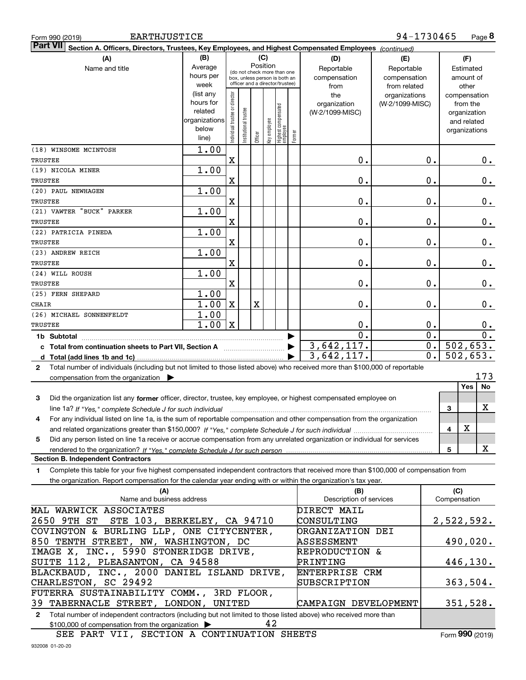| <b>EARTHJUSTICE</b><br>Form 990 (2019)                                                                                                       |                                                                          |                                |                                 |         |              |                                 |          |                                | 94-1730465      |                  |                     | Page 8                      |
|----------------------------------------------------------------------------------------------------------------------------------------------|--------------------------------------------------------------------------|--------------------------------|---------------------------------|---------|--------------|---------------------------------|----------|--------------------------------|-----------------|------------------|---------------------|-----------------------------|
| <b>Part VII</b><br>Section A. Officers, Directors, Trustees, Key Employees, and Highest Compensated Employees (continued)                    |                                                                          |                                |                                 |         |              |                                 |          |                                |                 |                  |                     |                             |
| (A)                                                                                                                                          | (B)                                                                      |                                |                                 | (C)     |              |                                 |          | (D)                            | (E)             |                  |                     | (F)                         |
| Name and title                                                                                                                               | Average                                                                  |                                | (do not check more than one     |         | Position     |                                 |          | Reportable                     | Reportable      |                  |                     | Estimated                   |
|                                                                                                                                              | hours per                                                                |                                | box, unless person is both an   |         |              |                                 |          | compensation                   | compensation    |                  |                     | amount of                   |
|                                                                                                                                              | week                                                                     |                                | officer and a director/trustee) |         |              |                                 |          | from                           | from related    |                  |                     | other                       |
|                                                                                                                                              | (list any                                                                |                                |                                 |         |              |                                 |          | the                            | organizations   |                  |                     | compensation                |
|                                                                                                                                              | hours for<br>related                                                     |                                |                                 |         |              |                                 |          | organization                   | (W-2/1099-MISC) |                  |                     | from the                    |
|                                                                                                                                              | organizations                                                            |                                |                                 |         |              |                                 |          | (W-2/1099-MISC)                |                 |                  |                     | organization<br>and related |
|                                                                                                                                              | below                                                                    |                                |                                 |         |              |                                 |          |                                |                 |                  |                     | organizations               |
|                                                                                                                                              | line)                                                                    | Individual trustee or director | nstitutional trustee            | Officer | Key employee | Highest compensated<br>employee | Former   |                                |                 |                  |                     |                             |
| (18) WINSOME MCINTOSH                                                                                                                        | 1.00                                                                     |                                |                                 |         |              |                                 |          |                                |                 |                  |                     |                             |
| TRUSTEE                                                                                                                                      |                                                                          | X                              |                                 |         |              |                                 |          | 0.                             |                 | 0.               |                     | $0_{.}$                     |
| (19) NICOLA MINER                                                                                                                            | 1.00                                                                     |                                |                                 |         |              |                                 |          |                                |                 |                  |                     |                             |
| TRUSTEE                                                                                                                                      |                                                                          | X                              |                                 |         |              |                                 |          | 0.                             |                 | 0.               |                     | 0.                          |
| (20) PAUL NEWHAGEN                                                                                                                           | 1.00                                                                     |                                |                                 |         |              |                                 |          |                                |                 |                  |                     |                             |
| TRUSTEE                                                                                                                                      |                                                                          | X                              |                                 |         |              |                                 |          | 0.                             |                 | 0.               |                     | 0.                          |
| (21) VAWTER "BUCK" PARKER                                                                                                                    | 1.00                                                                     |                                |                                 |         |              |                                 |          |                                |                 |                  |                     |                             |
| TRUSTEE                                                                                                                                      |                                                                          | X                              |                                 |         |              |                                 |          | 0.                             |                 | 0.               |                     | 0.                          |
| (22) PATRICIA PINEDA                                                                                                                         | 1.00                                                                     |                                |                                 |         |              |                                 |          |                                |                 |                  |                     |                             |
| TRUSTEE                                                                                                                                      |                                                                          | X                              |                                 |         |              |                                 |          | 0.                             |                 | 0.               |                     | 0.                          |
| (23) ANDREW REICH                                                                                                                            | 1.00                                                                     |                                |                                 |         |              |                                 |          |                                |                 |                  |                     |                             |
| TRUSTEE                                                                                                                                      |                                                                          | X                              |                                 |         |              |                                 |          | 0.                             |                 | 0.               |                     | 0.                          |
| (24) WILL ROUSH                                                                                                                              | 1.00                                                                     |                                |                                 |         |              |                                 |          |                                |                 |                  |                     |                             |
| TRUSTEE<br>(25) FERN SHEPARD                                                                                                                 | 1.00                                                                     | X                              |                                 |         |              |                                 |          | 0.                             |                 | 0.               |                     | 0.                          |
| CHAIR                                                                                                                                        | 1.00                                                                     | X                              |                                 | X       |              |                                 |          | 0.                             |                 | 0.               |                     | 0.                          |
| (26) MICHAEL SONNENFELDT                                                                                                                     | $\overline{1.00}$                                                        |                                |                                 |         |              |                                 |          |                                |                 |                  |                     |                             |
| TRUSTEE                                                                                                                                      | 1.00                                                                     | X                              |                                 |         |              |                                 |          | 0.                             |                 | 0.               |                     | 0.                          |
| 1b Subtotal                                                                                                                                  |                                                                          |                                |                                 |         |              |                                 |          | $\overline{0}$ .               |                 | $\overline{0}$ . |                     | $\overline{0}$ .            |
| c Total from continuation sheets to Part VII, Section A manufactor continuum                                                                 |                                                                          |                                |                                 |         |              |                                 |          | 3,642,117.                     |                 | $\overline{0}$ . |                     | 502,653.                    |
| d Total (add lines 1b and 1c)                                                                                                                |                                                                          |                                |                                 |         |              |                                 |          | 3,642,117.                     |                 | 0.               |                     | 502,653.                    |
| Total number of individuals (including but not limited to those listed above) who received more than \$100,000 of reportable<br>$\mathbf{2}$ |                                                                          |                                |                                 |         |              |                                 |          |                                |                 |                  |                     |                             |
| compensation from the organization $\blacktriangleright$                                                                                     |                                                                          |                                |                                 |         |              |                                 |          |                                |                 |                  |                     | 173                         |
|                                                                                                                                              |                                                                          |                                |                                 |         |              |                                 |          |                                |                 |                  |                     | <b>Yes</b><br>No            |
| Did the organization list any former officer, director, trustee, key employee, or highest compensated employee on<br>3                       |                                                                          |                                |                                 |         |              |                                 |          |                                |                 |                  |                     |                             |
| line 1a? If "Yes," complete Schedule J for such individual manufactured contained and the Ves," complete Schedule J for such individual      |                                                                          |                                |                                 |         |              |                                 |          |                                |                 |                  | 3                   | X                           |
| 4<br>For any individual listed on line 1a, is the sum of reportable compensation and other compensation from the organization                |                                                                          |                                |                                 |         |              |                                 |          |                                |                 |                  |                     |                             |
|                                                                                                                                              |                                                                          |                                |                                 |         |              |                                 |          |                                |                 |                  | 4                   | х                           |
| Did any person listed on line 1a receive or accrue compensation from any unrelated organization or individual for services<br>5              |                                                                          |                                |                                 |         |              |                                 |          |                                |                 |                  |                     |                             |
|                                                                                                                                              |                                                                          |                                |                                 |         |              |                                 |          |                                |                 |                  | 5                   | X                           |
| <b>Section B. Independent Contractors</b>                                                                                                    |                                                                          |                                |                                 |         |              |                                 |          |                                |                 |                  |                     |                             |
| Complete this table for your five highest compensated independent contractors that received more than \$100,000 of compensation from<br>1    |                                                                          |                                |                                 |         |              |                                 |          |                                |                 |                  |                     |                             |
| the organization. Report compensation for the calendar year ending with or within the organization's tax year.                               |                                                                          |                                |                                 |         |              |                                 |          |                                |                 |                  |                     |                             |
| (A)<br>Name and business address                                                                                                             |                                                                          |                                |                                 |         |              |                                 |          | (B)<br>Description of services |                 |                  | (C)<br>Compensation |                             |
| MAL WARWICK ASSOCIATES                                                                                                                       |                                                                          |                                |                                 |         |              |                                 |          | DIRECT MAIL                    |                 |                  |                     |                             |
| STE 103, BERKELEY, CA 94710<br>2650 9TH ST                                                                                                   |                                                                          |                                |                                 |         |              |                                 |          | CONSULTING                     |                 |                  |                     | 2,522,592.                  |
| COVINGTON & BURLING LLP, ONE CITYCENTER,                                                                                                     |                                                                          |                                |                                 |         |              |                                 |          | ORGANIZATION DEI               |                 |                  |                     |                             |
| 850 TENTH STREET, NW, WASHINGTON, DC                                                                                                         |                                                                          |                                |                                 |         |              |                                 |          | ASSESSMENT                     |                 |                  |                     | 490,020.                    |
| IMAGE X, INC., 5990 STONERIDGE DRIVE,<br><b>REPRODUCTION &amp;</b>                                                                           |                                                                          |                                |                                 |         |              |                                 |          |                                |                 |                  |                     |                             |
| SUITE 112, PLEASANTON, CA 94588                                                                                                              |                                                                          |                                |                                 |         |              |                                 | PRINTING |                                |                 |                  | 446,130.            |                             |
| BLACKBAUD, INC., 2000 DANIEL ISLAND DRIVE,<br>ENTERPRISE CRM                                                                                 |                                                                          |                                |                                 |         |              |                                 |          |                                |                 |                  |                     |                             |
| CHARLESTON, SC 29492                                                                                                                         |                                                                          |                                |                                 |         |              |                                 |          | SUBSCRIPTION                   |                 |                  |                     | 363,504.                    |
| FUTERRA SUSTAINABILITY COMM., 3RD FLOOR,                                                                                                     |                                                                          |                                |                                 |         |              |                                 |          |                                |                 |                  |                     |                             |
|                                                                                                                                              | 351,528.<br>39 TABERNACLE STREET, LONDON, UNITED<br>CAMPAIGN DEVELOPMENT |                                |                                 |         |              |                                 |          |                                |                 |                  |                     |                             |
| Total number of independent contractors (including but not limited to those listed above) who received more than<br>$\mathbf{2}$             |                                                                          |                                |                                 |         |              |                                 |          |                                |                 |                  |                     |                             |
| \$100,000 of compensation from the organization >                                                                                            |                                                                          |                                |                                 |         | 42           |                                 |          |                                |                 |                  |                     |                             |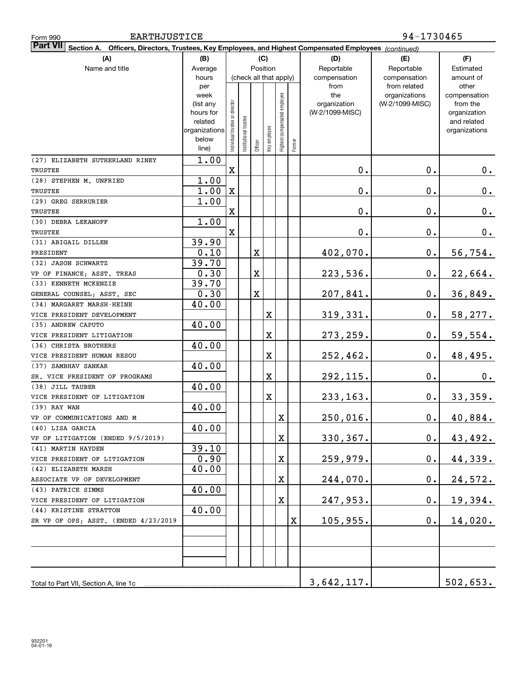| <b>EARTHJUSTICE</b><br>Form 990                                                                                              |                |                                |                       |             |              |                              |        | 94-1730465      |                               |                       |  |  |
|------------------------------------------------------------------------------------------------------------------------------|----------------|--------------------------------|-----------------------|-------------|--------------|------------------------------|--------|-----------------|-------------------------------|-----------------------|--|--|
| <b>Part VII</b><br>Officers, Directors, Trustees, Key Employees, and Highest Compensated Employees (continued)<br>Section A. |                |                                |                       |             |              |                              |        |                 |                               |                       |  |  |
| (A)                                                                                                                          | (C)<br>(B)     |                                |                       |             |              |                              |        |                 | (E)                           | (F)                   |  |  |
| Name and title                                                                                                               | Average        | Position                       |                       |             |              |                              |        | Reportable      | Reportable                    | Estimated             |  |  |
|                                                                                                                              | hours          |                                |                       |             |              | (check all that apply)       |        | compensation    | compensation                  | amount of             |  |  |
|                                                                                                                              | per<br>week    |                                |                       |             |              |                              |        | from<br>the     | from related<br>organizations | other<br>compensation |  |  |
|                                                                                                                              | (list any      |                                |                       |             |              |                              |        | organization    | (W-2/1099-MISC)               | from the              |  |  |
|                                                                                                                              | hours for      |                                |                       |             |              |                              |        | (W-2/1099-MISC) |                               | organization          |  |  |
|                                                                                                                              | related        |                                |                       |             |              |                              |        |                 |                               | and related           |  |  |
|                                                                                                                              | organizations  |                                |                       |             |              |                              |        |                 |                               | organizations         |  |  |
|                                                                                                                              | below<br>line) | Individual trustee or director | Institutional trustee | Officer     | Key employee | Highest compensated employee | Former |                 |                               |                       |  |  |
| (27) ELIZABETH SUTHERLAND RINEY                                                                                              | 1.00           |                                |                       |             |              |                              |        |                 |                               |                       |  |  |
| TRUSTEE                                                                                                                      |                | $\mathbf X$                    |                       |             |              |                              |        | 0.              | 0.                            | 0.                    |  |  |
| (28) STEPHEN M. UNFRIED                                                                                                      | 1.00           |                                |                       |             |              |                              |        |                 |                               |                       |  |  |
| TRUSTEE                                                                                                                      | 1.00           | $\mathbf X$                    |                       |             |              |                              |        | 0.              | 0.                            | 0.                    |  |  |
| (29) GREG SERRURIER                                                                                                          | 1.00           |                                |                       |             |              |                              |        |                 |                               |                       |  |  |
| TRUSTEE                                                                                                                      |                | $\mathbf X$                    |                       |             |              |                              |        | 0.              | 0.                            | 0.                    |  |  |
| (30) DEBRA LEKANOFF                                                                                                          | 1.00           |                                |                       |             |              |                              |        |                 |                               |                       |  |  |
| TRUSTEE                                                                                                                      |                | $\mathbf X$                    |                       |             |              |                              |        | 0.              | 0.                            | 0.                    |  |  |
| (31) ABIGAIL DILLEN                                                                                                          | 39.90          |                                |                       |             |              |                              |        |                 |                               |                       |  |  |
| PRESIDENT                                                                                                                    | 0.10           |                                |                       | $\mathbf X$ |              |                              |        | 402,070.        | 0.                            | 56,754.               |  |  |
| (32) JASON SCHWARTZ                                                                                                          | 39.70          |                                |                       |             |              |                              |        |                 |                               |                       |  |  |
| VP OF FINANCE; ASST. TREAS                                                                                                   | 0.30           |                                |                       | $\mathbf X$ |              |                              |        | 223,536.        | 0.                            | 22,664.               |  |  |
| (33) KENNETH MCKENZIE                                                                                                        | 39.70          |                                |                       |             |              |                              |        |                 |                               |                       |  |  |
| GENERAL COUNSEL; ASST. SEC                                                                                                   | 0.30           |                                |                       | $\mathbf X$ |              |                              |        | 207,841.        | 0.                            | 36,849.               |  |  |
| (34) MARGARET MARSH-HEINE                                                                                                    | 40.00          |                                |                       |             |              |                              |        |                 |                               |                       |  |  |
| VICE PRESIDENT DEVELOPMENT                                                                                                   |                |                                |                       |             | X            |                              |        | 319,331.        | 0.                            | 58,277.               |  |  |
| (35) ANDREW CAPUTO                                                                                                           | 40.00          |                                |                       |             |              |                              |        |                 |                               |                       |  |  |
| VICE PRESIDENT LITIGATION                                                                                                    |                |                                |                       |             | X            |                              |        | 273,259.        | 0.                            | 59,554.               |  |  |
| (36) CHRISTA BROTHERS                                                                                                        | 40.00          |                                |                       |             |              |                              |        |                 |                               |                       |  |  |
| VICE PRESIDENT HUMAN RESOU                                                                                                   |                |                                |                       |             | X            |                              |        | 252,462.        | 0.                            | 48,495.               |  |  |
| (37) SAMBHAV SANKAR                                                                                                          | 40.00          |                                |                       |             |              |                              |        |                 |                               |                       |  |  |
| SR. VICE PRESIDENT OF PROGRAMS                                                                                               |                |                                |                       |             | X            |                              |        | 292,115.        | 0.                            | 0.                    |  |  |
| (38) JILL TAUBER                                                                                                             | 40.00          |                                |                       |             |              |                              |        |                 |                               |                       |  |  |
| VICE PRESIDENT OF LITIGATION                                                                                                 |                |                                |                       |             | X            |                              |        | 233,163.        | 0.                            | 33,359.               |  |  |
| (39) RAY WAN                                                                                                                 | 40.00          |                                |                       |             |              |                              |        |                 |                               |                       |  |  |
| VP OF COMMUNICATIONS AND M                                                                                                   |                |                                |                       |             |              | х                            |        | 250,016.        | 0.                            | 40,884.               |  |  |
| (40) LISA GARCIA                                                                                                             | 40.00          |                                |                       |             |              |                              |        |                 |                               |                       |  |  |
| VP OF LITIGATION (ENDED 9/5/2019)                                                                                            |                |                                |                       |             |              | х                            |        | 330,367.        | $\mathbf 0$ .                 | 43,492.               |  |  |
| (41) MARTIN HAYDEN<br>VICE PRESIDENT OF LITIGATION                                                                           | 39.10<br>0.90  |                                |                       |             |              |                              |        |                 | $\mathbf 0$ .                 |                       |  |  |
| (42) ELIZABETH MARSH                                                                                                         | 40.00          |                                |                       |             |              | X                            |        | <u>259,979.</u> |                               | <u>44,339.</u>        |  |  |
| ASSOCIATE VP OF DEVELOPMENT                                                                                                  |                |                                |                       |             |              | X                            |        | 244,070.        | $\mathbf 0$ .                 | 24,572.               |  |  |
| (43) PATRICE SIMMS                                                                                                           | 40.00          |                                |                       |             |              |                              |        |                 |                               |                       |  |  |
| VICE PRESIDENT OF LITIGATION                                                                                                 |                |                                |                       |             |              | х                            |        | 247,953.        | $\mathbf 0$ .                 | <u>19,394.</u>        |  |  |
| (44) KRISTINE STRATTON                                                                                                       | 40.00          |                                |                       |             |              |                              |        |                 |                               |                       |  |  |
| SR VP OF OPS; ASST. (ENDED 4/23/2019                                                                                         |                |                                |                       |             |              |                              | X      | 105,955.        | $\mathbf 0$ .                 | 14,020.               |  |  |
|                                                                                                                              |                |                                |                       |             |              |                              |        |                 |                               |                       |  |  |
|                                                                                                                              |                |                                |                       |             |              |                              |        |                 |                               |                       |  |  |
|                                                                                                                              |                |                                |                       |             |              |                              |        |                 |                               |                       |  |  |
|                                                                                                                              |                |                                |                       |             |              |                              |        |                 |                               |                       |  |  |
|                                                                                                                              |                |                                |                       |             |              |                              |        |                 |                               |                       |  |  |
| Total to Part VII, Section A, line 1c                                                                                        |                |                                |                       |             |              |                              |        | 3,642,117.      |                               | 502,653.              |  |  |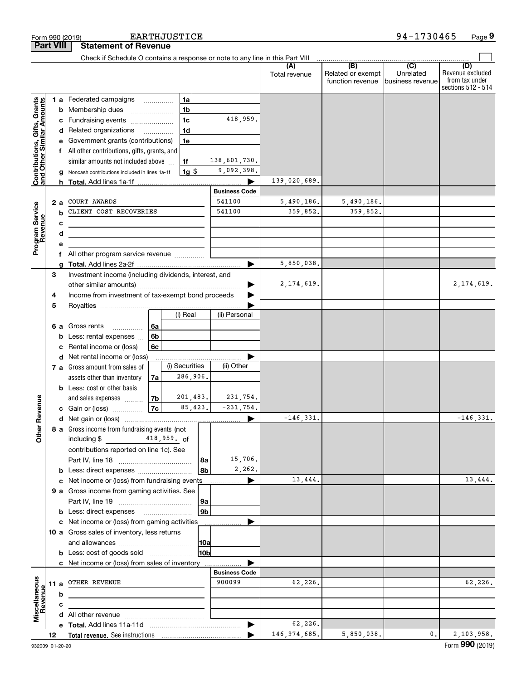|                                                           |                  |                                                        | Form 990 (2019)                                                               |                          | <b>EARTHJUSTICE</b> |                    |                       |                      |                                                           | 94-1730465                    | Page 9                                                          |
|-----------------------------------------------------------|------------------|--------------------------------------------------------|-------------------------------------------------------------------------------|--------------------------|---------------------|--------------------|-----------------------|----------------------|-----------------------------------------------------------|-------------------------------|-----------------------------------------------------------------|
|                                                           | <b>Part VIII</b> |                                                        | <b>Statement of Revenue</b>                                                   |                          |                     |                    |                       |                      |                                                           |                               |                                                                 |
|                                                           |                  |                                                        | Check if Schedule O contains a response or note to any line in this Part VIII |                          |                     |                    |                       |                      |                                                           |                               |                                                                 |
|                                                           |                  |                                                        |                                                                               |                          |                     |                    |                       | (A)<br>Total revenue | $\overline{(B)}$<br>Related or exempt<br>function revenue | Unrelated<br>business revenue | (D)<br>Revenue excluded<br>from tax under<br>sections 512 - 514 |
|                                                           |                  |                                                        | 1 a Federated campaigns                                                       |                          | 1a                  |                    |                       |                      |                                                           |                               |                                                                 |
| Contributions, Gifts, Grants<br>and Other Similar Amounts |                  | b                                                      | Membership dues                                                               |                          |                     | 1 <sub>b</sub>     |                       |                      |                                                           |                               |                                                                 |
|                                                           |                  |                                                        | c Fundraising events                                                          |                          | 1 <sub>c</sub>      |                    | 418,959.              |                      |                                                           |                               |                                                                 |
|                                                           |                  |                                                        | d Related organizations                                                       | $\overline{\phantom{a}}$ |                     | 1 <sub>d</sub>     |                       |                      |                                                           |                               |                                                                 |
|                                                           |                  |                                                        | Government grants (contributions)                                             |                          |                     | 1e                 |                       |                      |                                                           |                               |                                                                 |
|                                                           |                  |                                                        | f All other contributions, gifts, grants, and                                 |                          |                     |                    |                       |                      |                                                           |                               |                                                                 |
|                                                           |                  |                                                        | similar amounts not included above                                            |                          | 1f                  |                    | 138,601,730.          |                      |                                                           |                               |                                                                 |
|                                                           |                  | g                                                      | Noncash contributions included in lines 1a-1f                                 |                          |                     | $1g$ $\frac{1}{3}$ | 9,092,398.            |                      |                                                           |                               |                                                                 |
|                                                           |                  |                                                        |                                                                               |                          |                     |                    |                       | 139,020,689.         |                                                           |                               |                                                                 |
|                                                           |                  |                                                        |                                                                               |                          |                     |                    | <b>Business Code</b>  |                      |                                                           |                               |                                                                 |
|                                                           | 2a               |                                                        | COURT AWARDS                                                                  |                          |                     |                    | 541100                | 5,490,186.           | 5,490,186.                                                |                               |                                                                 |
| Program Service<br>Revenue                                |                  |                                                        | CLIENT COST RECOVERIES                                                        |                          |                     |                    | 541100                | 359,852.             | 359,852.                                                  |                               |                                                                 |
|                                                           |                  | с                                                      | <u> 1980 - Johann Barbara, martxa alemaniar amerikan a</u>                    |                          |                     |                    |                       |                      |                                                           |                               |                                                                 |
|                                                           |                  | d                                                      |                                                                               |                          |                     |                    |                       |                      |                                                           |                               |                                                                 |
|                                                           |                  | <u> 1980 - Jan Barnett, fransk politiker (d. 1980)</u> |                                                                               |                          |                     |                    |                       |                      |                                                           |                               |                                                                 |
|                                                           |                  |                                                        |                                                                               |                          |                     |                    |                       |                      |                                                           |                               |                                                                 |
|                                                           |                  |                                                        |                                                                               |                          |                     |                    |                       | 5,850,038.           |                                                           |                               |                                                                 |
|                                                           | 3                |                                                        | Investment income (including dividends, interest, and                         |                          |                     |                    |                       |                      |                                                           |                               |                                                                 |
|                                                           |                  |                                                        |                                                                               |                          |                     |                    |                       | 2, 174, 619.         |                                                           |                               | 2, 174, 619.                                                    |
|                                                           | 4                |                                                        | Income from investment of tax-exempt bond proceeds                            |                          |                     |                    |                       |                      |                                                           |                               |                                                                 |
|                                                           | 5                |                                                        |                                                                               |                          |                     |                    |                       |                      |                                                           |                               |                                                                 |
|                                                           |                  |                                                        |                                                                               |                          |                     | (i) Real           | (ii) Personal         |                      |                                                           |                               |                                                                 |
|                                                           | 6а               |                                                        | Gross rents                                                                   | l 6a                     |                     |                    |                       |                      |                                                           |                               |                                                                 |
|                                                           |                  |                                                        | Less: rental expenses                                                         | 6 <sub>b</sub>           |                     |                    |                       |                      |                                                           |                               |                                                                 |
|                                                           |                  | с                                                      | Rental income or (loss)                                                       | 6c                       |                     |                    |                       |                      |                                                           |                               |                                                                 |
|                                                           |                  | d                                                      | Net rental income or (loss)                                                   |                          |                     |                    |                       |                      |                                                           |                               |                                                                 |
|                                                           |                  |                                                        | 7 a Gross amount from sales of                                                |                          |                     | (i) Securities     | (ii) Other            |                      |                                                           |                               |                                                                 |
|                                                           |                  |                                                        | assets other than inventory                                                   | 7a                       |                     | 286,906.           |                       |                      |                                                           |                               |                                                                 |
|                                                           |                  |                                                        | <b>b</b> Less: cost or other basis                                            |                          |                     |                    |                       |                      |                                                           |                               |                                                                 |
|                                                           |                  |                                                        | and sales expenses                                                            | 7b                       |                     | 201,483.           | 231,754.              |                      |                                                           |                               |                                                                 |
| evenue                                                    |                  |                                                        | c Gain or (loss)                                                              | 7c                       |                     | 85,423.            | $-231,754.$           |                      |                                                           |                               |                                                                 |
|                                                           |                  |                                                        |                                                                               |                          |                     |                    |                       | $-146,331.$          |                                                           |                               | $-146, 331.$                                                    |
| Other <sub>R</sub>                                        |                  |                                                        | 8 a Gross income from fundraising events (not                                 |                          |                     |                    |                       |                      |                                                           |                               |                                                                 |
|                                                           |                  |                                                        |                                                                               |                          |                     |                    |                       |                      |                                                           |                               |                                                                 |
|                                                           |                  |                                                        | contributions reported on line 1c). See                                       |                          |                     |                    |                       |                      |                                                           |                               |                                                                 |
|                                                           |                  |                                                        |                                                                               |                          |                     | l 8a               | 15,706.               |                      |                                                           |                               |                                                                 |
|                                                           |                  |                                                        |                                                                               |                          |                     | 8b                 | 2,262.                |                      |                                                           |                               |                                                                 |
|                                                           |                  |                                                        | c Net income or (loss) from fundraising events                                |                          |                     |                    | ▶                     | 13,444.              |                                                           |                               | 13,444.                                                         |
|                                                           |                  |                                                        | 9 a Gross income from gaming activities. See                                  |                          |                     |                    |                       |                      |                                                           |                               |                                                                 |
|                                                           |                  |                                                        |                                                                               |                          |                     | 9a                 |                       |                      |                                                           |                               |                                                                 |
|                                                           |                  |                                                        | <b>b</b> Less: direct expenses <b>manually</b>                                |                          |                     | 9 <sub>b</sub>     |                       |                      |                                                           |                               |                                                                 |
|                                                           |                  |                                                        | c Net income or (loss) from gaming activities                                 |                          |                     |                    |                       |                      |                                                           |                               |                                                                 |
|                                                           |                  |                                                        | 10 a Gross sales of inventory, less returns                                   |                          |                     |                    |                       |                      |                                                           |                               |                                                                 |
|                                                           |                  |                                                        |                                                                               |                          |                     | 10a                |                       |                      |                                                           |                               |                                                                 |
|                                                           |                  |                                                        | <b>b</b> Less: cost of goods sold                                             |                          |                     | 10b                |                       |                      |                                                           |                               |                                                                 |
|                                                           |                  |                                                        | c Net income or (loss) from sales of inventory                                |                          |                     |                    |                       |                      |                                                           |                               |                                                                 |
|                                                           |                  |                                                        |                                                                               |                          |                     |                    | <b>Business Code</b>  |                      |                                                           |                               |                                                                 |
| Miscellaneous<br>Revenue                                  | 11 a             |                                                        | OTHER REVENUE                                                                 |                          |                     |                    | 900099                | 62,226.              |                                                           |                               | 62,226.                                                         |
|                                                           |                  | b                                                      |                                                                               |                          |                     |                    |                       |                      |                                                           |                               |                                                                 |
|                                                           |                  | с                                                      |                                                                               |                          |                     |                    |                       |                      |                                                           |                               |                                                                 |
|                                                           |                  |                                                        |                                                                               |                          |                     |                    |                       |                      |                                                           |                               |                                                                 |
|                                                           |                  |                                                        |                                                                               |                          |                     |                    | $\blacktriangleright$ | 62,226.              |                                                           |                               |                                                                 |
|                                                           | 12               |                                                        |                                                                               |                          |                     |                    |                       | 146, 974, 685.       | 5,850,038.                                                | 0.                            | 2, 103, 958.                                                    |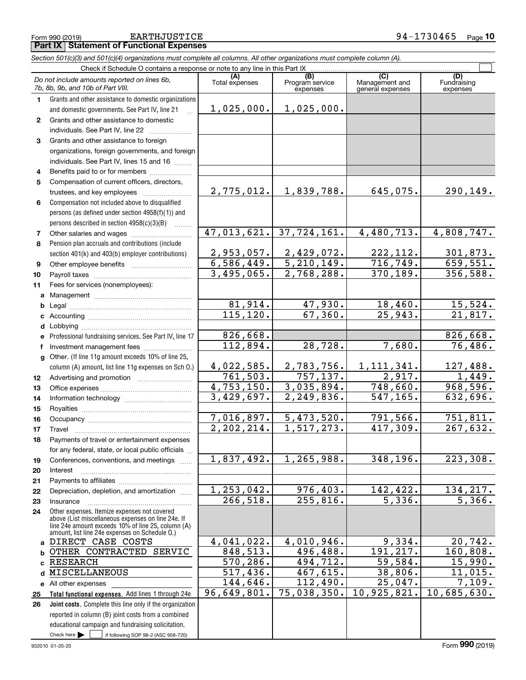EARTHJUSTICE 94-1730465

|              | Form 990 (2019)<br><b>EARTHJUSTICE</b><br><b>Part IX   Statement of Functional Expenses</b>                                                                                                                |                           |                                    |                                           | $94 - 1130405$<br>Page 10      |  |  |  |  |  |  |  |
|--------------|------------------------------------------------------------------------------------------------------------------------------------------------------------------------------------------------------------|---------------------------|------------------------------------|-------------------------------------------|--------------------------------|--|--|--|--|--|--|--|
|              | Section 501(c)(3) and 501(c)(4) organizations must complete all columns. All other organizations must complete column (A).                                                                                 |                           |                                    |                                           |                                |  |  |  |  |  |  |  |
|              | Check if Schedule O contains a response or note to any line in this Part IX                                                                                                                                |                           |                                    |                                           |                                |  |  |  |  |  |  |  |
|              | Do not include amounts reported on lines 6b,<br>7b, 8b, 9b, and 10b of Part VIII.                                                                                                                          | (A)<br>Total expenses     | (B)<br>Program service<br>expenses | (C)<br>Management and<br>general expenses | (D)<br>Fundraising<br>expenses |  |  |  |  |  |  |  |
| 1            | Grants and other assistance to domestic organizations                                                                                                                                                      |                           |                                    |                                           |                                |  |  |  |  |  |  |  |
|              | and domestic governments. See Part IV, line 21<br>$\mathbf{r}$                                                                                                                                             | 1,025,000.                | 1,025,000.                         |                                           |                                |  |  |  |  |  |  |  |
| $\mathbf{2}$ | Grants and other assistance to domestic                                                                                                                                                                    |                           |                                    |                                           |                                |  |  |  |  |  |  |  |
|              | individuals. See Part IV, line 22                                                                                                                                                                          |                           |                                    |                                           |                                |  |  |  |  |  |  |  |
| 3            | Grants and other assistance to foreign                                                                                                                                                                     |                           |                                    |                                           |                                |  |  |  |  |  |  |  |
|              | organizations, foreign governments, and foreign                                                                                                                                                            |                           |                                    |                                           |                                |  |  |  |  |  |  |  |
|              | individuals. See Part IV, lines 15 and 16                                                                                                                                                                  |                           |                                    |                                           |                                |  |  |  |  |  |  |  |
| 4            | Benefits paid to or for members                                                                                                                                                                            |                           |                                    |                                           |                                |  |  |  |  |  |  |  |
| 5            | Compensation of current officers, directors,                                                                                                                                                               |                           |                                    |                                           |                                |  |  |  |  |  |  |  |
|              | trustees, and key employees                                                                                                                                                                                | 2,775,012.                | 1,839,788.                         | 645,075.                                  | 290,149.                       |  |  |  |  |  |  |  |
| 6            | Compensation not included above to disqualified                                                                                                                                                            |                           |                                    |                                           |                                |  |  |  |  |  |  |  |
|              | persons (as defined under section 4958(f)(1)) and                                                                                                                                                          |                           |                                    |                                           |                                |  |  |  |  |  |  |  |
|              | persons described in section 4958(c)(3)(B)                                                                                                                                                                 | 47,013,621.               | 37,724,161.                        | 4,480,713.                                | 4,808,747.                     |  |  |  |  |  |  |  |
| 7<br>8       | Pension plan accruals and contributions (include                                                                                                                                                           |                           |                                    |                                           |                                |  |  |  |  |  |  |  |
|              | section 401(k) and 403(b) employer contributions)                                                                                                                                                          | 2,953,057.                | 2,429,072.                         | 222,112.                                  | 301,873.                       |  |  |  |  |  |  |  |
| 9            |                                                                                                                                                                                                            | 6,586,449.                | 5, 210, 149.                       | 716,749.                                  | 659,551.                       |  |  |  |  |  |  |  |
| 10           |                                                                                                                                                                                                            | $\overline{3,495}$ , 065. | $\overline{2}$ , 768, 288.         | 370,189.                                  | 356,588.                       |  |  |  |  |  |  |  |
| 11           | Fees for services (nonemployees):                                                                                                                                                                          |                           |                                    |                                           |                                |  |  |  |  |  |  |  |
|              |                                                                                                                                                                                                            |                           |                                    |                                           |                                |  |  |  |  |  |  |  |
| b            |                                                                                                                                                                                                            | 81,914.                   | 47,930.                            | 18,460.                                   | 15,524.                        |  |  |  |  |  |  |  |
|              |                                                                                                                                                                                                            | 115, 120.                 | 67, 360.                           | 25,943.                                   | 21,817.                        |  |  |  |  |  |  |  |
|              |                                                                                                                                                                                                            |                           |                                    |                                           |                                |  |  |  |  |  |  |  |
|              | e Professional fundraising services. See Part IV, line 17                                                                                                                                                  | 826,668.                  |                                    |                                           | 826,668.                       |  |  |  |  |  |  |  |
| f            | Investment management fees                                                                                                                                                                                 | 112,894.                  | 28,728.                            | 7,680.                                    | 76,486.                        |  |  |  |  |  |  |  |
|              | g Other. (If line 11g amount exceeds 10% of line 25,                                                                                                                                                       |                           |                                    |                                           |                                |  |  |  |  |  |  |  |
|              | column (A) amount, list line 11g expenses on Sch O.)                                                                                                                                                       | 4,022,585.                | 2,783,756.                         | 1, 111, 341.                              | $127,488$ .                    |  |  |  |  |  |  |  |
| 12           |                                                                                                                                                                                                            | 761,503.                  | 757, 137.                          | 2,917.                                    | 1,449.                         |  |  |  |  |  |  |  |
| 13           |                                                                                                                                                                                                            | 4,753,150.<br>3,429,697.  | 3,035,894.<br>2,249,836.           | 748,660.<br>547,165.                      | 968,596.<br>632,696.           |  |  |  |  |  |  |  |
| 14<br>15     |                                                                                                                                                                                                            |                           |                                    |                                           |                                |  |  |  |  |  |  |  |
| 16           | Occupancy                                                                                                                                                                                                  | 7,016,897.                | 5,473,520.                         | 791,566.                                  | 751,811.                       |  |  |  |  |  |  |  |
| 17           | Travel                                                                                                                                                                                                     | 2,202,214.                | 1,517,273.                         | 417, 309.                                 | 267,632.                       |  |  |  |  |  |  |  |
| 18           | Payments of travel or entertainment expenses                                                                                                                                                               |                           |                                    |                                           |                                |  |  |  |  |  |  |  |
|              | for any federal, state, or local public officials                                                                                                                                                          |                           |                                    |                                           |                                |  |  |  |  |  |  |  |
| 19           | Conferences, conventions, and meetings                                                                                                                                                                     | 1,837,492.                | 1,265,988.                         | 348,196.                                  | 223, 308.                      |  |  |  |  |  |  |  |
| 20           | Interest                                                                                                                                                                                                   |                           |                                    |                                           |                                |  |  |  |  |  |  |  |
| 21           |                                                                                                                                                                                                            |                           |                                    |                                           |                                |  |  |  |  |  |  |  |
| 22           | Depreciation, depletion, and amortization                                                                                                                                                                  | 1, 253, 042.              | 976,403.                           | 142,422.                                  | 134,217.                       |  |  |  |  |  |  |  |
| 23           | Insurance                                                                                                                                                                                                  | 266, 518.                 | 255,816.                           | 5,336.                                    | 5,366.                         |  |  |  |  |  |  |  |
| 24           | Other expenses. Itemize expenses not covered<br>above (List miscellaneous expenses on line 24e. If<br>line 24e amount exceeds 10% of line 25, column (A)<br>amount, list line 24e expenses on Schedule O.) |                           |                                    |                                           |                                |  |  |  |  |  |  |  |
|              | a DIRECT CASE COSTS                                                                                                                                                                                        | 4,041,022.                | 4,010,946.                         | 9,334.                                    | 20,742.                        |  |  |  |  |  |  |  |
|              | OTHER CONTRACTED SERVIC                                                                                                                                                                                    | 848,513.                  | 496,488.                           | 191,217.                                  | 160,808.                       |  |  |  |  |  |  |  |
| c            | <b>RESEARCH</b>                                                                                                                                                                                            | 570, 286.                 | 494,712.                           | 59,584.                                   | 15,990.                        |  |  |  |  |  |  |  |
|              | MISCELLANEOUS                                                                                                                                                                                              | 517,436.                  | 467,615.                           | 38,806.                                   | 11,015.                        |  |  |  |  |  |  |  |
|              | e All other expenses                                                                                                                                                                                       | 144,646.                  | 112,490.                           | 25,047.                                   | 7,109.                         |  |  |  |  |  |  |  |
| 25           | Total functional expenses. Add lines 1 through 24e                                                                                                                                                         | 96,649,801.               | 75,038,350.                        | 10,925,821.                               | 10,685,630.                    |  |  |  |  |  |  |  |
| 26           | Joint costs. Complete this line only if the organization<br>reported in column (B) joint costs from a combined                                                                                             |                           |                                    |                                           |                                |  |  |  |  |  |  |  |
|              |                                                                                                                                                                                                            |                           |                                    |                                           |                                |  |  |  |  |  |  |  |

Check here  $\blacktriangleright$ 

Check here  $\bullet$  if following SOP 98-2 (ASC 958-720)

educational campaign and fundraising solicitation.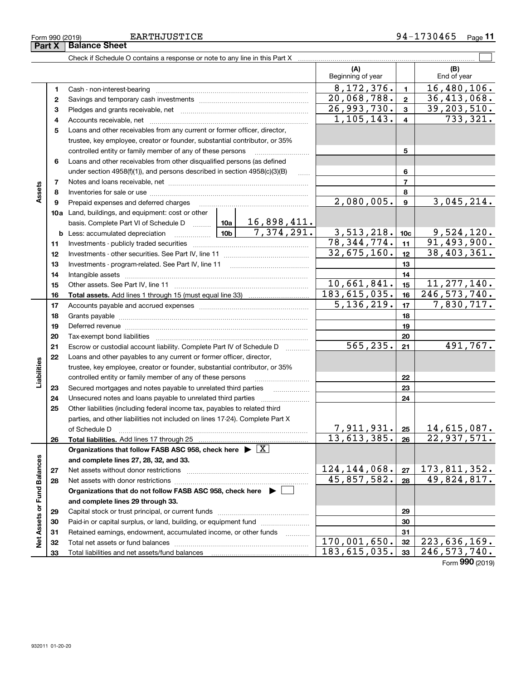| Form 990 (2019) |                      | <b>EARTHJUSTICE</b> | 30465<br>$97-$ | $P$ age |
|-----------------|----------------------|---------------------|----------------|---------|
| Part X          | <b>Balance Sheet</b> |                     |                |         |

|                             |          |                                                                                                                     | (A)<br>Beginning of year      |                 | (B)<br>End of year                |
|-----------------------------|----------|---------------------------------------------------------------------------------------------------------------------|-------------------------------|-----------------|-----------------------------------|
|                             | 1        |                                                                                                                     | 8, 172, 376.                  | $\blacksquare$  | 16,480,106.                       |
|                             | 2        |                                                                                                                     | 20,068,788.                   | $\mathbf{2}$    | 36,413,068.                       |
|                             | з        |                                                                                                                     | 26,993,730.                   | $\mathbf{3}$    | 39, 203, 510.                     |
|                             | 4        |                                                                                                                     | 1,105,143.                    | $\overline{4}$  | $\overline{733,321}$ .            |
|                             | 5        | Loans and other receivables from any current or former officer, director,                                           |                               |                 |                                   |
|                             |          | trustee, key employee, creator or founder, substantial contributor, or 35%                                          |                               |                 |                                   |
|                             |          | controlled entity or family member of any of these persons                                                          |                               | 5               |                                   |
|                             | 6        | Loans and other receivables from other disqualified persons (as defined                                             |                               |                 |                                   |
|                             |          | under section 4958(f)(1)), and persons described in section 4958(c)(3)(B)                                           |                               | 6               |                                   |
|                             | 7        |                                                                                                                     |                               | $\overline{7}$  |                                   |
| Assets                      | 8        |                                                                                                                     |                               | 8               |                                   |
|                             | 9        |                                                                                                                     | 2,080,005.                    | $\mathbf{9}$    | 3,045,214.                        |
|                             |          | 10a Land, buildings, and equipment: cost or other                                                                   |                               |                 |                                   |
|                             |          | basis. Complete Part VI of Schedule D    10a   16,898,411.                                                          |                               |                 |                                   |
|                             |          | $\overline{7,374,291.}$<br><b>b</b> Less: accumulated depreciation                                                  | 3,513,218.                    | 10 <sub>c</sub> | 9,524,120.                        |
|                             | 11       |                                                                                                                     | 78, 344, 774.                 | 11              | 91, 493, 900.                     |
|                             | 12       |                                                                                                                     | 32,675,160.                   | 12              | 38,403,361.                       |
|                             | 13       |                                                                                                                     |                               | 13              |                                   |
|                             | 14       |                                                                                                                     |                               | 14              |                                   |
|                             | 15       |                                                                                                                     | 10,661,841.<br>183, 615, 035. | 15              | 11, 277, 140.                     |
|                             | 16       |                                                                                                                     | 5, 136, 219.                  | 16              | 246, 573, 740.<br>7,830,717.      |
|                             | 17       |                                                                                                                     |                               | 17              |                                   |
|                             | 18       |                                                                                                                     |                               | 18              |                                   |
|                             | 19<br>20 | Deferred revenue manual contracts and contracts are all the manual contracts and contracts are all the contracts of |                               | 19<br>20        |                                   |
|                             | 21       | Escrow or custodial account liability. Complete Part IV of Schedule D                                               | 565, 235.                     | 21              | 491,767.                          |
|                             | 22       | Loans and other payables to any current or former officer, director,                                                |                               |                 |                                   |
| Liabilities                 |          | trustee, key employee, creator or founder, substantial contributor, or 35%                                          |                               |                 |                                   |
|                             |          | controlled entity or family member of any of these persons                                                          |                               | 22              |                                   |
|                             | 23       | Secured mortgages and notes payable to unrelated third parties                                                      |                               | 23              |                                   |
|                             | 24       | Unsecured notes and loans payable to unrelated third parties                                                        |                               | 24              |                                   |
|                             | 25       | Other liabilities (including federal income tax, payables to related third                                          |                               |                 |                                   |
|                             |          | parties, and other liabilities not included on lines 17-24). Complete Part X                                        |                               |                 |                                   |
|                             |          | of Schedule D <b>contract the contract of Schedule D</b>                                                            | 7,911,931.                    | 25              | 14,615,087.                       |
|                             | 26       |                                                                                                                     | 13,613,385.                   | 26              | 22,937,571.                       |
|                             |          | Organizations that follow FASB ASC 958, check here $\blacktriangleright \boxed{X}$                                  |                               |                 |                                   |
|                             |          | and complete lines 27, 28, 32, and 33.                                                                              |                               |                 |                                   |
|                             | 27       |                                                                                                                     | 124, 144, 068.                | 27              | 173,811,352.                      |
|                             | 28       |                                                                                                                     | 45,857,582.                   | 28              | 49,824,817.                       |
|                             |          | Organizations that do not follow FASB ASC 958, check here $\blacktriangleright \Box$                                |                               |                 |                                   |
|                             |          | and complete lines 29 through 33.                                                                                   |                               |                 |                                   |
|                             | 29       |                                                                                                                     |                               | 29              |                                   |
|                             | 30       | Paid-in or capital surplus, or land, building, or equipment fund                                                    |                               | 30              |                                   |
| Net Assets or Fund Balances | 31       | Retained earnings, endowment, accumulated income, or other funds<br>1.1.1.1.1.1.1.1.1                               |                               | 31              |                                   |
|                             | 32       |                                                                                                                     | 170,001,650.                  | 32              | $\overline{223,636,169}$ .        |
|                             | 33       | Total liabilities and net assets/fund balances                                                                      | 183,615,035.                  | 33              | 246, 573, 740.<br>Form 990 (2019) |
|                             |          |                                                                                                                     |                               |                 |                                   |

**Part X Balance Sheet**<br>**Part X Balance Sheet**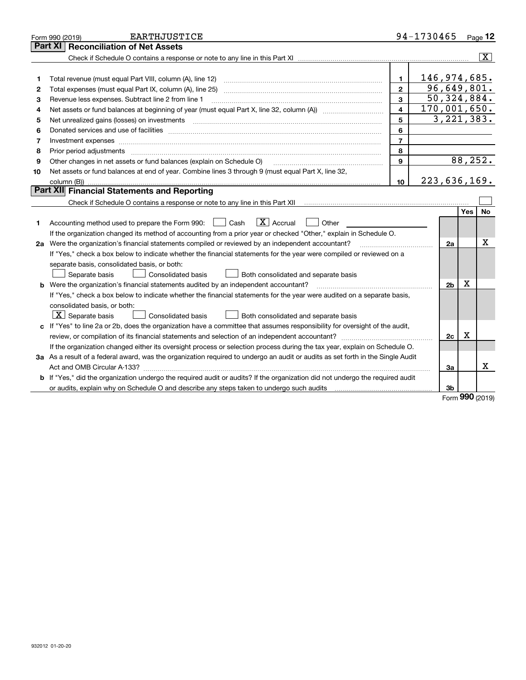|    | <b>EARTHJUSTICE</b><br>Form 990 (2019)                                                                                          |                         | 94-1730465 |                |     | Page 12        |
|----|---------------------------------------------------------------------------------------------------------------------------------|-------------------------|------------|----------------|-----|----------------|
|    | <b>Reconciliation of Net Assets</b><br>Part XI                                                                                  |                         |            |                |     |                |
|    |                                                                                                                                 |                         |            |                |     | $ \mathbf{X} $ |
|    |                                                                                                                                 |                         |            |                |     |                |
| 1  | Total revenue (must equal Part VIII, column (A), line 12)                                                                       | $\mathbf{1}$            |            | 146,974,685.   |     |                |
| 2  |                                                                                                                                 | $\mathbf{2}$            |            | 96,649,801.    |     |                |
| 3  | Revenue less expenses. Subtract line 2 from line 1                                                                              | 3                       |            | 50, 324, 884.  |     |                |
| 4  |                                                                                                                                 | $\overline{\mathbf{4}}$ |            | 170,001,650.   |     |                |
| 5  | Net unrealized gains (losses) on investments                                                                                    | 5                       |            | 3, 221, 383.   |     |                |
| 6  |                                                                                                                                 | 6                       |            |                |     |                |
| 7  | Investment expenses www.communication.com/www.communication.com/www.communication.com/www.communication.com                     | $\overline{7}$          |            |                |     |                |
| 8  | Prior period adjustments                                                                                                        | 8                       |            |                |     |                |
| 9  | Other changes in net assets or fund balances (explain on Schedule O)                                                            | 9                       |            |                |     | 88,252.        |
| 10 | Net assets or fund balances at end of year. Combine lines 3 through 9 (must equal Part X, line 32,                              |                         |            |                |     |                |
|    |                                                                                                                                 | 10                      |            | 223,636,169.   |     |                |
|    | Part XII Financial Statements and Reporting                                                                                     |                         |            |                |     |                |
|    |                                                                                                                                 |                         |            |                |     |                |
|    |                                                                                                                                 |                         |            |                | Yes | <b>No</b>      |
| 1  | $\boxed{\mathbf{X}}$ Accrual<br>Accounting method used to prepare the Form 990: <u>[</u> Cash<br>Other                          |                         |            |                |     |                |
|    | If the organization changed its method of accounting from a prior year or checked "Other," explain in Schedule O.               |                         |            |                |     |                |
|    | 2a Were the organization's financial statements compiled or reviewed by an independent accountant?                              |                         |            | 2a             |     | x              |
|    | If "Yes," check a box below to indicate whether the financial statements for the year were compiled or reviewed on a            |                         |            |                |     |                |
|    | separate basis, consolidated basis, or both:                                                                                    |                         |            |                |     |                |
|    | Separate basis<br>Consolidated basis<br>Both consolidated and separate basis                                                    |                         |            |                |     |                |
|    | <b>b</b> Were the organization's financial statements audited by an independent accountant?                                     |                         |            | 2 <sub>b</sub> | Х   |                |
|    | If "Yes," check a box below to indicate whether the financial statements for the year were audited on a separate basis,         |                         |            |                |     |                |
|    | consolidated basis, or both:                                                                                                    |                         |            |                |     |                |
|    | $X$ Separate basis<br>Consolidated basis<br>Both consolidated and separate basis                                                |                         |            |                |     |                |
|    | c If "Yes" to line 2a or 2b, does the organization have a committee that assumes responsibility for oversight of the audit,     |                         |            |                |     |                |
|    |                                                                                                                                 |                         |            | 2c             | х   |                |
|    | If the organization changed either its oversight process or selection process during the tax year, explain on Schedule O.       |                         |            |                |     |                |
|    | 3a As a result of a federal award, was the organization required to undergo an audit or audits as set forth in the Single Audit |                         |            |                |     |                |
|    |                                                                                                                                 |                         |            | За             |     | x              |
|    | b If "Yes," did the organization undergo the required audit or audits? If the organization did not undergo the required audit   |                         |            |                |     |                |
|    |                                                                                                                                 |                         |            | 3b             |     |                |

Form (2019) **990**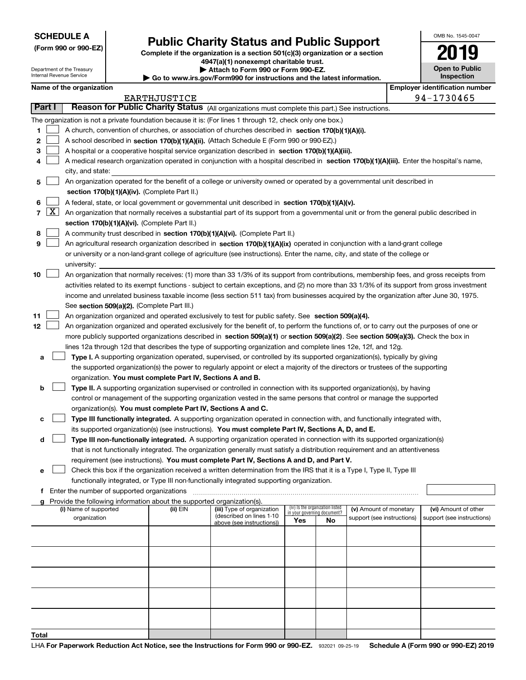**(Form 990 or 990-EZ)**

# **Public Charity Status and Public Support**

**Complete if the organization is a section 501(c)(3) organization or a section 4947(a)(1) nonexempt charitable trust. | Attach to Form 990 or Form 990-EZ.** 

| ww.irs.gov/Form990 for instructions and the latest information. |  |
|-----------------------------------------------------------------|--|
|                                                                 |  |

| OMB No. 1545-0047                   |
|-------------------------------------|
| 2019                                |
| <b>Open to Public</b><br>Inspection |

|                                   | Department of the Treasury<br>Internal Revenue Service                                                                                                                                                                                                                                                                                                                                                                                                                                                                                 |                                                                                                                                                                                                                                                                                                           |                                             |                                                                                                                                                                            | ▶ Attach to Form 990 or Form 990-EZ.<br>Go to www.irs.gov/Form990 for instructions and the latest information.                                                                                                                                                                                                                                                                                                                                                                                                                                                                                                                                                                                                                                                                                                                                                                                                                                                                                                                                                                                                                                                                                                                                                                                                                                                                                                                                                                                                                                                                                                                                                                                                                                                                                                                                                                                                                                                                                |     |                                 | <b>Open to Public</b><br><b>Inspection</b>           |  |                                                    |  |
|-----------------------------------|----------------------------------------------------------------------------------------------------------------------------------------------------------------------------------------------------------------------------------------------------------------------------------------------------------------------------------------------------------------------------------------------------------------------------------------------------------------------------------------------------------------------------------------|-----------------------------------------------------------------------------------------------------------------------------------------------------------------------------------------------------------------------------------------------------------------------------------------------------------|---------------------------------------------|----------------------------------------------------------------------------------------------------------------------------------------------------------------------------|-----------------------------------------------------------------------------------------------------------------------------------------------------------------------------------------------------------------------------------------------------------------------------------------------------------------------------------------------------------------------------------------------------------------------------------------------------------------------------------------------------------------------------------------------------------------------------------------------------------------------------------------------------------------------------------------------------------------------------------------------------------------------------------------------------------------------------------------------------------------------------------------------------------------------------------------------------------------------------------------------------------------------------------------------------------------------------------------------------------------------------------------------------------------------------------------------------------------------------------------------------------------------------------------------------------------------------------------------------------------------------------------------------------------------------------------------------------------------------------------------------------------------------------------------------------------------------------------------------------------------------------------------------------------------------------------------------------------------------------------------------------------------------------------------------------------------------------------------------------------------------------------------------------------------------------------------------------------------------------------------|-----|---------------------------------|------------------------------------------------------|--|----------------------------------------------------|--|
|                                   |                                                                                                                                                                                                                                                                                                                                                                                                                                                                                                                                        | Name of the organization                                                                                                                                                                                                                                                                                  |                                             |                                                                                                                                                                            |                                                                                                                                                                                                                                                                                                                                                                                                                                                                                                                                                                                                                                                                                                                                                                                                                                                                                                                                                                                                                                                                                                                                                                                                                                                                                                                                                                                                                                                                                                                                                                                                                                                                                                                                                                                                                                                                                                                                                                                               |     |                                 |                                                      |  | <b>Employer identification number</b>              |  |
|                                   |                                                                                                                                                                                                                                                                                                                                                                                                                                                                                                                                        |                                                                                                                                                                                                                                                                                                           |                                             | <b>EARTHJUSTICE</b>                                                                                                                                                        |                                                                                                                                                                                                                                                                                                                                                                                                                                                                                                                                                                                                                                                                                                                                                                                                                                                                                                                                                                                                                                                                                                                                                                                                                                                                                                                                                                                                                                                                                                                                                                                                                                                                                                                                                                                                                                                                                                                                                                                               |     |                                 |                                                      |  | 94-1730465                                         |  |
|                                   | Part I                                                                                                                                                                                                                                                                                                                                                                                                                                                                                                                                 |                                                                                                                                                                                                                                                                                                           |                                             |                                                                                                                                                                            | Reason for Public Charity Status (All organizations must complete this part.) See instructions.                                                                                                                                                                                                                                                                                                                                                                                                                                                                                                                                                                                                                                                                                                                                                                                                                                                                                                                                                                                                                                                                                                                                                                                                                                                                                                                                                                                                                                                                                                                                                                                                                                                                                                                                                                                                                                                                                               |     |                                 |                                                      |  |                                                    |  |
| 1<br>2<br>з<br>4                  |                                                                                                                                                                                                                                                                                                                                                                                                                                                                                                                                        | city, and state:                                                                                                                                                                                                                                                                                          |                                             |                                                                                                                                                                            | The organization is not a private foundation because it is: (For lines 1 through 12, check only one box.)<br>A church, convention of churches, or association of churches described in section 170(b)(1)(A)(i).<br>A school described in section 170(b)(1)(A)(ii). (Attach Schedule E (Form 990 or 990-EZ).)<br>A hospital or a cooperative hospital service organization described in section 170(b)(1)(A)(iii).<br>A medical research organization operated in conjunction with a hospital described in section 170(b)(1)(A)(iii). Enter the hospital's name,                                                                                                                                                                                                                                                                                                                                                                                                                                                                                                                                                                                                                                                                                                                                                                                                                                                                                                                                                                                                                                                                                                                                                                                                                                                                                                                                                                                                                               |     |                                 |                                                      |  |                                                    |  |
| 5                                 |                                                                                                                                                                                                                                                                                                                                                                                                                                                                                                                                        | An organization operated for the benefit of a college or university owned or operated by a governmental unit described in                                                                                                                                                                                 |                                             |                                                                                                                                                                            |                                                                                                                                                                                                                                                                                                                                                                                                                                                                                                                                                                                                                                                                                                                                                                                                                                                                                                                                                                                                                                                                                                                                                                                                                                                                                                                                                                                                                                                                                                                                                                                                                                                                                                                                                                                                                                                                                                                                                                                               |     |                                 |                                                      |  |                                                    |  |
|                                   |                                                                                                                                                                                                                                                                                                                                                                                                                                                                                                                                        |                                                                                                                                                                                                                                                                                                           |                                             | section 170(b)(1)(A)(iv). (Complete Part II.)                                                                                                                              |                                                                                                                                                                                                                                                                                                                                                                                                                                                                                                                                                                                                                                                                                                                                                                                                                                                                                                                                                                                                                                                                                                                                                                                                                                                                                                                                                                                                                                                                                                                                                                                                                                                                                                                                                                                                                                                                                                                                                                                               |     |                                 |                                                      |  |                                                    |  |
| 6<br>$\overline{7}$<br>8<br>9     | A federal, state, or local government or governmental unit described in section 170(b)(1)(A)(v).<br>$\lfloor x \rfloor$<br>An organization that normally receives a substantial part of its support from a governmental unit or from the general public described in<br>section 170(b)(1)(A)(vi). (Complete Part II.)<br>A community trust described in section 170(b)(1)(A)(vi). (Complete Part II.)<br>An agricultural research organization described in section 170(b)(1)(A)(ix) operated in conjunction with a land-grant college |                                                                                                                                                                                                                                                                                                           |                                             |                                                                                                                                                                            |                                                                                                                                                                                                                                                                                                                                                                                                                                                                                                                                                                                                                                                                                                                                                                                                                                                                                                                                                                                                                                                                                                                                                                                                                                                                                                                                                                                                                                                                                                                                                                                                                                                                                                                                                                                                                                                                                                                                                                                               |     |                                 |                                                      |  |                                                    |  |
|                                   |                                                                                                                                                                                                                                                                                                                                                                                                                                                                                                                                        |                                                                                                                                                                                                                                                                                                           |                                             |                                                                                                                                                                            | or university or a non-land-grant college of agriculture (see instructions). Enter the name, city, and state of the college or                                                                                                                                                                                                                                                                                                                                                                                                                                                                                                                                                                                                                                                                                                                                                                                                                                                                                                                                                                                                                                                                                                                                                                                                                                                                                                                                                                                                                                                                                                                                                                                                                                                                                                                                                                                                                                                                |     |                                 |                                                      |  |                                                    |  |
| 10                                |                                                                                                                                                                                                                                                                                                                                                                                                                                                                                                                                        | university:<br>An organization that normally receives: (1) more than 33 1/3% of its support from contributions, membership fees, and gross receipts from<br>activities related to its exempt functions - subject to certain exceptions, and (2) no more than 33 1/3% of its support from gross investment |                                             |                                                                                                                                                                            |                                                                                                                                                                                                                                                                                                                                                                                                                                                                                                                                                                                                                                                                                                                                                                                                                                                                                                                                                                                                                                                                                                                                                                                                                                                                                                                                                                                                                                                                                                                                                                                                                                                                                                                                                                                                                                                                                                                                                                                               |     |                                 |                                                      |  |                                                    |  |
| 11<br>12<br>а<br>b<br>с<br>d<br>е |                                                                                                                                                                                                                                                                                                                                                                                                                                                                                                                                        |                                                                                                                                                                                                                                                                                                           |                                             | See section 509(a)(2). (Complete Part III.)<br>organization. You must complete Part IV, Sections A and B.<br>organization(s). You must complete Part IV, Sections A and C. | income and unrelated business taxable income (less section 511 tax) from businesses acquired by the organization after June 30, 1975.<br>An organization organized and operated exclusively to test for public safety. See section 509(a)(4).<br>An organization organized and operated exclusively for the benefit of, to perform the functions of, or to carry out the purposes of one or<br>more publicly supported organizations described in section 509(a)(1) or section 509(a)(2). See section 509(a)(3). Check the box in<br>lines 12a through 12d that describes the type of supporting organization and complete lines 12e, 12f, and 12g.<br>Type I. A supporting organization operated, supervised, or controlled by its supported organization(s), typically by giving<br>the supported organization(s) the power to regularly appoint or elect a majority of the directors or trustees of the supporting<br>Type II. A supporting organization supervised or controlled in connection with its supported organization(s), by having<br>control or management of the supporting organization vested in the same persons that control or manage the supported<br>Type III functionally integrated. A supporting organization operated in connection with, and functionally integrated with,<br>its supported organization(s) (see instructions). You must complete Part IV, Sections A, D, and E.<br>Type III non-functionally integrated. A supporting organization operated in connection with its supported organization(s)<br>that is not functionally integrated. The organization generally must satisfy a distribution requirement and an attentiveness<br>requirement (see instructions). You must complete Part IV, Sections A and D, and Part V.<br>Check this box if the organization received a written determination from the IRS that it is a Type I, Type II, Type III<br>functionally integrated, or Type III non-functionally integrated supporting organization. |     |                                 |                                                      |  |                                                    |  |
|                                   |                                                                                                                                                                                                                                                                                                                                                                                                                                                                                                                                        |                                                                                                                                                                                                                                                                                                           | Enter the number of supported organizations |                                                                                                                                                                            |                                                                                                                                                                                                                                                                                                                                                                                                                                                                                                                                                                                                                                                                                                                                                                                                                                                                                                                                                                                                                                                                                                                                                                                                                                                                                                                                                                                                                                                                                                                                                                                                                                                                                                                                                                                                                                                                                                                                                                                               |     |                                 |                                                      |  |                                                    |  |
|                                   |                                                                                                                                                                                                                                                                                                                                                                                                                                                                                                                                        |                                                                                                                                                                                                                                                                                                           |                                             | Provide the following information about the supported organization(s).                                                                                                     |                                                                                                                                                                                                                                                                                                                                                                                                                                                                                                                                                                                                                                                                                                                                                                                                                                                                                                                                                                                                                                                                                                                                                                                                                                                                                                                                                                                                                                                                                                                                                                                                                                                                                                                                                                                                                                                                                                                                                                                               |     | (iv) Is the organization listed |                                                      |  |                                                    |  |
|                                   |                                                                                                                                                                                                                                                                                                                                                                                                                                                                                                                                        | (i) Name of supported<br>organization                                                                                                                                                                                                                                                                     |                                             | (ii) EIN                                                                                                                                                                   | (iii) Type of organization<br>(described on lines 1-10                                                                                                                                                                                                                                                                                                                                                                                                                                                                                                                                                                                                                                                                                                                                                                                                                                                                                                                                                                                                                                                                                                                                                                                                                                                                                                                                                                                                                                                                                                                                                                                                                                                                                                                                                                                                                                                                                                                                        |     | in your governing document?     | (v) Amount of monetary<br>support (see instructions) |  | (vi) Amount of other<br>support (see instructions) |  |
|                                   |                                                                                                                                                                                                                                                                                                                                                                                                                                                                                                                                        |                                                                                                                                                                                                                                                                                                           |                                             |                                                                                                                                                                            | above (see instructions))                                                                                                                                                                                                                                                                                                                                                                                                                                                                                                                                                                                                                                                                                                                                                                                                                                                                                                                                                                                                                                                                                                                                                                                                                                                                                                                                                                                                                                                                                                                                                                                                                                                                                                                                                                                                                                                                                                                                                                     | Yes | No                              |                                                      |  |                                                    |  |
|                                   |                                                                                                                                                                                                                                                                                                                                                                                                                                                                                                                                        |                                                                                                                                                                                                                                                                                                           |                                             |                                                                                                                                                                            |                                                                                                                                                                                                                                                                                                                                                                                                                                                                                                                                                                                                                                                                                                                                                                                                                                                                                                                                                                                                                                                                                                                                                                                                                                                                                                                                                                                                                                                                                                                                                                                                                                                                                                                                                                                                                                                                                                                                                                                               |     |                                 |                                                      |  |                                                    |  |
|                                   |                                                                                                                                                                                                                                                                                                                                                                                                                                                                                                                                        |                                                                                                                                                                                                                                                                                                           |                                             |                                                                                                                                                                            |                                                                                                                                                                                                                                                                                                                                                                                                                                                                                                                                                                                                                                                                                                                                                                                                                                                                                                                                                                                                                                                                                                                                                                                                                                                                                                                                                                                                                                                                                                                                                                                                                                                                                                                                                                                                                                                                                                                                                                                               |     |                                 |                                                      |  |                                                    |  |
|                                   |                                                                                                                                                                                                                                                                                                                                                                                                                                                                                                                                        |                                                                                                                                                                                                                                                                                                           |                                             |                                                                                                                                                                            |                                                                                                                                                                                                                                                                                                                                                                                                                                                                                                                                                                                                                                                                                                                                                                                                                                                                                                                                                                                                                                                                                                                                                                                                                                                                                                                                                                                                                                                                                                                                                                                                                                                                                                                                                                                                                                                                                                                                                                                               |     |                                 |                                                      |  |                                                    |  |
|                                   |                                                                                                                                                                                                                                                                                                                                                                                                                                                                                                                                        |                                                                                                                                                                                                                                                                                                           |                                             |                                                                                                                                                                            |                                                                                                                                                                                                                                                                                                                                                                                                                                                                                                                                                                                                                                                                                                                                                                                                                                                                                                                                                                                                                                                                                                                                                                                                                                                                                                                                                                                                                                                                                                                                                                                                                                                                                                                                                                                                                                                                                                                                                                                               |     |                                 |                                                      |  |                                                    |  |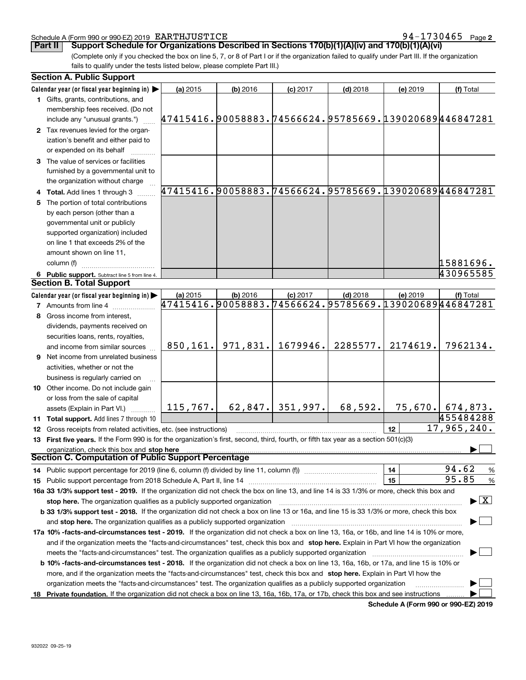#### Schedule A (Form 990 or 990-EZ) 2019 Page EARTHJUSTICE 94-1730465

**2**

(Complete only if you checked the box on line 5, 7, or 8 of Part I or if the organization failed to qualify under Part III. If the organization **Part II Support Schedule for Organizations Described in Sections 170(b)(1)(A)(iv) and 170(b)(1)(A)(vi)** 

fails to qualify under the tests listed below, please complete Part III.)

|   | <b>Section A. Public Support</b>                                                                                                                                                                            |                                                        |                       |            |            |          |                                         |
|---|-------------------------------------------------------------------------------------------------------------------------------------------------------------------------------------------------------------|--------------------------------------------------------|-----------------------|------------|------------|----------|-----------------------------------------|
|   | Calendar year (or fiscal year beginning in) $\blacktriangleright$                                                                                                                                           | (a) 2015                                               | $(b)$ 2016            | $(c)$ 2017 | $(d)$ 2018 | (e) 2019 | (f) Total                               |
|   | 1 Gifts, grants, contributions, and                                                                                                                                                                         |                                                        |                       |            |            |          |                                         |
|   | membership fees received. (Do not                                                                                                                                                                           |                                                        |                       |            |            |          |                                         |
|   | include any "unusual grants.")                                                                                                                                                                              | 47415416.90058883.74566624.95785669.139020689446847281 |                       |            |            |          |                                         |
|   | 2 Tax revenues levied for the organ-                                                                                                                                                                        |                                                        |                       |            |            |          |                                         |
|   | ization's benefit and either paid to                                                                                                                                                                        |                                                        |                       |            |            |          |                                         |
|   | or expended on its behalf                                                                                                                                                                                   |                                                        |                       |            |            |          |                                         |
|   | 3 The value of services or facilities                                                                                                                                                                       |                                                        |                       |            |            |          |                                         |
|   | furnished by a governmental unit to                                                                                                                                                                         |                                                        |                       |            |            |          |                                         |
|   | the organization without charge                                                                                                                                                                             |                                                        |                       |            |            |          |                                         |
|   | 4 Total. Add lines 1 through 3                                                                                                                                                                              | 47415416.90058883.74566624.95785669.139020689446847281 |                       |            |            |          |                                         |
|   |                                                                                                                                                                                                             |                                                        |                       |            |            |          |                                         |
|   | 5 The portion of total contributions                                                                                                                                                                        |                                                        |                       |            |            |          |                                         |
|   | by each person (other than a                                                                                                                                                                                |                                                        |                       |            |            |          |                                         |
|   | governmental unit or publicly                                                                                                                                                                               |                                                        |                       |            |            |          |                                         |
|   | supported organization) included                                                                                                                                                                            |                                                        |                       |            |            |          |                                         |
|   | on line 1 that exceeds 2% of the                                                                                                                                                                            |                                                        |                       |            |            |          |                                         |
|   | amount shown on line 11,                                                                                                                                                                                    |                                                        |                       |            |            |          |                                         |
|   | column (f)                                                                                                                                                                                                  |                                                        |                       |            |            |          | 15881696.                               |
|   | 6 Public support. Subtract line 5 from line 4.                                                                                                                                                              |                                                        |                       |            |            |          | 430965585                               |
|   | <b>Section B. Total Support</b>                                                                                                                                                                             |                                                        |                       |            |            |          |                                         |
|   | Calendar year (or fiscal year beginning in)                                                                                                                                                                 | (a) 2015                                               | (b) 2016              | $(c)$ 2017 | $(d)$ 2018 | (e) 2019 | (f) Total                               |
|   | <b>7</b> Amounts from line 4                                                                                                                                                                                | 47415416.90058883.74566624.95785669.139020689446847281 |                       |            |            |          |                                         |
| 8 | Gross income from interest,                                                                                                                                                                                 |                                                        |                       |            |            |          |                                         |
|   | dividends, payments received on                                                                                                                                                                             |                                                        |                       |            |            |          |                                         |
|   | securities loans, rents, royalties,                                                                                                                                                                         |                                                        |                       |            |            |          |                                         |
|   | and income from similar sources                                                                                                                                                                             |                                                        | $850, 161.$ 971, 831. | 1679946.   | 2285577.   | 2174619. | 7962134.                                |
|   | <b>9</b> Net income from unrelated business                                                                                                                                                                 |                                                        |                       |            |            |          |                                         |
|   | activities, whether or not the                                                                                                                                                                              |                                                        |                       |            |            |          |                                         |
|   | business is regularly carried on                                                                                                                                                                            |                                                        |                       |            |            |          |                                         |
|   | 10 Other income. Do not include gain                                                                                                                                                                        |                                                        |                       |            |            |          |                                         |
|   | or loss from the sale of capital                                                                                                                                                                            |                                                        |                       |            |            |          |                                         |
|   | assets (Explain in Part VI.)                                                                                                                                                                                | 115, 767.                                              | 62,847.               | 351,997.   | 68,592.    |          | $75,670.$ 674,873.                      |
|   | 11 Total support. Add lines 7 through 10                                                                                                                                                                    |                                                        |                       |            |            |          | 455484288                               |
|   |                                                                                                                                                                                                             |                                                        |                       |            |            | 12       | 17,965,240.                             |
|   | 12 Gross receipts from related activities, etc. (see instructions)<br>13 First five years. If the Form 990 is for the organization's first, second, third, fourth, or fifth tax year as a section 501(c)(3) |                                                        |                       |            |            |          |                                         |
|   |                                                                                                                                                                                                             |                                                        |                       |            |            |          |                                         |
|   | organization, check this box and stop here<br>Section C. Computation of Public Support Percentage                                                                                                           |                                                        |                       |            |            |          |                                         |
|   | 14 Public support percentage for 2019 (line 6, column (f) divided by line 11, column (f) <i>mummumumum</i>                                                                                                  |                                                        |                       |            |            | 14       | 94.62                                   |
|   |                                                                                                                                                                                                             |                                                        |                       |            |            | 15       | $\frac{9}{6}$<br>95.85                  |
|   |                                                                                                                                                                                                             |                                                        |                       |            |            |          | %                                       |
|   | 16a 33 1/3% support test - 2019. If the organization did not check the box on line 13, and line 14 is 33 1/3% or more, check this box and                                                                   |                                                        |                       |            |            |          | $\blacktriangleright$ $\vert$ X $\vert$ |
|   | stop here. The organization qualifies as a publicly supported organization                                                                                                                                  |                                                        |                       |            |            |          |                                         |
|   | b 33 1/3% support test - 2018. If the organization did not check a box on line 13 or 16a, and line 15 is 33 1/3% or more, check this box                                                                    |                                                        |                       |            |            |          |                                         |
|   |                                                                                                                                                                                                             |                                                        |                       |            |            |          |                                         |
|   | 17a 10% -facts-and-circumstances test - 2019. If the organization did not check a box on line 13, 16a, or 16b, and line 14 is 10% or more,                                                                  |                                                        |                       |            |            |          |                                         |
|   | and if the organization meets the "facts-and-circumstances" test, check this box and stop here. Explain in Part VI how the organization                                                                     |                                                        |                       |            |            |          |                                         |
|   | meets the "facts-and-circumstances" test. The organization qualifies as a publicly supported organization                                                                                                   |                                                        |                       |            |            |          |                                         |
|   | <b>b 10% -facts-and-circumstances test - 2018.</b> If the organization did not check a box on line 13, 16a, 16b, or 17a, and line 15 is 10% or                                                              |                                                        |                       |            |            |          |                                         |
|   | more, and if the organization meets the "facts-and-circumstances" test, check this box and stop here. Explain in Part VI how the                                                                            |                                                        |                       |            |            |          |                                         |
|   | organization meets the "facts-and-circumstances" test. The organization qualifies as a publicly supported organization                                                                                      |                                                        |                       |            |            |          |                                         |
|   | 18 Private foundation. If the organization did not check a box on line 13, 16a, 16b, 17a, or 17b, check this box and see instructions                                                                       |                                                        |                       |            |            |          |                                         |

**Schedule A (Form 990 or 990-EZ) 2019**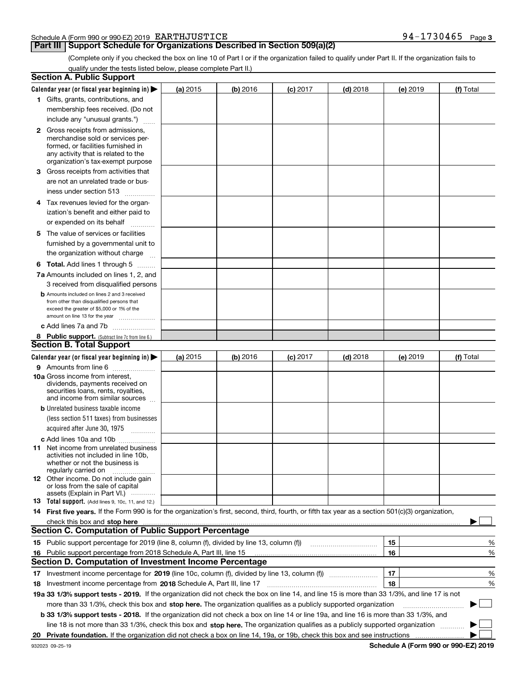#### Schedule A (Form 990 or 990-EZ) 2019 Page EARTHJUSTICE 94-1730465

# **Part III Support Schedule for Organizations Described in Section 509(a)(2)**

(Complete only if you checked the box on line 10 of Part I or if the organization failed to qualify under Part II. If the organization fails to qualify under the tests listed below, please complete Part II.)

|    | <b>Section A. Public Support</b>                                                                                                                                                                                               |          |          |            |            |    |          |             |   |
|----|--------------------------------------------------------------------------------------------------------------------------------------------------------------------------------------------------------------------------------|----------|----------|------------|------------|----|----------|-------------|---|
|    | Calendar year (or fiscal year beginning in) $\blacktriangleright$                                                                                                                                                              | (a) 2015 | (b) 2016 | $(c)$ 2017 | $(d)$ 2018 |    | (e) 2019 | (f) Total   |   |
|    | 1 Gifts, grants, contributions, and                                                                                                                                                                                            |          |          |            |            |    |          |             |   |
|    | membership fees received. (Do not                                                                                                                                                                                              |          |          |            |            |    |          |             |   |
|    | include any "unusual grants.")                                                                                                                                                                                                 |          |          |            |            |    |          |             |   |
|    | <b>2</b> Gross receipts from admissions,                                                                                                                                                                                       |          |          |            |            |    |          |             |   |
|    | merchandise sold or services per-                                                                                                                                                                                              |          |          |            |            |    |          |             |   |
|    | formed, or facilities furnished in                                                                                                                                                                                             |          |          |            |            |    |          |             |   |
|    | any activity that is related to the<br>organization's tax-exempt purpose                                                                                                                                                       |          |          |            |            |    |          |             |   |
|    | 3 Gross receipts from activities that                                                                                                                                                                                          |          |          |            |            |    |          |             |   |
|    | are not an unrelated trade or bus-                                                                                                                                                                                             |          |          |            |            |    |          |             |   |
|    | iness under section 513                                                                                                                                                                                                        |          |          |            |            |    |          |             |   |
|    |                                                                                                                                                                                                                                |          |          |            |            |    |          |             |   |
|    | 4 Tax revenues levied for the organ-                                                                                                                                                                                           |          |          |            |            |    |          |             |   |
|    | ization's benefit and either paid to                                                                                                                                                                                           |          |          |            |            |    |          |             |   |
|    | or expended on its behalf<br>.                                                                                                                                                                                                 |          |          |            |            |    |          |             |   |
|    | 5 The value of services or facilities                                                                                                                                                                                          |          |          |            |            |    |          |             |   |
|    | furnished by a governmental unit to                                                                                                                                                                                            |          |          |            |            |    |          |             |   |
|    | the organization without charge                                                                                                                                                                                                |          |          |            |            |    |          |             |   |
|    | <b>6 Total.</b> Add lines 1 through 5                                                                                                                                                                                          |          |          |            |            |    |          |             |   |
|    | 7a Amounts included on lines 1, 2, and                                                                                                                                                                                         |          |          |            |            |    |          |             |   |
|    | 3 received from disqualified persons                                                                                                                                                                                           |          |          |            |            |    |          |             |   |
|    | <b>b</b> Amounts included on lines 2 and 3 received                                                                                                                                                                            |          |          |            |            |    |          |             |   |
|    | from other than disqualified persons that<br>exceed the greater of \$5,000 or 1% of the                                                                                                                                        |          |          |            |            |    |          |             |   |
|    | amount on line 13 for the year                                                                                                                                                                                                 |          |          |            |            |    |          |             |   |
|    | c Add lines 7a and 7b                                                                                                                                                                                                          |          |          |            |            |    |          |             |   |
|    | 8 Public support. (Subtract line 7c from line 6.)                                                                                                                                                                              |          |          |            |            |    |          |             |   |
|    | <b>Section B. Total Support</b>                                                                                                                                                                                                |          |          |            |            |    |          |             |   |
|    | Calendar year (or fiscal year beginning in)                                                                                                                                                                                    | (a) 2015 | (b) 2016 | $(c)$ 2017 | $(d)$ 2018 |    | (e) 2019 | (f) Total   |   |
|    | 9 Amounts from line 6                                                                                                                                                                                                          |          |          |            |            |    |          |             |   |
|    | <b>10a</b> Gross income from interest,                                                                                                                                                                                         |          |          |            |            |    |          |             |   |
|    | dividends, payments received on                                                                                                                                                                                                |          |          |            |            |    |          |             |   |
|    | securities loans, rents, royalties,<br>and income from similar sources                                                                                                                                                         |          |          |            |            |    |          |             |   |
|    | <b>b</b> Unrelated business taxable income                                                                                                                                                                                     |          |          |            |            |    |          |             |   |
|    | (less section 511 taxes) from businesses                                                                                                                                                                                       |          |          |            |            |    |          |             |   |
|    | acquired after June 30, 1975 [10001]                                                                                                                                                                                           |          |          |            |            |    |          |             |   |
|    |                                                                                                                                                                                                                                |          |          |            |            |    |          |             |   |
|    | c Add lines 10a and 10b<br>11 Net income from unrelated business                                                                                                                                                               |          |          |            |            |    |          |             |   |
|    | activities not included in line 10b,                                                                                                                                                                                           |          |          |            |            |    |          |             |   |
|    | whether or not the business is                                                                                                                                                                                                 |          |          |            |            |    |          |             |   |
|    | regularly carried on                                                                                                                                                                                                           |          |          |            |            |    |          |             |   |
|    | <b>12</b> Other income. Do not include gain<br>or loss from the sale of capital                                                                                                                                                |          |          |            |            |    |          |             |   |
|    | assets (Explain in Part VI.)                                                                                                                                                                                                   |          |          |            |            |    |          |             |   |
|    | <b>13</b> Total support. (Add lines 9, 10c, 11, and 12.)                                                                                                                                                                       |          |          |            |            |    |          |             |   |
|    | 14 First five years. If the Form 990 is for the organization's first, second, third, fourth, or fifth tax year as a section 501(c)(3) organization,                                                                            |          |          |            |            |    |          |             |   |
|    | check this box and stop here manufactured and control the state of the state of the state of the state of the state of the state of the state of the state of the state of the state of the state of the state of the state of |          |          |            |            |    |          |             |   |
|    | <b>Section C. Computation of Public Support Percentage</b>                                                                                                                                                                     |          |          |            |            |    |          |             |   |
|    | 15 Public support percentage for 2019 (line 8, column (f), divided by line 13, column (f))                                                                                                                                     |          |          |            |            | 15 |          |             | % |
|    | 16 Public support percentage from 2018 Schedule A, Part III, line 15                                                                                                                                                           |          |          |            |            | 16 |          |             | % |
|    | <b>Section D. Computation of Investment Income Percentage</b>                                                                                                                                                                  |          |          |            |            |    |          |             |   |
|    | 17 Investment income percentage for 2019 (line 10c, column (f), divided by line 13, column (f))                                                                                                                                |          |          |            |            | 17 |          |             | % |
|    | <b>18</b> Investment income percentage from <b>2018</b> Schedule A, Part III, line 17                                                                                                                                          |          |          |            |            | 18 |          |             | % |
|    | 19a 33 1/3% support tests - 2019. If the organization did not check the box on line 14, and line 15 is more than 33 1/3%, and line 17 is not                                                                                   |          |          |            |            |    |          |             |   |
|    | more than 33 1/3%, check this box and stop here. The organization qualifies as a publicly supported organization                                                                                                               |          |          |            |            |    |          | $\sim$<br>▶ |   |
|    | b 33 1/3% support tests - 2018. If the organization did not check a box on line 14 or line 19a, and line 16 is more than 33 1/3%, and                                                                                          |          |          |            |            |    |          |             |   |
|    | line 18 is not more than 33 1/3%, check this box and stop here. The organization qualifies as a publicly supported organization                                                                                                |          |          |            |            |    |          |             |   |
| 20 |                                                                                                                                                                                                                                |          |          |            |            |    |          |             |   |
|    |                                                                                                                                                                                                                                |          |          |            |            |    |          |             |   |

**Schedule A (Form 990 or 990-EZ) 2019**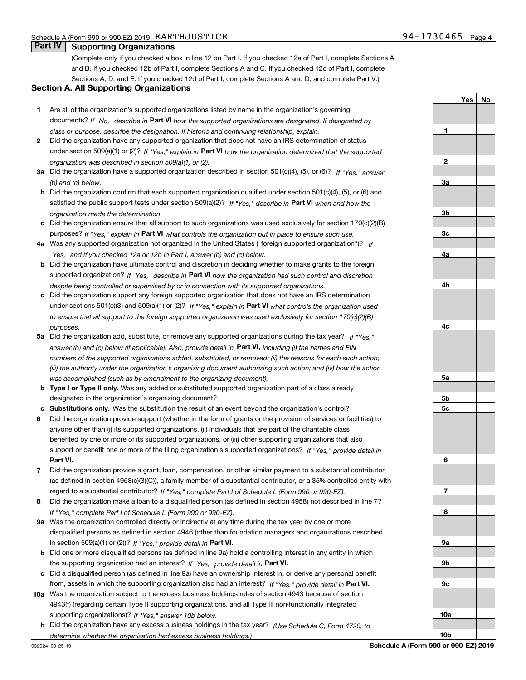**1**

**2**

**3a**

**YesNo**

# **Part IV Supporting Organizations**

(Complete only if you checked a box in line 12 on Part I. If you checked 12a of Part I, complete Sections A and B. If you checked 12b of Part I, complete Sections A and C. If you checked 12c of Part I, complete Sections A, D, and E. If you checked 12d of Part I, complete Sections A and D, and complete Part V.)

#### **Section A. All Supporting Organizations**

- **1** Are all of the organization's supported organizations listed by name in the organization's governing documents? If "No," describe in **Part VI** how the supported organizations are designated. If designated by *class or purpose, describe the designation. If historic and continuing relationship, explain.*
- **2** Did the organization have any supported organization that does not have an IRS determination of status under section 509(a)(1) or (2)? If "Yes," explain in Part VI how the organization determined that the supported *organization was described in section 509(a)(1) or (2).*
- **3a** Did the organization have a supported organization described in section 501(c)(4), (5), or (6)? If "Yes," answer *(b) and (c) below.*
- **b** Did the organization confirm that each supported organization qualified under section 501(c)(4), (5), or (6) and satisfied the public support tests under section 509(a)(2)? If "Yes," describe in **Part VI** when and how the *organization made the determination.*
- **c**Did the organization ensure that all support to such organizations was used exclusively for section 170(c)(2)(B) purposes? If "Yes," explain in **Part VI** what controls the organization put in place to ensure such use.
- **4a***If* Was any supported organization not organized in the United States ("foreign supported organization")? *"Yes," and if you checked 12a or 12b in Part I, answer (b) and (c) below.*
- **b** Did the organization have ultimate control and discretion in deciding whether to make grants to the foreign supported organization? If "Yes," describe in **Part VI** how the organization had such control and discretion *despite being controlled or supervised by or in connection with its supported organizations.*
- **c** Did the organization support any foreign supported organization that does not have an IRS determination under sections 501(c)(3) and 509(a)(1) or (2)? If "Yes," explain in **Part VI** what controls the organization used *to ensure that all support to the foreign supported organization was used exclusively for section 170(c)(2)(B) purposes.*
- **5a***If "Yes,"* Did the organization add, substitute, or remove any supported organizations during the tax year? answer (b) and (c) below (if applicable). Also, provide detail in **Part VI,** including (i) the names and EIN *numbers of the supported organizations added, substituted, or removed; (ii) the reasons for each such action; (iii) the authority under the organization's organizing document authorizing such action; and (iv) how the action was accomplished (such as by amendment to the organizing document).*
- **b** Type I or Type II only. Was any added or substituted supported organization part of a class already designated in the organization's organizing document?
- **cSubstitutions only.**  Was the substitution the result of an event beyond the organization's control?
- **6** Did the organization provide support (whether in the form of grants or the provision of services or facilities) to **Part VI.** *If "Yes," provide detail in* support or benefit one or more of the filing organization's supported organizations? anyone other than (i) its supported organizations, (ii) individuals that are part of the charitable class benefited by one or more of its supported organizations, or (iii) other supporting organizations that also
- **7**Did the organization provide a grant, loan, compensation, or other similar payment to a substantial contributor *If "Yes," complete Part I of Schedule L (Form 990 or 990-EZ).* regard to a substantial contributor? (as defined in section 4958(c)(3)(C)), a family member of a substantial contributor, or a 35% controlled entity with
- **8** Did the organization make a loan to a disqualified person (as defined in section 4958) not described in line 7? *If "Yes," complete Part I of Schedule L (Form 990 or 990-EZ).*
- **9a** Was the organization controlled directly or indirectly at any time during the tax year by one or more in section 509(a)(1) or (2))? If "Yes," *provide detail in* <code>Part VI.</code> disqualified persons as defined in section 4946 (other than foundation managers and organizations described
- **b** Did one or more disqualified persons (as defined in line 9a) hold a controlling interest in any entity in which the supporting organization had an interest? If "Yes," provide detail in P**art VI**.
- **c**Did a disqualified person (as defined in line 9a) have an ownership interest in, or derive any personal benefit from, assets in which the supporting organization also had an interest? If "Yes," provide detail in P**art VI.**
- **10a** Was the organization subject to the excess business holdings rules of section 4943 because of section supporting organizations)? If "Yes," answer 10b below. 4943(f) (regarding certain Type II supporting organizations, and all Type III non-functionally integrated
- **b** Did the organization have any excess business holdings in the tax year? (Use Schedule C, Form 4720, to *determine whether the organization had excess business holdings.)*

**10b**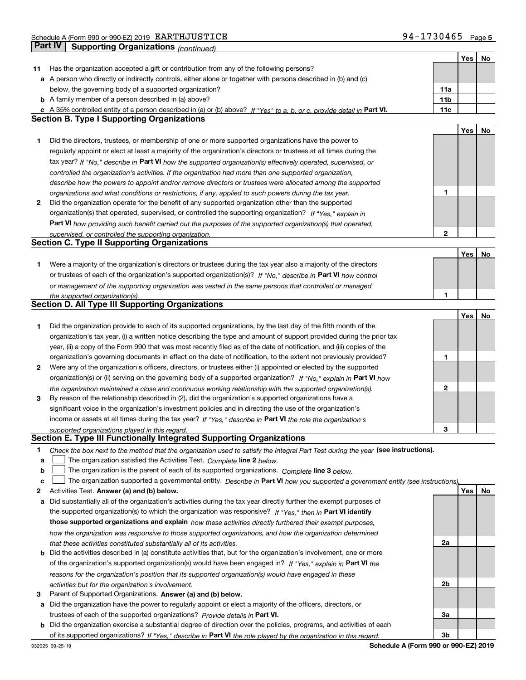|    |                                                                                                                                                                               |                 | Yes | No |
|----|-------------------------------------------------------------------------------------------------------------------------------------------------------------------------------|-----------------|-----|----|
| 11 | Has the organization accepted a gift or contribution from any of the following persons?                                                                                       |                 |     |    |
|    | a A person who directly or indirectly controls, either alone or together with persons described in (b) and (c)                                                                |                 |     |    |
|    | below, the governing body of a supported organization?                                                                                                                        | 11a             |     |    |
|    | <b>b</b> A family member of a person described in (a) above?                                                                                                                  | 11 <sub>b</sub> |     |    |
|    | c A 35% controlled entity of a person described in (a) or (b) above? If "Yes" to a, b, or c, provide detail in Part VI.                                                       | 11c             |     |    |
|    | <b>Section B. Type I Supporting Organizations</b>                                                                                                                             |                 |     |    |
|    |                                                                                                                                                                               |                 | Yes | No |
| 1  | Did the directors, trustees, or membership of one or more supported organizations have the power to                                                                           |                 |     |    |
|    | regularly appoint or elect at least a majority of the organization's directors or trustees at all times during the                                                            |                 |     |    |
|    | tax year? If "No," describe in Part VI how the supported organization(s) effectively operated, supervised, or                                                                 |                 |     |    |
|    | controlled the organization's activities. If the organization had more than one supported organization,                                                                       |                 |     |    |
|    | describe how the powers to appoint and/or remove directors or trustees were allocated among the supported                                                                     |                 |     |    |
|    | organizations and what conditions or restrictions, if any, applied to such powers during the tax year.                                                                        | 1               |     |    |
| 2  | Did the organization operate for the benefit of any supported organization other than the supported                                                                           |                 |     |    |
|    | organization(s) that operated, supervised, or controlled the supporting organization? If "Yes," explain in                                                                    |                 |     |    |
|    | Part VI how providing such benefit carried out the purposes of the supported organization(s) that operated,                                                                   |                 |     |    |
|    | supervised, or controlled the supporting organization.                                                                                                                        | 2               |     |    |
|    | <b>Section C. Type II Supporting Organizations</b>                                                                                                                            |                 |     |    |
|    |                                                                                                                                                                               |                 | Yes | No |
| 1. | Were a majority of the organization's directors or trustees during the tax year also a majority of the directors                                                              |                 |     |    |
|    | or trustees of each of the organization's supported organization(s)? If "No," describe in Part VI how control                                                                 |                 |     |    |
|    | or management of the supporting organization was vested in the same persons that controlled or managed                                                                        |                 |     |    |
|    | the supported organization(s).                                                                                                                                                | 1               |     |    |
|    | <b>Section D. All Type III Supporting Organizations</b>                                                                                                                       |                 |     |    |
|    |                                                                                                                                                                               |                 | Yes | No |
| 1  | Did the organization provide to each of its supported organizations, by the last day of the fifth month of the                                                                |                 |     |    |
|    | organization's tax year, (i) a written notice describing the type and amount of support provided during the prior tax                                                         |                 |     |    |
|    | year, (ii) a copy of the Form 990 that was most recently filed as of the date of notification, and (iii) copies of the                                                        |                 |     |    |
|    | organization's governing documents in effect on the date of notification, to the extent not previously provided?                                                              | 1               |     |    |
| 2  | Were any of the organization's officers, directors, or trustees either (i) appointed or elected by the supported                                                              |                 |     |    |
|    | organization(s) or (ii) serving on the governing body of a supported organization? If "No," explain in Part VI how                                                            |                 |     |    |
|    | the organization maintained a close and continuous working relationship with the supported organization(s).                                                                   | 2               |     |    |
| 3  | By reason of the relationship described in (2), did the organization's supported organizations have a                                                                         |                 |     |    |
|    | significant voice in the organization's investment policies and in directing the use of the organization's                                                                    |                 |     |    |
|    | income or assets at all times during the tax year? If "Yes," describe in Part VI the role the organization's                                                                  |                 |     |    |
|    | supported organizations played in this regard.                                                                                                                                | 3               |     |    |
|    | Section E. Type III Functionally Integrated Supporting Organizations                                                                                                          |                 |     |    |
| 1. | Check the box next to the method that the organization used to satisfy the Integral Part Test during the year (see instructions).                                             |                 |     |    |
| a  | The organization satisfied the Activities Test. Complete line 2 below.                                                                                                        |                 |     |    |
| b  | The organization is the parent of each of its supported organizations. Complete line 3 below.                                                                                 |                 |     |    |
| c  | The organization supported a governmental entity. Describe in Part VI how you supported a government entity (see instructions),                                               |                 |     |    |
| 2  | Activities Test. Answer (a) and (b) below.                                                                                                                                    |                 | Yes | No |
| a  | Did substantially all of the organization's activities during the tax year directly further the exempt purposes of                                                            |                 |     |    |
|    | the supported organization(s) to which the organization was responsive? If "Yes," then in Part VI identify                                                                    |                 |     |    |
|    | those supported organizations and explain how these activities directly furthered their exempt purposes,                                                                      |                 |     |    |
|    | how the organization was responsive to those supported organizations, and how the organization determined                                                                     |                 |     |    |
|    | that these activities constituted substantially all of its activities.                                                                                                        | 2a              |     |    |
|    | <b>b</b> Did the activities described in (a) constitute activities that, but for the organization's involvement, one or more                                                  |                 |     |    |
|    | of the organization's supported organization(s) would have been engaged in? If "Yes," explain in Part VI the                                                                  |                 |     |    |
|    | reasons for the organization's position that its supported organization(s) would have engaged in these                                                                        |                 |     |    |
|    | activities but for the organization's involvement.                                                                                                                            | 2 <sub>b</sub>  |     |    |
| з  | Parent of Supported Organizations. Answer (a) and (b) below.<br>a Did the organization have the power to regularly appoint or elect a majority of the officers, directors, or |                 |     |    |
|    | trustees of each of the supported organizations? Provide details in Part VI.                                                                                                  | 3a              |     |    |
|    | <b>b</b> Did the organization exercise a substantial degree of direction over the policies, programs, and activities of each                                                  |                 |     |    |
|    |                                                                                                                                                                               | 3b              |     |    |
|    | of its supported organizations? If "Yes," describe in Part VI the role played by the organization in this regard.                                                             |                 |     |    |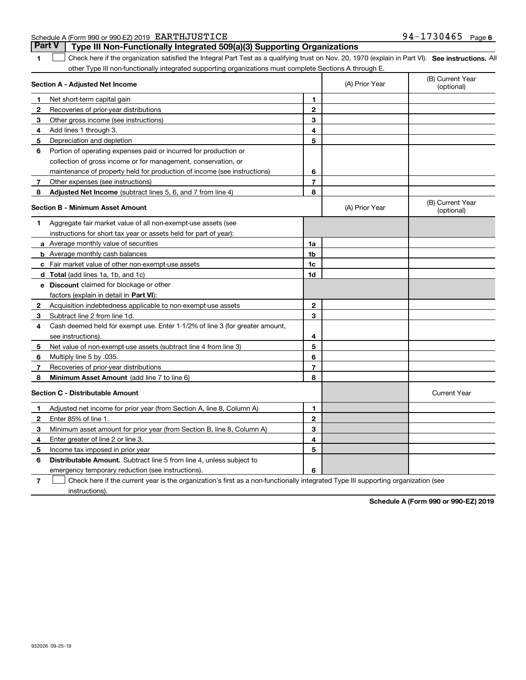| Schedule A (Form 990 or 990-EZ) 2019 EARTHJUSTICE<br>1730465<br>94-<br>Page |
|-----------------------------------------------------------------------------|
|-----------------------------------------------------------------------------|

| Part V | Type III Non-Functionally Integrated 509(a)(3) Supporting Organizations                                                                              |  |
|--------|------------------------------------------------------------------------------------------------------------------------------------------------------|--|
|        | 1 Check here if the organization satisfied the Integral Part Test as a qualifying trust on Nov. 20, 1970 (explain in Part VI). See instructions. All |  |
|        | other Type III non-functionally integrated supporting organizations must complete Sections A through E.                                              |  |

|   | Section A - Adjusted Net Income                                              |                | (A) Prior Year | (B) Current Year<br>(optional) |
|---|------------------------------------------------------------------------------|----------------|----------------|--------------------------------|
| 1 | Net short-term capital gain                                                  | 1              |                |                                |
| 2 | Recoveries of prior-year distributions                                       | $\mathbf{2}$   |                |                                |
| з | Other gross income (see instructions)                                        | 3              |                |                                |
| 4 | Add lines 1 through 3.                                                       | 4              |                |                                |
| 5 | Depreciation and depletion                                                   | 5              |                |                                |
| 6 | Portion of operating expenses paid or incurred for production or             |                |                |                                |
|   | collection of gross income or for management, conservation, or               |                |                |                                |
|   | maintenance of property held for production of income (see instructions)     | 6              |                |                                |
| 7 | Other expenses (see instructions)                                            | $\overline{7}$ |                |                                |
| 8 | Adjusted Net Income (subtract lines 5, 6, and 7 from line 4)                 | 8              |                |                                |
|   | <b>Section B - Minimum Asset Amount</b>                                      |                | (A) Prior Year | (B) Current Year<br>(optional) |
| 1 | Aggregate fair market value of all non-exempt-use assets (see                |                |                |                                |
|   | instructions for short tax year or assets held for part of year):            |                |                |                                |
|   | a Average monthly value of securities                                        | 1a             |                |                                |
|   | <b>b</b> Average monthly cash balances                                       | 1 <sub>b</sub> |                |                                |
|   | c Fair market value of other non-exempt-use assets                           | 1c             |                |                                |
|   | d Total (add lines 1a, 1b, and 1c)                                           | 1d             |                |                                |
|   | <b>e</b> Discount claimed for blockage or other                              |                |                |                                |
|   | factors (explain in detail in Part VI):                                      |                |                |                                |
| 2 | Acquisition indebtedness applicable to non-exempt-use assets                 | $\mathbf{2}$   |                |                                |
| 3 | Subtract line 2 from line 1d.                                                | 3              |                |                                |
| 4 | Cash deemed held for exempt use. Enter 1-1/2% of line 3 (for greater amount, |                |                |                                |
|   | see instructions).                                                           | 4              |                |                                |
| 5 | Net value of non-exempt-use assets (subtract line 4 from line 3)             | 5              |                |                                |
| 6 | Multiply line 5 by .035.                                                     | 6              |                |                                |
| 7 | Recoveries of prior-year distributions                                       | $\overline{7}$ |                |                                |
| 8 | Minimum Asset Amount (add line 7 to line 6)                                  | 8              |                |                                |
|   | <b>Section C - Distributable Amount</b>                                      |                |                | <b>Current Year</b>            |
| 1 | Adjusted net income for prior year (from Section A, line 8, Column A)        | 1              |                |                                |
| 2 | Enter 85% of line 1.                                                         | $\mathbf{2}$   |                |                                |
| 3 | Minimum asset amount for prior year (from Section B, line 8, Column A)       | 3              |                |                                |
| 4 | Enter greater of line 2 or line 3.                                           | 4              |                |                                |
| 5 | Income tax imposed in prior year                                             | 5              |                |                                |
| 6 | Distributable Amount. Subtract line 5 from line 4, unless subject to         |                |                |                                |
|   | emergency temporary reduction (see instructions).                            | 6              |                |                                |

**7** Check here if the current year is the organization's first as a non-functionally integrated Type III supporting organization (see instructions).

**Schedule A (Form 990 or 990-EZ) 2019**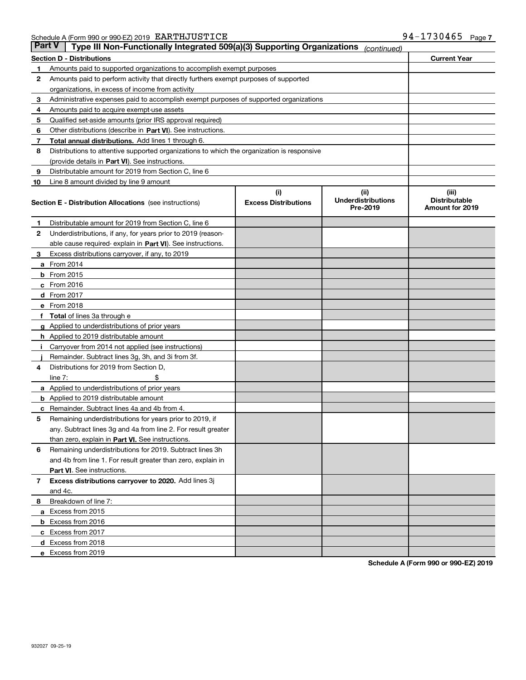|    | Part V<br>Type III Non-Functionally Integrated 509(a)(3) Supporting Organizations<br>(continued) |                             |                                       |                                         |  |  |
|----|--------------------------------------------------------------------------------------------------|-----------------------------|---------------------------------------|-----------------------------------------|--|--|
|    | <b>Current Year</b><br><b>Section D - Distributions</b>                                          |                             |                                       |                                         |  |  |
| 1  | Amounts paid to supported organizations to accomplish exempt purposes                            |                             |                                       |                                         |  |  |
| 2  | Amounts paid to perform activity that directly furthers exempt purposes of supported             |                             |                                       |                                         |  |  |
|    | organizations, in excess of income from activity                                                 |                             |                                       |                                         |  |  |
| з  | Administrative expenses paid to accomplish exempt purposes of supported organizations            |                             |                                       |                                         |  |  |
| 4  | Amounts paid to acquire exempt-use assets                                                        |                             |                                       |                                         |  |  |
| 5  | Qualified set-aside amounts (prior IRS approval required)                                        |                             |                                       |                                         |  |  |
| 6  | Other distributions (describe in Part VI). See instructions.                                     |                             |                                       |                                         |  |  |
| 7  | <b>Total annual distributions.</b> Add lines 1 through 6.                                        |                             |                                       |                                         |  |  |
| 8  | Distributions to attentive supported organizations to which the organization is responsive       |                             |                                       |                                         |  |  |
|    | (provide details in Part VI). See instructions.                                                  |                             |                                       |                                         |  |  |
| 9  | Distributable amount for 2019 from Section C, line 6                                             |                             |                                       |                                         |  |  |
| 10 | Line 8 amount divided by line 9 amount                                                           |                             |                                       |                                         |  |  |
|    |                                                                                                  | (i)                         | (iii)                                 | (iii)                                   |  |  |
|    | <b>Section E - Distribution Allocations</b> (see instructions)                                   | <b>Excess Distributions</b> | <b>Underdistributions</b><br>Pre-2019 | <b>Distributable</b><br>Amount for 2019 |  |  |
| 1  | Distributable amount for 2019 from Section C, line 6                                             |                             |                                       |                                         |  |  |
| 2  | Underdistributions, if any, for years prior to 2019 (reason-                                     |                             |                                       |                                         |  |  |
|    | able cause required- explain in <b>Part VI</b> ). See instructions.                              |                             |                                       |                                         |  |  |
| з  | Excess distributions carryover, if any, to 2019                                                  |                             |                                       |                                         |  |  |
|    | <b>a</b> From 2014                                                                               |                             |                                       |                                         |  |  |
|    | <b>b</b> From 2015                                                                               |                             |                                       |                                         |  |  |
|    | $c$ From 2016                                                                                    |                             |                                       |                                         |  |  |
|    | d From 2017                                                                                      |                             |                                       |                                         |  |  |
|    | e From 2018                                                                                      |                             |                                       |                                         |  |  |
|    | Total of lines 3a through e                                                                      |                             |                                       |                                         |  |  |
|    | <b>g</b> Applied to underdistributions of prior years                                            |                             |                                       |                                         |  |  |
|    | <b>h</b> Applied to 2019 distributable amount                                                    |                             |                                       |                                         |  |  |
|    | Carryover from 2014 not applied (see instructions)                                               |                             |                                       |                                         |  |  |
|    | Remainder. Subtract lines 3g, 3h, and 3i from 3f.                                                |                             |                                       |                                         |  |  |
| 4  | Distributions for 2019 from Section D,                                                           |                             |                                       |                                         |  |  |
|    | line $7:$                                                                                        |                             |                                       |                                         |  |  |
|    | <b>a</b> Applied to underdistributions of prior years                                            |                             |                                       |                                         |  |  |
|    | <b>b</b> Applied to 2019 distributable amount                                                    |                             |                                       |                                         |  |  |
| c  | Remainder. Subtract lines 4a and 4b from 4.                                                      |                             |                                       |                                         |  |  |
| 5  | Remaining underdistributions for years prior to 2019, if                                         |                             |                                       |                                         |  |  |
|    | any. Subtract lines 3g and 4a from line 2. For result greater                                    |                             |                                       |                                         |  |  |
|    | than zero, explain in Part VI. See instructions.                                                 |                             |                                       |                                         |  |  |
| 6  | Remaining underdistributions for 2019. Subtract lines 3h                                         |                             |                                       |                                         |  |  |
|    | and 4b from line 1. For result greater than zero, explain in                                     |                             |                                       |                                         |  |  |
|    | Part VI. See instructions.                                                                       |                             |                                       |                                         |  |  |
| 7  | Excess distributions carryover to 2020. Add lines 3j                                             |                             |                                       |                                         |  |  |
|    | and 4c.                                                                                          |                             |                                       |                                         |  |  |
| 8  | Breakdown of line 7:                                                                             |                             |                                       |                                         |  |  |
|    | a Excess from 2015                                                                               |                             |                                       |                                         |  |  |
|    | <b>b</b> Excess from 2016                                                                        |                             |                                       |                                         |  |  |
|    | c Excess from 2017                                                                               |                             |                                       |                                         |  |  |
|    | d Excess from 2018                                                                               |                             |                                       |                                         |  |  |
|    |                                                                                                  |                             |                                       |                                         |  |  |
|    | e Excess from 2019                                                                               |                             |                                       |                                         |  |  |

**Schedule A (Form 990 or 990-EZ) 2019**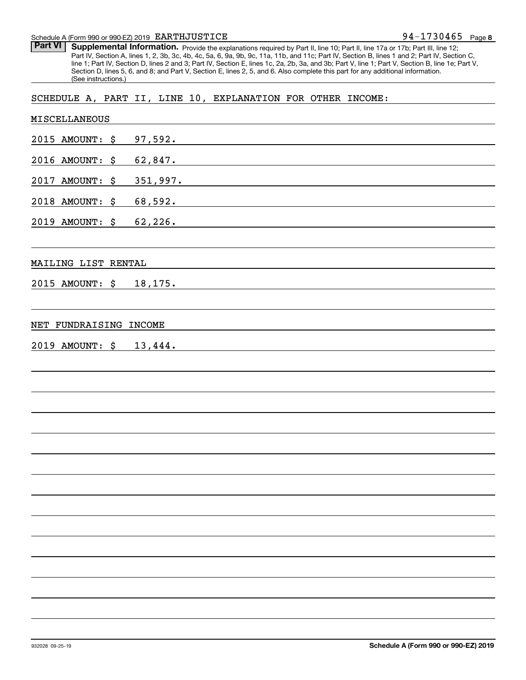Schedule A (Form 990 or 990-EZ) 2019 Page EARTHJUSTICE

Part VI | Supplemental Information. Provide the explanations required by Part II, line 10; Part II, line 17a or 17b; Part III, line 12; Part IV, Section A, lines 1, 2, 3b, 3c, 4b, 4c, 5a, 6, 9a, 9b, 9c, 11a, 11b, and 11c; Part IV, Section B, lines 1 and 2; Part IV, Section C, line 1; Part IV, Section D, lines 2 and 3; Part IV, Section E, lines 1c, 2a, 2b, 3a, and 3b; Part V, line 1; Part V, Section B, line 1e; Part V, Section D, lines 5, 6, and 8; and Part V, Section E, lines 2, 5, and 6. Also complete this part for any additional information. (See instructions.)

# SCHEDULE A, PART II, LINE 10, EXPLANATION FOR OTHER INCOME:

| MISCELLANEOUS           |          |
|-------------------------|----------|
| 2015 AMOUNT: \$ 97,592. |          |
| 2016 AMOUNT: \$ 62,847. |          |
| 2017 AMOUNT: \$         | 351,997. |
| 2018 AMOUNT: \$ 68,592. |          |
| 2019 AMOUNT: \$ 62,226. |          |
|                         |          |
| MAILING LIST RENTAL     |          |
| 2015 AMOUNT: \$ 18,175. |          |
|                         |          |
| NET FUNDRAISING INCOME  |          |
| 2019 AMOUNT: \$ 13,444. |          |
|                         |          |
|                         |          |
|                         |          |
|                         |          |
|                         |          |
|                         |          |
|                         |          |
|                         |          |
|                         |          |
|                         |          |
|                         |          |
|                         |          |
|                         |          |
|                         |          |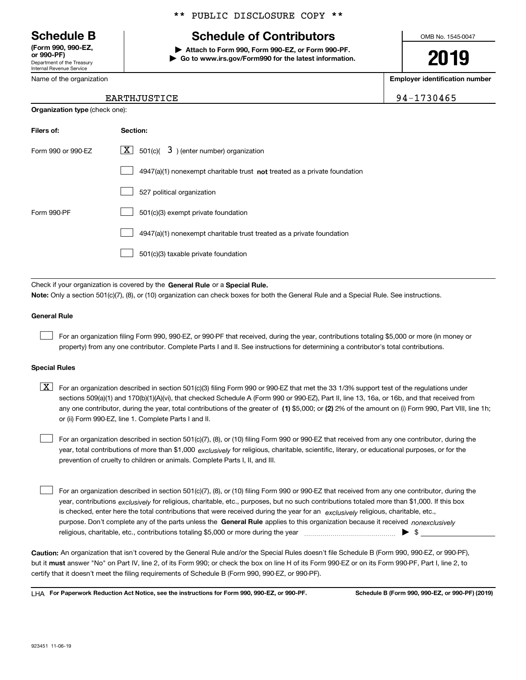Department of the Treasury Internal Revenue Service **(Form 990, 990-EZ, or 990-PF)**

Name of the organization

## \*\* PUBLIC DISCLOSURE COPY \*\*

# **Schedule B Schedule of Contributors**

**| Attach to Form 990, Form 990-EZ, or Form 990-PF. | Go to www.irs.gov/Form990 for the latest information.** OMB No. 1545-0047

# **2019**

**Employer identification number**

94-1730465

| EARTHJUSTICE |  |
|--------------|--|
|--------------|--|

| <b>Organization type (check one):</b> |                                                                                    |  |  |  |
|---------------------------------------|------------------------------------------------------------------------------------|--|--|--|
| Filers of:                            | Section:                                                                           |  |  |  |
| Form 990 or 990-EZ                    | $\underline{X}$ 501(c)( 3) (enter number) organization                             |  |  |  |
|                                       | $4947(a)(1)$ nonexempt charitable trust <b>not</b> treated as a private foundation |  |  |  |
|                                       | 527 political organization                                                         |  |  |  |
| Form 990-PF                           | 501(c)(3) exempt private foundation                                                |  |  |  |
|                                       | 4947(a)(1) nonexempt charitable trust treated as a private foundation              |  |  |  |
|                                       | 501(c)(3) taxable private foundation                                               |  |  |  |

Check if your organization is covered by the **General Rule** or a **Special Rule. Note:**  Only a section 501(c)(7), (8), or (10) organization can check boxes for both the General Rule and a Special Rule. See instructions.

#### **General Rule**

 $\mathcal{L}^{\text{max}}$ 

For an organization filing Form 990, 990-EZ, or 990-PF that received, during the year, contributions totaling \$5,000 or more (in money or property) from any one contributor. Complete Parts I and II. See instructions for determining a contributor's total contributions.

#### **Special Rules**

any one contributor, during the year, total contributions of the greater of  $\,$  (1) \$5,000; or **(2)** 2% of the amount on (i) Form 990, Part VIII, line 1h;  $\boxed{\textbf{X}}$  For an organization described in section 501(c)(3) filing Form 990 or 990-EZ that met the 33 1/3% support test of the regulations under sections 509(a)(1) and 170(b)(1)(A)(vi), that checked Schedule A (Form 990 or 990-EZ), Part II, line 13, 16a, or 16b, and that received from or (ii) Form 990-EZ, line 1. Complete Parts I and II.

year, total contributions of more than \$1,000 *exclusively* for religious, charitable, scientific, literary, or educational purposes, or for the For an organization described in section 501(c)(7), (8), or (10) filing Form 990 or 990-EZ that received from any one contributor, during the prevention of cruelty to children or animals. Complete Parts I, II, and III.  $\mathcal{L}^{\text{max}}$ 

purpose. Don't complete any of the parts unless the **General Rule** applies to this organization because it received *nonexclusively* year, contributions <sub>exclusively</sub> for religious, charitable, etc., purposes, but no such contributions totaled more than \$1,000. If this box is checked, enter here the total contributions that were received during the year for an  $\;$ exclusively religious, charitable, etc., For an organization described in section 501(c)(7), (8), or (10) filing Form 990 or 990-EZ that received from any one contributor, during the religious, charitable, etc., contributions totaling \$5,000 or more during the year  $\Box$ — $\Box$   $\Box$  $\mathcal{L}^{\text{max}}$ 

**Caution:**  An organization that isn't covered by the General Rule and/or the Special Rules doesn't file Schedule B (Form 990, 990-EZ, or 990-PF),  **must** but it answer "No" on Part IV, line 2, of its Form 990; or check the box on line H of its Form 990-EZ or on its Form 990-PF, Part I, line 2, to certify that it doesn't meet the filing requirements of Schedule B (Form 990, 990-EZ, or 990-PF).

**For Paperwork Reduction Act Notice, see the instructions for Form 990, 990-EZ, or 990-PF. Schedule B (Form 990, 990-EZ, or 990-PF) (2019)** LHA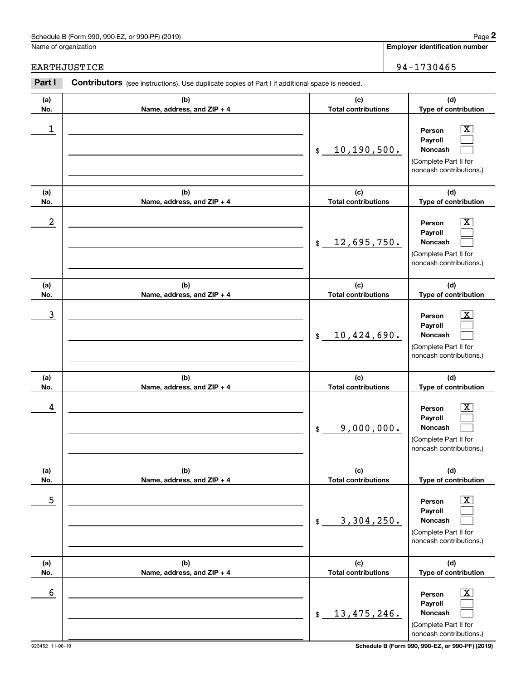# Schedule B (Form 990, 990-EZ, or 990-PF) (2019) Page 2

|            | Schedule B (Form 990, 990-EZ, or 990-PF) (2019)                                                       |                                   | Page 2                                                                                                      |
|------------|-------------------------------------------------------------------------------------------------------|-----------------------------------|-------------------------------------------------------------------------------------------------------------|
|            | Name of organization                                                                                  |                                   | <b>Employer identification number</b>                                                                       |
|            | EARTHJUSTICE                                                                                          |                                   | 94-1730465                                                                                                  |
| Part I     | <b>Contributors</b> (see instructions). Use duplicate copies of Part I if additional space is needed. |                                   |                                                                                                             |
| (a)<br>No. | (b)<br>Name, address, and ZIP + 4                                                                     | (c)<br><b>Total contributions</b> | (d)<br>Type of contribution                                                                                 |
| 1          |                                                                                                       | 10, 190, 500.<br>\$               | $\overline{\text{X}}$<br>Person<br>Payroll<br>Noncash<br>(Complete Part II for<br>noncash contributions.)   |
| (a)<br>No. | (b)<br>Name, address, and ZIP + 4                                                                     | (c)<br><b>Total contributions</b> | (d)<br>Type of contribution                                                                                 |
| 2          |                                                                                                       | 12,695,750.<br>\$                 | $\overline{\text{X}}$<br>Person<br>Payroll<br>Noncash<br>(Complete Part II for<br>noncash contributions.)   |
| (a)<br>No. | (b)<br>Name, address, and ZIP + 4                                                                     | (c)<br><b>Total contributions</b> | (d)<br>Type of contribution                                                                                 |
| 3          |                                                                                                       | 10,424,690.<br>\$                 | $\overline{\text{X}}$<br>Person<br>Payroll<br>Noncash<br>(Complete Part II for<br>noncash contributions.)   |
| (a)<br>No. | (b)<br>Name, address, and ZIP + 4                                                                     | (c)<br><b>Total contributions</b> | (d)<br>Type of contribution                                                                                 |
| 4          |                                                                                                       | 9,000,000.<br>\$                  | $\overline{\mathbf{X}}$<br>Person<br>Payroll<br>Noncash<br>(Complete Part II for<br>noncash contributions.) |
| (a)<br>No. | (b)<br>Name, address, and ZIP + 4                                                                     | (c)<br><b>Total contributions</b> | (d)<br>Type of contribution                                                                                 |
| 5          |                                                                                                       | 3,304,250.<br>\$                  | $\overline{\mathbf{X}}$<br>Person<br>Payroll<br>Noncash<br>(Complete Part II for<br>noncash contributions.) |
| (a)<br>No. | (b)<br>Name, address, and ZIP + 4                                                                     | (c)<br><b>Total contributions</b> | (d)<br>Type of contribution                                                                                 |
| 6          |                                                                                                       | 13, 475, 246.<br>\$               | $\overline{\mathbf{X}}$<br>Person<br>Payroll<br>Noncash<br>(Complete Part II for<br>noncash contributions.) |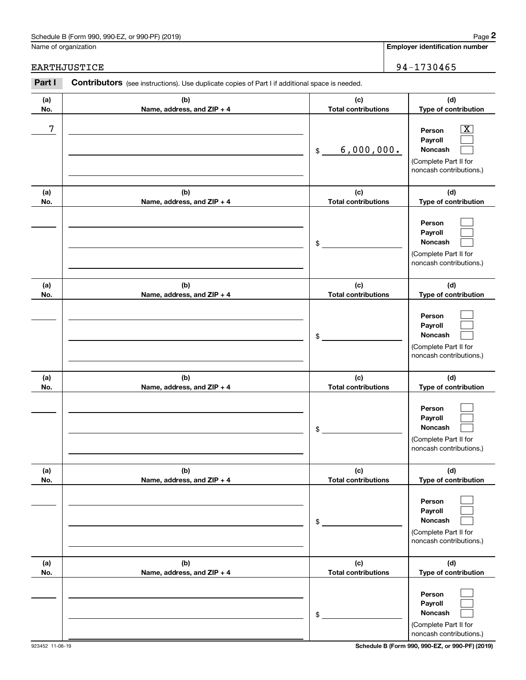# Schedule B (Form 990, 990-EZ, or 990-PF) (2019) Page 2

# EARTHJUSTICE 94-1730465

|            | Schedule B (Form 990, 990-EZ, or 990-PF) (2019)                                                       |                                   | Page 2                                                                                                    |
|------------|-------------------------------------------------------------------------------------------------------|-----------------------------------|-----------------------------------------------------------------------------------------------------------|
|            | Name of organization                                                                                  |                                   | <b>Employer identification number</b>                                                                     |
|            | EARTHJUSTICE                                                                                          |                                   | 94-1730465                                                                                                |
| Part I     | <b>Contributors</b> (see instructions). Use duplicate copies of Part I if additional space is needed. |                                   |                                                                                                           |
| (a)<br>No. | (b)<br>Name, address, and ZIP + 4                                                                     | (c)<br><b>Total contributions</b> | (d)<br>Type of contribution                                                                               |
| 7          |                                                                                                       | 6,000,000.<br>\$                  | $\overline{\text{X}}$<br>Person<br>Payroll<br>Noncash<br>(Complete Part II for<br>noncash contributions.) |
| (a)<br>No. | (b)<br>Name, address, and ZIP + 4                                                                     | (c)<br><b>Total contributions</b> | (d)<br>Type of contribution                                                                               |
|            |                                                                                                       | \$                                | Person<br>Payroll<br>Noncash<br>(Complete Part II for<br>noncash contributions.)                          |
| (a)<br>No. | (b)<br>Name, address, and ZIP + 4                                                                     | (c)<br><b>Total contributions</b> | (d)<br>Type of contribution                                                                               |
|            |                                                                                                       | \$                                | Person<br>Payroll<br>Noncash<br>(Complete Part II for<br>noncash contributions.)                          |
| (a)<br>No. | (b)<br>Name, address, and ZIP + 4                                                                     | (c)<br><b>Total contributions</b> | (d)<br>Type of contribution                                                                               |
|            |                                                                                                       | \$                                | Person<br>Payroll<br>Noncash<br>(Complete Part II for<br>noncash contributions.)                          |
| (a)<br>No. | (b)<br>Name, address, and ZIP + 4                                                                     | (c)<br><b>Total contributions</b> | (d)<br>Type of contribution                                                                               |
|            |                                                                                                       | \$                                | Person<br>Payroll<br>Noncash<br>(Complete Part II for<br>noncash contributions.)                          |
| (a)<br>No. | (b)<br>Name, address, and ZIP + 4                                                                     | (c)<br><b>Total contributions</b> | (d)<br>Type of contribution                                                                               |
|            |                                                                                                       | \$                                | Person<br>Payroll<br>Noncash<br>(Complete Part II for<br>noncash contributions.)                          |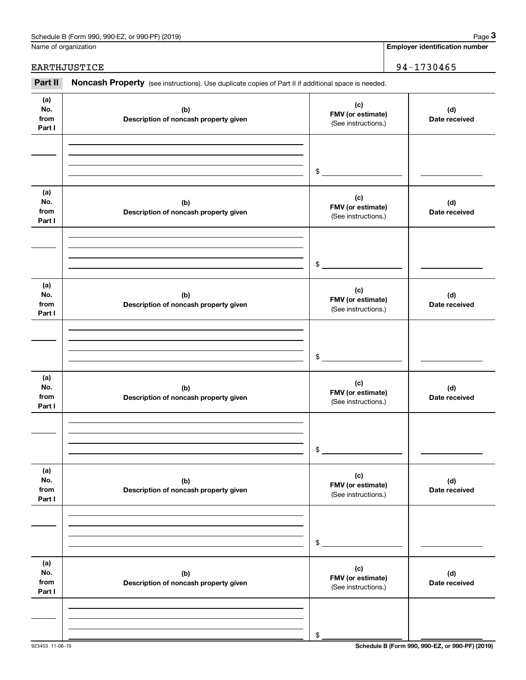| Schedule B (Form 990, 990-EZ, or 990-PF) (2019) | Page |
|-------------------------------------------------|------|
|-------------------------------------------------|------|

|                              | Schedule B (Form 990, 990-EZ, or 990-PF) (2019)                                                     |                                                 | Page 3                                |  |
|------------------------------|-----------------------------------------------------------------------------------------------------|-------------------------------------------------|---------------------------------------|--|
|                              | Name of organization                                                                                |                                                 | <b>Employer identification number</b> |  |
| EARTHJUSTICE                 |                                                                                                     |                                                 | 94-1730465                            |  |
| Part II                      | Noncash Property (see instructions). Use duplicate copies of Part II if additional space is needed. |                                                 |                                       |  |
| (a)<br>No.<br>from<br>Part I | (b)<br>Description of noncash property given                                                        | (c)<br>FMV (or estimate)<br>(See instructions.) | (d)<br>Date received                  |  |
|                              |                                                                                                     | \$                                              |                                       |  |
| (a)<br>No.<br>from<br>Part I | (b)<br>Description of noncash property given                                                        | (c)<br>FMV (or estimate)<br>(See instructions.) | (d)<br>Date received                  |  |
|                              |                                                                                                     | \$                                              |                                       |  |
| (a)<br>No.<br>from<br>Part I | (b)<br>Description of noncash property given                                                        | (c)<br>FMV (or estimate)<br>(See instructions.) | (d)<br>Date received                  |  |
|                              |                                                                                                     | \$                                              |                                       |  |
| (a)<br>No.<br>from<br>Part I | (b)<br>Description of noncash property given                                                        | (c)<br>FMV (or estimate)<br>(See instructions.) | (d)<br>Date received                  |  |
|                              |                                                                                                     | \$                                              |                                       |  |
| (a)<br>No.<br>from<br>Part I | (b)<br>Description of noncash property given                                                        | (c)<br>FMV (or estimate)<br>(See instructions.) | (d)<br>Date received                  |  |
|                              |                                                                                                     | \$                                              |                                       |  |
| (a)<br>No.<br>from<br>Part I | (b)<br>Description of noncash property given                                                        | (c)<br>FMV (or estimate)<br>(See instructions.) | (d)<br>Date received                  |  |
|                              |                                                                                                     | \$                                              |                                       |  |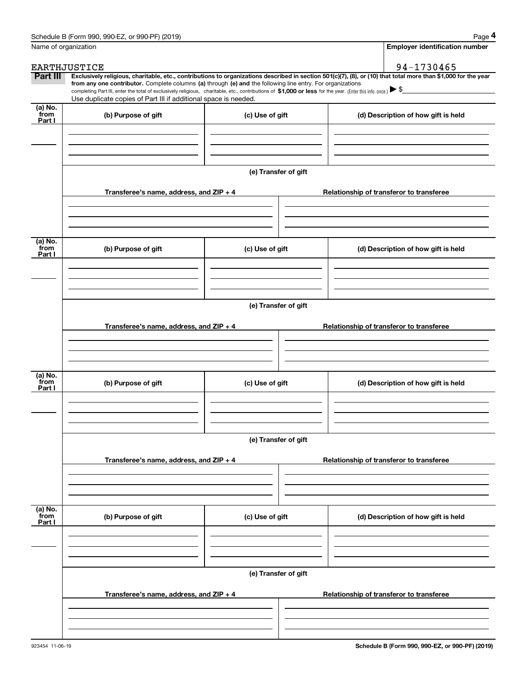|                 | Schedule B (Form 990, 990-EZ, or 990-PF) (2019)                                                                                                                                   |                      | Page 4                                                                                                                                                         |  |  |  |  |  |  |
|-----------------|-----------------------------------------------------------------------------------------------------------------------------------------------------------------------------------|----------------------|----------------------------------------------------------------------------------------------------------------------------------------------------------------|--|--|--|--|--|--|
|                 | Name of organization                                                                                                                                                              |                      | <b>Employer identification number</b>                                                                                                                          |  |  |  |  |  |  |
|                 | <b>EARTHJUSTICE</b>                                                                                                                                                               |                      | 94-1730465                                                                                                                                                     |  |  |  |  |  |  |
| Part III        | from any one contributor. Complete columns (a) through (e) and the following line entry. For organizations                                                                        |                      | Exclusively religious, charitable, etc., contributions to organizations described in section 501(c)(7), (8), or (10) that total more than \$1,000 for the year |  |  |  |  |  |  |
|                 | completing Part III, enter the total of exclusively religious, charitable, etc., contributions of \$1,000 or less for the year. (Enter this info. once.) $\blacktriangleright$ \$ |                      |                                                                                                                                                                |  |  |  |  |  |  |
| (a) No.         | Use duplicate copies of Part III if additional space is needed.                                                                                                                   |                      |                                                                                                                                                                |  |  |  |  |  |  |
| from<br>Part I  | (b) Purpose of gift                                                                                                                                                               | (c) Use of gift      | (d) Description of how gift is held                                                                                                                            |  |  |  |  |  |  |
|                 |                                                                                                                                                                                   |                      |                                                                                                                                                                |  |  |  |  |  |  |
|                 |                                                                                                                                                                                   |                      |                                                                                                                                                                |  |  |  |  |  |  |
|                 |                                                                                                                                                                                   |                      |                                                                                                                                                                |  |  |  |  |  |  |
|                 |                                                                                                                                                                                   | (e) Transfer of gift |                                                                                                                                                                |  |  |  |  |  |  |
|                 |                                                                                                                                                                                   |                      |                                                                                                                                                                |  |  |  |  |  |  |
|                 | Transferee's name, address, and ZIP + 4                                                                                                                                           |                      | Relationship of transferor to transferee                                                                                                                       |  |  |  |  |  |  |
|                 |                                                                                                                                                                                   |                      |                                                                                                                                                                |  |  |  |  |  |  |
|                 |                                                                                                                                                                                   |                      |                                                                                                                                                                |  |  |  |  |  |  |
| (a) No.         |                                                                                                                                                                                   |                      |                                                                                                                                                                |  |  |  |  |  |  |
| from<br>Part I  | (b) Purpose of gift                                                                                                                                                               | (c) Use of gift      | (d) Description of how gift is held                                                                                                                            |  |  |  |  |  |  |
|                 |                                                                                                                                                                                   |                      |                                                                                                                                                                |  |  |  |  |  |  |
|                 |                                                                                                                                                                                   |                      |                                                                                                                                                                |  |  |  |  |  |  |
|                 |                                                                                                                                                                                   |                      |                                                                                                                                                                |  |  |  |  |  |  |
|                 |                                                                                                                                                                                   | (e) Transfer of gift |                                                                                                                                                                |  |  |  |  |  |  |
|                 | Transferee's name, address, and ZIP + 4                                                                                                                                           |                      | Relationship of transferor to transferee                                                                                                                       |  |  |  |  |  |  |
|                 |                                                                                                                                                                                   |                      |                                                                                                                                                                |  |  |  |  |  |  |
|                 |                                                                                                                                                                                   |                      |                                                                                                                                                                |  |  |  |  |  |  |
|                 |                                                                                                                                                                                   |                      |                                                                                                                                                                |  |  |  |  |  |  |
| (a) No.<br>from | (b) Purpose of gift                                                                                                                                                               | (c) Use of gift      | (d) Description of how gift is held                                                                                                                            |  |  |  |  |  |  |
| Part I          |                                                                                                                                                                                   |                      |                                                                                                                                                                |  |  |  |  |  |  |
|                 |                                                                                                                                                                                   |                      |                                                                                                                                                                |  |  |  |  |  |  |
|                 |                                                                                                                                                                                   |                      |                                                                                                                                                                |  |  |  |  |  |  |
|                 |                                                                                                                                                                                   | (e) Transfer of gift |                                                                                                                                                                |  |  |  |  |  |  |
|                 |                                                                                                                                                                                   |                      |                                                                                                                                                                |  |  |  |  |  |  |
|                 | Transferee's name, address, and $ZIP + 4$                                                                                                                                         |                      | Relationship of transferor to transferee                                                                                                                       |  |  |  |  |  |  |
|                 |                                                                                                                                                                                   |                      |                                                                                                                                                                |  |  |  |  |  |  |
|                 |                                                                                                                                                                                   |                      |                                                                                                                                                                |  |  |  |  |  |  |
| (a) No.<br>from |                                                                                                                                                                                   |                      |                                                                                                                                                                |  |  |  |  |  |  |
| Part I          | (b) Purpose of gift                                                                                                                                                               | (c) Use of gift      | (d) Description of how gift is held                                                                                                                            |  |  |  |  |  |  |
|                 |                                                                                                                                                                                   |                      |                                                                                                                                                                |  |  |  |  |  |  |
|                 |                                                                                                                                                                                   |                      |                                                                                                                                                                |  |  |  |  |  |  |
|                 |                                                                                                                                                                                   |                      |                                                                                                                                                                |  |  |  |  |  |  |
|                 | (e) Transfer of gift                                                                                                                                                              |                      |                                                                                                                                                                |  |  |  |  |  |  |
|                 | Transferee's name, address, and $ZIP + 4$                                                                                                                                         |                      | Relationship of transferor to transferee                                                                                                                       |  |  |  |  |  |  |
|                 |                                                                                                                                                                                   |                      |                                                                                                                                                                |  |  |  |  |  |  |
|                 |                                                                                                                                                                                   |                      |                                                                                                                                                                |  |  |  |  |  |  |
|                 |                                                                                                                                                                                   |                      |                                                                                                                                                                |  |  |  |  |  |  |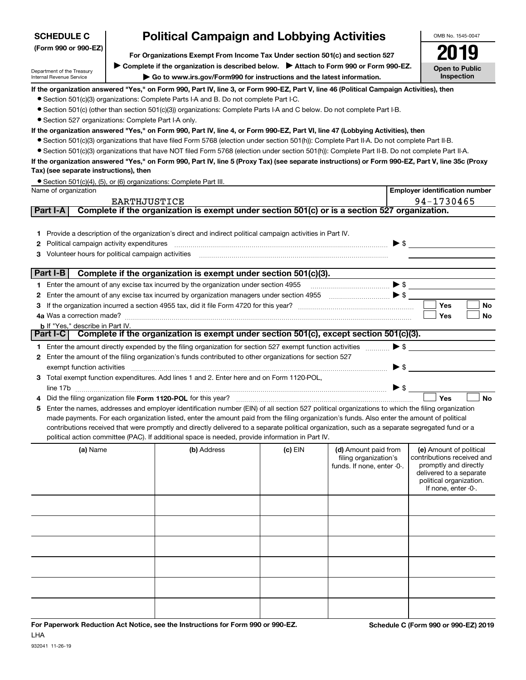# **SCHEDULE C**

#### **(Form 990 or 990-EZ)**

# **Political Campaign and Lobbying Activities**

**For Organizations Exempt From Income Tax Under section 501(c) and section 527** ▶ Complete if the organization is described below. ▶ Attach to Form 990 or Form 990-EZ.

Department of the Treasury Internal Revenue Service

**| Go to www.irs.gov/Form990 for instructions and the latest information.**

OMB No. 1545-0047 **Open to Public Inspection2019**

#### **If the organization answered "Yes," on Form 990, Part IV, line 3, or Form 990-EZ, Part V, line 46 (Political Campaign Activities), then**

- Section 501(c)(3) organizations: Complete Parts I-A and B. Do not complete Part I-C.
- ¥ Section 501(c) (other than section 501(c)(3)) organizations: Complete Parts I-A and C below. Do not complete Part I-B.
- Section 527 organizations: Complete Part I-A only.

#### **If the organization answered "Yes," on Form 990, Part IV, line 4, or Form 990-EZ, Part VI, line 47 (Lobbying Activities), then**

- Section 501(c)(3) organizations that have filed Form 5768 (election under section 501(h)): Complete Part II-A. Do not complete Part II-B.
- ¥ Section 501(c)(3) organizations that have NOT filed Form 5768 (election under section 501(h)): Complete Part II-B. Do not complete Part II-A.

#### **If the organization answered "Yes," on Form 990, Part IV, line 5 (Proxy Tax) (see separate instructions) or Form 990-EZ, Part V, line 35c (Proxy Tax) (see separate instructions), then**

|                      | • Section 501(c)(4), (5), or (6) organizations: Complete Part III. |
|----------------------|--------------------------------------------------------------------|
| Name of organization |                                                                    |

|                                                        | Name of organization                                                                |                                                                                                                                                 |           |                                                |                          | <b>Employer identification number</b> |           |  |  |  |
|--------------------------------------------------------|-------------------------------------------------------------------------------------|-------------------------------------------------------------------------------------------------------------------------------------------------|-----------|------------------------------------------------|--------------------------|---------------------------------------|-----------|--|--|--|
|                                                        | EARTHJUSTICE                                                                        |                                                                                                                                                 |           |                                                |                          | 94-1730465                            |           |  |  |  |
|                                                        | <b>Part I-A</b>                                                                     | Complete if the organization is exempt under section 501(c) or is a section 527 organization.                                                   |           |                                                |                          |                                       |           |  |  |  |
|                                                        |                                                                                     |                                                                                                                                                 |           |                                                |                          |                                       |           |  |  |  |
|                                                        |                                                                                     | Provide a description of the organization's direct and indirect political campaign activities in Part IV.                                       |           |                                                |                          |                                       |           |  |  |  |
|                                                        | Political campaign activity expenditures                                            |                                                                                                                                                 |           |                                                |                          |                                       |           |  |  |  |
| Volunteer hours for political campaign activities<br>3 |                                                                                     |                                                                                                                                                 |           |                                                |                          |                                       |           |  |  |  |
|                                                        |                                                                                     |                                                                                                                                                 |           |                                                |                          |                                       |           |  |  |  |
|                                                        | $ $ Part I-B $ $<br>Complete if the organization is exempt under section 501(c)(3). |                                                                                                                                                 |           |                                                |                          |                                       |           |  |  |  |
|                                                        |                                                                                     | 1 Enter the amount of any excise tax incurred by the organization under section 4955                                                            |           | $\bullet \mathsf{s} \hspace{1cm} \blacksquare$ |                          |                                       |           |  |  |  |
| $\mathbf{2}$                                           |                                                                                     | Enter the amount of any excise tax incurred by organization managers under section 4955 $\ldots$ $\ldots$ $\ldots$                              |           |                                                |                          |                                       |           |  |  |  |
|                                                        |                                                                                     |                                                                                                                                                 |           |                                                |                          | Yes                                   | <b>No</b> |  |  |  |
|                                                        |                                                                                     |                                                                                                                                                 |           |                                                |                          | Yes                                   | <b>No</b> |  |  |  |
|                                                        | <b>b</b> If "Yes." describe in Part IV.                                             |                                                                                                                                                 |           |                                                |                          |                                       |           |  |  |  |
|                                                        | Part I-C                                                                            | Complete if the organization is exempt under section 501(c), except section 501(c)(3).                                                          |           |                                                |                          |                                       |           |  |  |  |
|                                                        |                                                                                     | 1 Enter the amount directly expended by the filing organization for section 527 exempt function activities                                      |           |                                                |                          | $\blacktriangleright$ \$              |           |  |  |  |
|                                                        |                                                                                     | Enter the amount of the filing organization's funds contributed to other organizations for section 527                                          |           |                                                |                          |                                       |           |  |  |  |
|                                                        | exempt function activities                                                          |                                                                                                                                                 |           |                                                | $\blacktriangleright$ \$ |                                       |           |  |  |  |
| 3                                                      |                                                                                     | Total exempt function expenditures. Add lines 1 and 2. Enter here and on Form 1120-POL,                                                         |           |                                                |                          |                                       |           |  |  |  |
|                                                        | line 17b                                                                            |                                                                                                                                                 |           |                                                | $\blacktriangleright$ \$ |                                       |           |  |  |  |
|                                                        |                                                                                     |                                                                                                                                                 |           |                                                |                          | Yes                                   | <b>No</b> |  |  |  |
| 5.                                                     |                                                                                     | Enter the names, addresses and employer identification number (EIN) of all section 527 political organizations to which the filing organization |           |                                                |                          |                                       |           |  |  |  |
|                                                        |                                                                                     | made payments. For each organization listed, enter the amount paid from the filing organization's funds. Also enter the amount of political     |           |                                                |                          |                                       |           |  |  |  |
|                                                        |                                                                                     | contributions received that were promptly and directly delivered to a separate political organization, such as a separate segregated fund or a  |           |                                                |                          |                                       |           |  |  |  |
|                                                        |                                                                                     | political action committee (PAC). If additional space is needed, provide information in Part IV.                                                |           |                                                |                          |                                       |           |  |  |  |
|                                                        | (a) Name                                                                            | (b) Address                                                                                                                                     | $(c)$ EIN | (d) Amount paid from                           |                          | (e) Amount of political               |           |  |  |  |
|                                                        |                                                                                     |                                                                                                                                                 |           | filing organization's                          |                          | contributions received and            |           |  |  |  |
|                                                        |                                                                                     |                                                                                                                                                 |           | funds. If none, enter -0-.                     |                          | promptly and directly                 |           |  |  |  |
|                                                        |                                                                                     | delivered to a separate                                                                                                                         |           |                                                |                          |                                       |           |  |  |  |

|  | ning organization o<br>funds. If none, enter -0-. | softenbations reserved and<br>promptly and directly<br>delivered to a separate<br>political organization.<br>If none, enter -0-. |
|--|---------------------------------------------------|----------------------------------------------------------------------------------------------------------------------------------|
|  |                                                   |                                                                                                                                  |
|  |                                                   |                                                                                                                                  |
|  |                                                   |                                                                                                                                  |
|  |                                                   |                                                                                                                                  |
|  |                                                   |                                                                                                                                  |
|  |                                                   |                                                                                                                                  |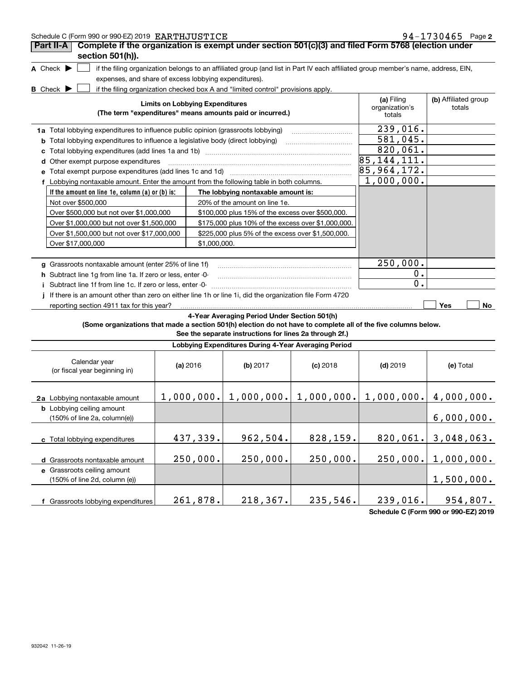| Schedule C (Form 990 or 990-EZ) 2019 EARTHJUSTICE                                                               |                                                                                                                                                                                         |            |                                                         |            |                                                                                                                                   | 94-1730465 Page 2 |  |
|-----------------------------------------------------------------------------------------------------------------|-----------------------------------------------------------------------------------------------------------------------------------------------------------------------------------------|------------|---------------------------------------------------------|------------|-----------------------------------------------------------------------------------------------------------------------------------|-------------------|--|
| Complete if the organization is exempt under section 501(c)(3) and filed Form 5768 (election under<br>Part II-A |                                                                                                                                                                                         |            |                                                         |            |                                                                                                                                   |                   |  |
| section 501(h)).                                                                                                |                                                                                                                                                                                         |            |                                                         |            |                                                                                                                                   |                   |  |
| A Check $\blacktriangleright$                                                                                   |                                                                                                                                                                                         |            |                                                         |            | if the filing organization belongs to an affiliated group (and list in Part IV each affiliated group member's name, address, EIN, |                   |  |
| expenses, and share of excess lobbying expenditures).                                                           |                                                                                                                                                                                         |            |                                                         |            |                                                                                                                                   |                   |  |
| B_Check ▶                                                                                                       | if the filing organization checked box A and "limited control" provisions apply.<br><b>Limits on Lobbying Expenditures</b><br>(The term "expenditures" means amounts paid or incurred.) |            |                                                         |            |                                                                                                                                   |                   |  |
|                                                                                                                 |                                                                                                                                                                                         |            |                                                         |            | totals                                                                                                                            |                   |  |
| 1a Total lobbying expenditures to influence public opinion (grassroots lobbying)                                | 239,016.                                                                                                                                                                                |            |                                                         |            |                                                                                                                                   |                   |  |
| <b>b</b> Total lobbying expenditures to influence a legislative body (direct lobbying)                          |                                                                                                                                                                                         |            |                                                         |            | $\overline{581,045}$ .                                                                                                            |                   |  |
| c                                                                                                               |                                                                                                                                                                                         |            |                                                         |            | 820,061.                                                                                                                          |                   |  |
| d Other exempt purpose expenditures                                                                             |                                                                                                                                                                                         |            |                                                         |            | 85, 144, 111.                                                                                                                     |                   |  |
| Total exempt purpose expenditures (add lines 1c and 1d) [11] [12] matter contracts are responsed to an analyzi  |                                                                                                                                                                                         |            |                                                         |            | 85, 964, 172.                                                                                                                     |                   |  |
| f Lobbying nontaxable amount. Enter the amount from the following table in both columns.                        |                                                                                                                                                                                         |            |                                                         |            | 1,000,000.                                                                                                                        |                   |  |
| If the amount on line 1e, column (a) or (b) is:                                                                 |                                                                                                                                                                                         |            | The lobbying nontaxable amount is:                      |            |                                                                                                                                   |                   |  |
| Not over \$500,000                                                                                              |                                                                                                                                                                                         |            | 20% of the amount on line 1e.                           |            |                                                                                                                                   |                   |  |
| Over \$500,000 but not over \$1,000,000                                                                         |                                                                                                                                                                                         |            | \$100,000 plus 15% of the excess over \$500,000.        |            |                                                                                                                                   |                   |  |
| Over \$1,000,000 but not over \$1,500,000                                                                       |                                                                                                                                                                                         |            | \$175,000 plus 10% of the excess over \$1,000,000.      |            |                                                                                                                                   |                   |  |
| Over \$1,500,000 but not over \$17,000,000<br>\$225,000 plus 5% of the excess over \$1,500,000.                 |                                                                                                                                                                                         |            |                                                         |            |                                                                                                                                   |                   |  |
|                                                                                                                 | Over \$17,000,000<br>\$1,000,000.                                                                                                                                                       |            |                                                         |            |                                                                                                                                   |                   |  |
| g Grassroots nontaxable amount (enter 25% of line 1f)                                                           |                                                                                                                                                                                         |            |                                                         |            | 250,000.                                                                                                                          |                   |  |
| h Subtract line 1q from line 1a. If zero or less, enter -0-                                                     |                                                                                                                                                                                         |            |                                                         |            | 0.                                                                                                                                |                   |  |
| Subtract line 1f from line 1c. If zero or less, enter -0-                                                       |                                                                                                                                                                                         |            |                                                         |            | 0.                                                                                                                                |                   |  |
| If there is an amount other than zero on either line 1h or line 1i, did the organization file Form 4720         |                                                                                                                                                                                         |            |                                                         |            |                                                                                                                                   |                   |  |
| reporting section 4911 tax for this year?                                                                       |                                                                                                                                                                                         |            |                                                         |            |                                                                                                                                   | Yes<br>No         |  |
|                                                                                                                 |                                                                                                                                                                                         |            | 4-Year Averaging Period Under Section 501(h)            |            |                                                                                                                                   |                   |  |
| (Some organizations that made a section 501(h) election do not have to complete all of the five columns below.  |                                                                                                                                                                                         |            | See the separate instructions for lines 2a through 2f.) |            |                                                                                                                                   |                   |  |
|                                                                                                                 |                                                                                                                                                                                         |            | Lobbying Expenditures During 4-Year Averaging Period    |            |                                                                                                                                   |                   |  |
| Calendar year<br>(or fiscal year beginning in)                                                                  |                                                                                                                                                                                         | (a) 2016   | $(b)$ 2017                                              | $(c)$ 2018 | $(d)$ 2019                                                                                                                        | (e) Total         |  |
| 2a Lobbying nontaxable amount                                                                                   |                                                                                                                                                                                         | 1,000,000. |                                                         |            | $\mid$ 1,000,000. $\mid$ 1,000,000. $\mid$ 1,000,000. $\mid$ 4,000,000.                                                           |                   |  |
| <b>b</b> Lobbying ceiling amount<br>(150% of line 2a, column(e))                                                |                                                                                                                                                                                         |            |                                                         |            |                                                                                                                                   | 6,000,000.        |  |
| c Total lobbying expenditures                                                                                   |                                                                                                                                                                                         | 437,339.   | 962,504.                                                | 828,159.   | 820,061.                                                                                                                          | 3,048,063.        |  |
| d Grassroots nontaxable amount                                                                                  |                                                                                                                                                                                         | 250,000.   | 250,000.                                                | 250,000.   | 250,000.                                                                                                                          | 1,000,000.        |  |
| e Grassroots ceiling amount<br>(150% of line 2d, column (e))                                                    |                                                                                                                                                                                         |            |                                                         |            |                                                                                                                                   | 1,500,000.        |  |
| f Grassroots lobbying expenditures                                                                              |                                                                                                                                                                                         | 261,878.   | 218,367.                                                | 235,546.   | 239,016.                                                                                                                          | 954,807.          |  |

**Schedule C (Form 990 or 990-EZ) 2019**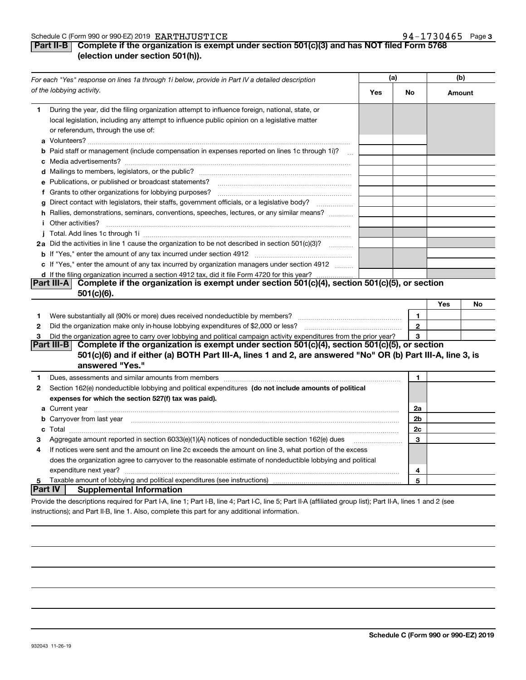# **Part II-B Complete if the organization is exempt under section 501(c)(3) and has NOT filed Form 5768 (election under section 501(h)).**

|              | For each "Yes" response on lines 1a through 1i below, provide in Part IV a detailed description                                                                                                                                                | (a) |              | (b)    |    |
|--------------|------------------------------------------------------------------------------------------------------------------------------------------------------------------------------------------------------------------------------------------------|-----|--------------|--------|----|
|              | of the lobbying activity.                                                                                                                                                                                                                      | Yes | No           | Amount |    |
| 1            | During the year, did the filing organization attempt to influence foreign, national, state, or<br>local legislation, including any attempt to influence public opinion on a legislative matter<br>or referendum, through the use of:           |     |              |        |    |
|              | <b>b</b> Paid staff or management (include compensation in expenses reported on lines 1c through 1i)?                                                                                                                                          |     |              |        |    |
|              |                                                                                                                                                                                                                                                |     |              |        |    |
|              | e Publications, or published or broadcast statements?                                                                                                                                                                                          |     |              |        |    |
|              |                                                                                                                                                                                                                                                |     |              |        |    |
| g            | Direct contact with legislators, their staffs, government officials, or a legislative body?                                                                                                                                                    |     |              |        |    |
|              | h Rallies, demonstrations, seminars, conventions, speeches, lectures, or any similar means?<br><i>i</i> Other activities?                                                                                                                      |     |              |        |    |
|              |                                                                                                                                                                                                                                                |     |              |        |    |
|              | 2a Did the activities in line 1 cause the organization to be not described in section 501(c)(3)?                                                                                                                                               |     |              |        |    |
|              |                                                                                                                                                                                                                                                |     |              |        |    |
|              | c If "Yes," enter the amount of any tax incurred by organization managers under section 4912                                                                                                                                                   |     |              |        |    |
|              | d If the filing organization incurred a section 4912 tax, did it file Form 4720 for this year?                                                                                                                                                 |     |              |        |    |
|              | Complete if the organization is exempt under section 501(c)(4), section 501(c)(5), or section<br>Part III-A                                                                                                                                    |     |              |        |    |
|              | 501(c)(6).                                                                                                                                                                                                                                     |     |              |        |    |
|              |                                                                                                                                                                                                                                                |     |              | Yes    | No |
| 1            | Were substantially all (90% or more) dues received nondeductible by members?                                                                                                                                                                   |     | 1            |        |    |
| $\mathbf{2}$ | Did the organization make only in-house lobbying expenditures of \$2,000 or less?                                                                                                                                                              |     | $\mathbf{2}$ |        |    |
| 3            | Did the organization agree to carry over lobbying and political campaign activity expenditures from the prior year?                                                                                                                            |     | 3            |        |    |
|              | Part III-B <br>Complete if the organization is exempt under section 501(c)(4), section 501(c)(5), or section<br>501(c)(6) and if either (a) BOTH Part III-A, lines 1 and 2, are answered "No" OR (b) Part III-A, line 3, is<br>answered "Yes." |     |              |        |    |
| 1            | Dues, assessments and similar amounts from members [11] matter content to assessments and similar amounts from members [11] matter content and similar amounts from members [11] matter content and the state of the state of                  |     | 1            |        |    |
| 2            | Section 162(e) nondeductible lobbying and political expenditures (do not include amounts of political                                                                                                                                          |     |              |        |    |
|              | expenses for which the section 527(f) tax was paid).                                                                                                                                                                                           |     |              |        |    |
|              | <b>a</b> Current year                                                                                                                                                                                                                          |     | 2a           |        |    |
|              | b Carryover from last year manufactured and contract the contract of the contract of the contract of the contract of contract of contract of contract of contract of contract of contract of contract of contract of contract                  |     | 2b           |        |    |
|              |                                                                                                                                                                                                                                                |     | 2c           |        |    |
| З            | Aggregate amount reported in section 6033(e)(1)(A) notices of nondeductible section 162(e) dues                                                                                                                                                |     | 3            |        |    |
| 4            | If notices were sent and the amount on line 2c exceeds the amount on line 3, what portion of the excess                                                                                                                                        |     |              |        |    |
|              | does the organization agree to carryover to the reasonable estimate of nondeductible lobbying and political                                                                                                                                    |     |              |        |    |
|              | expenditure next year?                                                                                                                                                                                                                         |     | 4            |        |    |
| 5            |                                                                                                                                                                                                                                                |     | 5            |        |    |
| Part IV      | <b>Supplemental Information</b>                                                                                                                                                                                                                |     |              |        |    |
|              | Provide the descriptions required for Part I-A, line 1; Part I-B, line 4; Part I-C, line 5; Part II-A (affiliated group list); Part II-A, lines 1 and 2 (see                                                                                   |     |              |        |    |

instructions); and Part II-B, line 1. Also, complete this part for any additional information.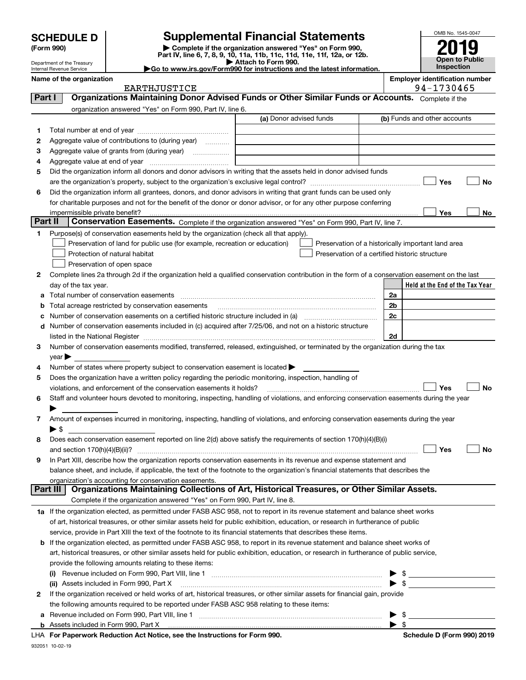Department of the Treasury Internal Revenue Service

| (Form 990) |  |
|------------|--|
|------------|--|

**Part I** 

# **Supplemental Financial Statements**

(Form 990)<br>
Pepartment of the Treasury<br>
Department of the Treasury<br>
Department of the Treasury<br>
Department of the Treasury<br> **Co to www.irs.gov/Form990 for instructions and the latest information.**<br> **Co to www.irs.gov/Form9** 

**Open to Public Inspection 2019**

OMB No. 1545-0047

| $\triangleright$ Allach to Form 330.                                                    |  |
|-----------------------------------------------------------------------------------------|--|
| $\blacktriangleright$ Go to www.irs.gov/Form990 for instructions and the latest informa |  |

|    | Name of the organization                                                                                           |                         | <b>Employer identification number</b> |
|----|--------------------------------------------------------------------------------------------------------------------|-------------------------|---------------------------------------|
|    | EARTHJUSTICE                                                                                                       |                         | 94-1730465                            |
|    | Organizations Maintaining Donor Advised Funds or Other Similar Funds or Accounts.<br>Part I                        |                         | Complete if the                       |
|    | organization answered "Yes" on Form 990, Part IV, line 6.                                                          |                         |                                       |
|    |                                                                                                                    | (a) Donor advised funds | (b) Funds and other accounts          |
|    |                                                                                                                    |                         |                                       |
| 2  | Aggregate value of contributions to (during year)<br>.                                                             |                         |                                       |
| 3. | Aggregate value of grants from (during year)                                                                       |                         |                                       |
| 4  | Aggregate value at end of year                                                                                     |                         |                                       |
| 5. | Did the organization inform all donors and donor advisors in writing that the assets held in donor advised funds   |                         |                                       |
|    |                                                                                                                    |                         | No<br>Yes                             |
| 6  | Did the organization inform all grantees, donors, and donor advisors in writing that grant funds can be used only  |                         |                                       |
|    | for charitable purposes and not for the benefit of the donor or donor advisor, or for any other purpose conferring |                         |                                       |
|    | imporminaible private benefit?                                                                                     |                         | $V_{\rm{max}}$<br>N <sub>a</sub>      |

|  |  |  |  |  | mployer identification number |  |
|--|--|--|--|--|-------------------------------|--|
|  |  |  |  |  |                               |  |

|        | <b>EARTHJUSTICE</b>                                                                                                                                               |                         |                | 94-1730465                                         |    |
|--------|-------------------------------------------------------------------------------------------------------------------------------------------------------------------|-------------------------|----------------|----------------------------------------------------|----|
| Part I | Organizations Maintaining Donor Advised Funds or Other Similar Funds or Accounts. Complete if the                                                                 |                         |                |                                                    |    |
|        | organization answered "Yes" on Form 990, Part IV, line 6.                                                                                                         |                         |                |                                                    |    |
|        |                                                                                                                                                                   | (a) Donor advised funds |                | (b) Funds and other accounts                       |    |
| 1      |                                                                                                                                                                   |                         |                |                                                    |    |
| 2      | Aggregate value of contributions to (during year)                                                                                                                 |                         |                |                                                    |    |
| 3      |                                                                                                                                                                   |                         |                |                                                    |    |
| 4      |                                                                                                                                                                   |                         |                |                                                    |    |
| 5      | Did the organization inform all donors and donor advisors in writing that the assets held in donor advised funds                                                  |                         |                |                                                    |    |
|        |                                                                                                                                                                   |                         |                | Yes                                                | No |
| 6      | Did the organization inform all grantees, donors, and donor advisors in writing that grant funds can be used only                                                 |                         |                |                                                    |    |
|        | for charitable purposes and not for the benefit of the donor or donor advisor, or for any other purpose conferring                                                |                         |                |                                                    |    |
|        | impermissible private benefit?                                                                                                                                    |                         |                | Yes                                                | No |
|        | Part II<br>Conservation Easements. Complete if the organization answered "Yes" on Form 990, Part IV, line 7.                                                      |                         |                |                                                    |    |
| 1      | Purpose(s) of conservation easements held by the organization (check all that apply).                                                                             |                         |                |                                                    |    |
|        | Preservation of land for public use (for example, recreation or education)                                                                                        |                         |                | Preservation of a historically important land area |    |
|        | Protection of natural habitat                                                                                                                                     |                         |                | Preservation of a certified historic structure     |    |
|        | Preservation of open space                                                                                                                                        |                         |                |                                                    |    |
| 2      | Complete lines 2a through 2d if the organization held a qualified conservation contribution in the form of a conservation easement on the last                    |                         |                |                                                    |    |
|        | day of the tax year.                                                                                                                                              |                         |                | Held at the End of the Tax Year                    |    |
|        |                                                                                                                                                                   |                         | 2a             |                                                    |    |
|        | <b>b</b> Total acreage restricted by conservation easements                                                                                                       |                         | 2 <sub>b</sub> |                                                    |    |
|        |                                                                                                                                                                   |                         | 2 <sub>c</sub> |                                                    |    |
|        | d Number of conservation easements included in (c) acquired after 7/25/06, and not on a historic structure                                                        |                         |                |                                                    |    |
|        |                                                                                                                                                                   |                         | 2d             |                                                    |    |
|        | Number of conservation easements modified, transferred, released, extinguished, or terminated by the organization during the tax                                  |                         |                |                                                    |    |
| 3      |                                                                                                                                                                   |                         |                |                                                    |    |
|        | $year \blacktriangleright$                                                                                                                                        |                         |                |                                                    |    |
| 4      | Number of states where property subject to conservation easement is located $\blacktriangleright$                                                                 |                         |                |                                                    |    |
| 5      | Does the organization have a written policy regarding the periodic monitoring, inspection, handling of                                                            |                         |                |                                                    |    |
|        | violations, and enforcement of the conservation easements it holds?                                                                                               |                         |                | Yes                                                | No |
| 6      | Staff and volunteer hours devoted to monitoring, inspecting, handling of violations, and enforcing conservation easements during the year                         |                         |                |                                                    |    |
|        |                                                                                                                                                                   |                         |                |                                                    |    |
| 7.     | Amount of expenses incurred in monitoring, inspecting, handling of violations, and enforcing conservation easements during the year                               |                         |                |                                                    |    |
|        | ► \$                                                                                                                                                              |                         |                |                                                    |    |
| 8      | Does each conservation easement reported on line 2(d) above satisfy the requirements of section 170(h)(4)(B)(i)                                                   |                         |                |                                                    |    |
|        |                                                                                                                                                                   |                         |                | Yes                                                | No |
| 9      | In Part XIII, describe how the organization reports conservation easements in its revenue and expense statement and                                               |                         |                |                                                    |    |
|        | balance sheet, and include, if applicable, the text of the footnote to the organization's financial statements that describes the                                 |                         |                |                                                    |    |
|        | organization's accounting for conservation easements.<br>Part III<br>Organizations Maintaining Collections of Art, Historical Treasures, or Other Similar Assets. |                         |                |                                                    |    |
|        |                                                                                                                                                                   |                         |                |                                                    |    |
|        | Complete if the organization answered "Yes" on Form 990, Part IV, line 8.                                                                                         |                         |                |                                                    |    |
|        | 1a If the organization elected, as permitted under FASB ASC 958, not to report in its revenue statement and balance sheet works                                   |                         |                |                                                    |    |
|        | of art, historical treasures, or other similar assets held for public exhibition, education, or research in furtherance of public                                 |                         |                |                                                    |    |
|        | service, provide in Part XIII the text of the footnote to its financial statements that describes these items.                                                    |                         |                |                                                    |    |
|        | <b>b</b> If the organization elected, as permitted under FASB ASC 958, to report in its revenue statement and balance sheet works of                              |                         |                |                                                    |    |
|        | art, historical treasures, or other similar assets held for public exhibition, education, or research in furtherance of public service,                           |                         |                |                                                    |    |
|        | provide the following amounts relating to these items:                                                                                                            |                         |                |                                                    |    |

|   | provide the following amounts relating to these items:                                                                       |  |  |
|---|------------------------------------------------------------------------------------------------------------------------------|--|--|
|   | Revenue included on Form 990, Part VIII, line 1<br>(i)                                                                       |  |  |
|   | (ii) Assets included in Form 990, Part X                                                                                     |  |  |
| 2 | If the organization received or held works of art, historical treasures, or other similar assets for financial gain, provide |  |  |
|   | the following amounts required to be reported under FASB ASC 958 relating to these items:                                    |  |  |
|   | a Revenue included on Form 990, Part VIII, line 1                                                                            |  |  |
|   | <b>b</b> Assets included in Form 990, Part X                                                                                 |  |  |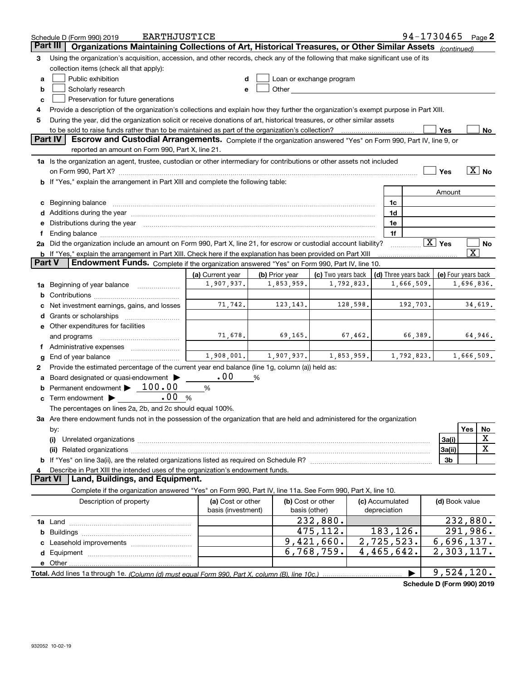|               | EARTHJUSTICE<br>Schedule D (Form 990) 2019                                                                                                                                                                                     |                                         |                |                                    |                                 | 94-1730465                 |                        |                         | Page 2                |
|---------------|--------------------------------------------------------------------------------------------------------------------------------------------------------------------------------------------------------------------------------|-----------------------------------------|----------------|------------------------------------|---------------------------------|----------------------------|------------------------|-------------------------|-----------------------|
|               | Part III<br>Organizations Maintaining Collections of Art, Historical Treasures, or Other Similar Assets (continued)                                                                                                            |                                         |                |                                    |                                 |                            |                        |                         |                       |
| 3             | Using the organization's acquisition, accession, and other records, check any of the following that make significant use of its                                                                                                |                                         |                |                                    |                                 |                            |                        |                         |                       |
|               | collection items (check all that apply):                                                                                                                                                                                       |                                         |                |                                    |                                 |                            |                        |                         |                       |
| a             | Public exhibition                                                                                                                                                                                                              | d                                       |                | Loan or exchange program           |                                 |                            |                        |                         |                       |
| b             | Scholarly research                                                                                                                                                                                                             | e                                       | Other_         |                                    |                                 |                            |                        |                         |                       |
| c             | Preservation for future generations                                                                                                                                                                                            |                                         |                |                                    |                                 |                            |                        |                         |                       |
| 4             | Provide a description of the organization's collections and explain how they further the organization's exempt purpose in Part XIII.                                                                                           |                                         |                |                                    |                                 |                            |                        |                         |                       |
| 5             | During the year, did the organization solicit or receive donations of art, historical treasures, or other similar assets                                                                                                       |                                         |                |                                    |                                 |                            |                        |                         |                       |
|               | to be sold to raise funds rather than to be maintained as part of the organization's collection?                                                                                                                               |                                         |                |                                    |                                 |                            | Yes                    |                         | No                    |
|               | <b>Part IV</b><br>Escrow and Custodial Arrangements. Complete if the organization answered "Yes" on Form 990, Part IV, line 9, or                                                                                              |                                         |                |                                    |                                 |                            |                        |                         |                       |
|               | reported an amount on Form 990, Part X, line 21.                                                                                                                                                                               |                                         |                |                                    |                                 |                            |                        |                         |                       |
|               |                                                                                                                                                                                                                                |                                         |                |                                    |                                 |                            |                        |                         |                       |
|               | 1a Is the organization an agent, trustee, custodian or other intermediary for contributions or other assets not included                                                                                                       |                                         |                |                                    |                                 |                            |                        |                         | $\boxed{\text{X}}$ No |
|               |                                                                                                                                                                                                                                |                                         |                |                                    |                                 |                            | Yes                    |                         |                       |
|               | b If "Yes," explain the arrangement in Part XIII and complete the following table:                                                                                                                                             |                                         |                |                                    |                                 |                            |                        |                         |                       |
|               |                                                                                                                                                                                                                                |                                         |                |                                    |                                 |                            | Amount                 |                         |                       |
|               | c Beginning balance measurements and the contract of the contract of the contract of the contract of the contract of the contract of the contract of the contract of the contract of the contract of the contract of the contr |                                         |                |                                    | 1c                              |                            |                        |                         |                       |
|               |                                                                                                                                                                                                                                |                                         |                |                                    | 1d                              |                            |                        |                         |                       |
| е             | Distributions during the year manufactured and continuum control of the year manufactured and the year manufactured and the year manufactured and the year manufactured and the year manufactured and the year manufactured an |                                         |                |                                    | 1e                              |                            |                        |                         |                       |
| f             |                                                                                                                                                                                                                                |                                         |                |                                    | 1f                              |                            |                        |                         |                       |
|               | 2a Did the organization include an amount on Form 990, Part X, line 21, for escrow or custodial account liability?                                                                                                             |                                         |                |                                    |                                 |                            | $\boxed{\text{X}}$ Yes |                         | No                    |
|               | <b>b</b> If "Yes," explain the arrangement in Part XIII. Check here if the explanation has been provided on Part XIII                                                                                                          |                                         |                |                                    |                                 |                            |                        | $\overline{\texttt{X}}$ |                       |
| <b>Part V</b> | Endowment Funds. Complete if the organization answered "Yes" on Form 990, Part IV, line 10.                                                                                                                                    |                                         |                |                                    |                                 |                            |                        |                         |                       |
|               |                                                                                                                                                                                                                                | (a) Current year                        | (b) Prior year | (c) Two years back                 | (d) Three years back            |                            | (e) Four years back    |                         |                       |
|               | 1a Beginning of year balance                                                                                                                                                                                                   | 1,907,937.                              | 1,853,959.     | 1,792,823.                         |                                 | 1,666,509.                 |                        | 1,696,836.              |                       |
| b             |                                                                                                                                                                                                                                |                                         |                |                                    |                                 |                            |                        |                         |                       |
|               | Net investment earnings, gains, and losses                                                                                                                                                                                     | 71,742.                                 | 123, 143.      | 128,598.                           |                                 | 192,703.                   |                        |                         | 34,619.               |
|               |                                                                                                                                                                                                                                |                                         |                |                                    |                                 |                            |                        |                         |                       |
|               | e Other expenditures for facilities                                                                                                                                                                                            |                                         |                |                                    |                                 |                            |                        |                         |                       |
|               | and programs                                                                                                                                                                                                                   | 71,678.                                 | 69,165.        | 67,462.                            |                                 | 66,389.                    |                        |                         | 64,946.               |
| Ť.            |                                                                                                                                                                                                                                |                                         |                |                                    |                                 |                            |                        |                         |                       |
| g             | End of year balance                                                                                                                                                                                                            | 1,908,001.                              | 1,907,937.     | 1,853,959.                         |                                 | 1,792,823.                 |                        |                         | 1,666,509.            |
| 2             | Provide the estimated percentage of the current year end balance (line 1g, column (a)) held as:                                                                                                                                |                                         |                |                                    |                                 |                            |                        |                         |                       |
| а             | Board designated or quasi-endowment                                                                                                                                                                                            | .00                                     | %              |                                    |                                 |                            |                        |                         |                       |
| b             | Permanent endowment $\blacktriangleright$ 100.00                                                                                                                                                                               | %                                       |                |                                    |                                 |                            |                        |                         |                       |
|               | .00<br><b>c</b> Term endowment $\blacktriangleright$                                                                                                                                                                           | $\%$                                    |                |                                    |                                 |                            |                        |                         |                       |
|               | The percentages on lines 2a, 2b, and 2c should equal 100%.                                                                                                                                                                     |                                         |                |                                    |                                 |                            |                        |                         |                       |
|               | 3a Are there endowment funds not in the possession of the organization that are held and administered for the organization                                                                                                     |                                         |                |                                    |                                 |                            |                        |                         |                       |
|               | by:                                                                                                                                                                                                                            |                                         |                |                                    |                                 |                            |                        | Yes                     | No                    |
|               | (i)                                                                                                                                                                                                                            |                                         |                |                                    |                                 |                            | 3a(i)                  |                         | X                     |
|               | (ii)                                                                                                                                                                                                                           |                                         |                |                                    |                                 |                            | 3a(ii)                 |                         | $\mathbf X$           |
|               |                                                                                                                                                                                                                                |                                         |                |                                    |                                 |                            | 3 <sub>b</sub>         |                         |                       |
|               | Describe in Part XIII the intended uses of the organization's endowment funds.                                                                                                                                                 |                                         |                |                                    |                                 |                            |                        |                         |                       |
|               | Land, Buildings, and Equipment.<br><b>Part VI</b>                                                                                                                                                                              |                                         |                |                                    |                                 |                            |                        |                         |                       |
|               | Complete if the organization answered "Yes" on Form 990, Part IV, line 11a. See Form 990, Part X, line 10.                                                                                                                     |                                         |                |                                    |                                 |                            |                        |                         |                       |
|               |                                                                                                                                                                                                                                |                                         |                |                                    |                                 |                            |                        |                         |                       |
|               | Description of property                                                                                                                                                                                                        | (a) Cost or other<br>basis (investment) |                | (b) Cost or other<br>basis (other) | (c) Accumulated<br>depreciation |                            | (d) Book value         |                         |                       |
|               |                                                                                                                                                                                                                                |                                         |                |                                    |                                 |                            |                        |                         |                       |
|               |                                                                                                                                                                                                                                |                                         |                | 232,880.                           |                                 |                            |                        |                         | 232,880.              |
|               |                                                                                                                                                                                                                                |                                         |                | 475,112.                           | 183,126.                        |                            |                        | 291,986.                |                       |
|               |                                                                                                                                                                                                                                |                                         |                | 9,421,660.                         | 2,725,523.                      |                            | 6,696,137.             |                         |                       |
|               |                                                                                                                                                                                                                                |                                         |                | 6,768,759.                         | 4,465,642.                      |                            | 2,303,117.             |                         |                       |
|               |                                                                                                                                                                                                                                |                                         |                |                                    |                                 |                            |                        |                         |                       |
|               |                                                                                                                                                                                                                                |                                         |                |                                    |                                 | $\blacktriangleright$      | 9,524,120.             |                         |                       |
|               |                                                                                                                                                                                                                                |                                         |                |                                    |                                 | Schedule D (Form 990) 2019 |                        |                         |                       |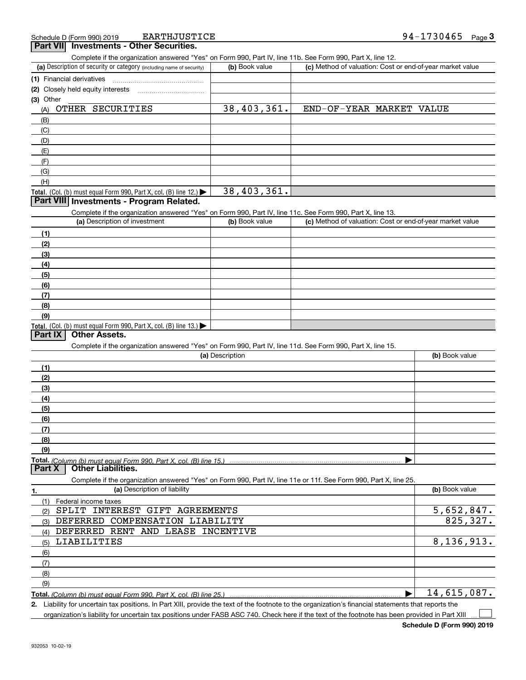**EARTHJUSTICE** 

| Complete if the organization answered "Yes" on Form 990, Part IV, line 11b. See Form 990, Part X, line 12.        |                 |                                                           |                |
|-------------------------------------------------------------------------------------------------------------------|-----------------|-----------------------------------------------------------|----------------|
| (a) Description of security or category (including name of security)                                              | (b) Book value  | (c) Method of valuation: Cost or end-of-year market value |                |
| (1) Financial derivatives                                                                                         |                 |                                                           |                |
| (2) Closely held equity interests                                                                                 |                 |                                                           |                |
| (3) Other                                                                                                         |                 |                                                           |                |
| OTHER SECURITIES<br>(A)                                                                                           | 38,403,361.     | END-OF-YEAR MARKET VALUE                                  |                |
| (B)                                                                                                               |                 |                                                           |                |
| (C)                                                                                                               |                 |                                                           |                |
| (D)                                                                                                               |                 |                                                           |                |
| (E)                                                                                                               |                 |                                                           |                |
| (F)                                                                                                               |                 |                                                           |                |
| (G)                                                                                                               |                 |                                                           |                |
| (H)                                                                                                               |                 |                                                           |                |
| Total. (Col. (b) must equal Form 990, Part X, col. (B) line 12.)                                                  | 38,403,361.     |                                                           |                |
| Part VIII Investments - Program Related.                                                                          |                 |                                                           |                |
| Complete if the organization answered "Yes" on Form 990, Part IV, line 11c. See Form 990, Part X, line 13.        |                 |                                                           |                |
| (a) Description of investment                                                                                     | (b) Book value  | (c) Method of valuation: Cost or end-of-year market value |                |
| (1)                                                                                                               |                 |                                                           |                |
| (2)                                                                                                               |                 |                                                           |                |
| (3)                                                                                                               |                 |                                                           |                |
| (4)                                                                                                               |                 |                                                           |                |
| (5)                                                                                                               |                 |                                                           |                |
| (6)                                                                                                               |                 |                                                           |                |
| (7)                                                                                                               |                 |                                                           |                |
| (8)                                                                                                               |                 |                                                           |                |
| (9)                                                                                                               |                 |                                                           |                |
| Total. (Col. (b) must equal Form 990, Part X, col. (B) line 13.)                                                  |                 |                                                           |                |
| <b>Other Assets.</b><br><b>Part IX</b>                                                                            |                 |                                                           |                |
| Complete if the organization answered "Yes" on Form 990, Part IV, line 11d. See Form 990, Part X, line 15.        |                 |                                                           |                |
|                                                                                                                   | (a) Description |                                                           | (b) Book value |
| (1)                                                                                                               |                 |                                                           |                |
| (2)                                                                                                               |                 |                                                           |                |
| (3)                                                                                                               |                 |                                                           |                |
| (4)                                                                                                               |                 |                                                           |                |
| (5)                                                                                                               |                 |                                                           |                |
| (6)                                                                                                               |                 |                                                           |                |
| (7)                                                                                                               |                 |                                                           |                |
| (8)                                                                                                               |                 |                                                           |                |
| (9)                                                                                                               |                 |                                                           |                |
| Total. (Column (b) must equal Form 990. Part X. col. (B) line 15.)                                                |                 |                                                           |                |
| <b>Other Liabilities.</b><br>Part X                                                                               |                 |                                                           |                |
| Complete if the organization answered "Yes" on Form 990, Part IV, line 11e or 11f. See Form 990, Part X, line 25. |                 |                                                           |                |
| (a) Description of liability<br>1.                                                                                |                 |                                                           | (b) Book value |
| (1)<br>Federal income taxes                                                                                       |                 |                                                           |                |
| SPLIT INTEREST GIFT AGREEMENTS<br>(2)                                                                             |                 |                                                           | 5,652,847.     |
| DEFERRED COMPENSATION LIABILITY<br>(3)                                                                            |                 |                                                           | 825, 327.      |
| DEFERRED RENT AND LEASE INCENTIVE<br>(4)                                                                          |                 |                                                           |                |
| LIABILITIES<br>(5)                                                                                                |                 |                                                           | 8,136,913.     |
| (6)                                                                                                               |                 |                                                           |                |
| (7)                                                                                                               |                 |                                                           |                |
| (8)                                                                                                               |                 |                                                           |                |
| (9)                                                                                                               |                 |                                                           |                |
| Total. (Column (b) must equal Form 990, Part X, col. (B) line 25.)                                                |                 |                                                           | 14,615,087.    |

**2.** Liability for uncertain tax positions. In Part XIII, provide the text of the footnote to the organization's financial statements that reports the organization's liability for uncertain tax positions under FASB ASC 740. Check here if the text of the footnote has been provided in Part XIII  $\mathcal{L}^{\text{max}}$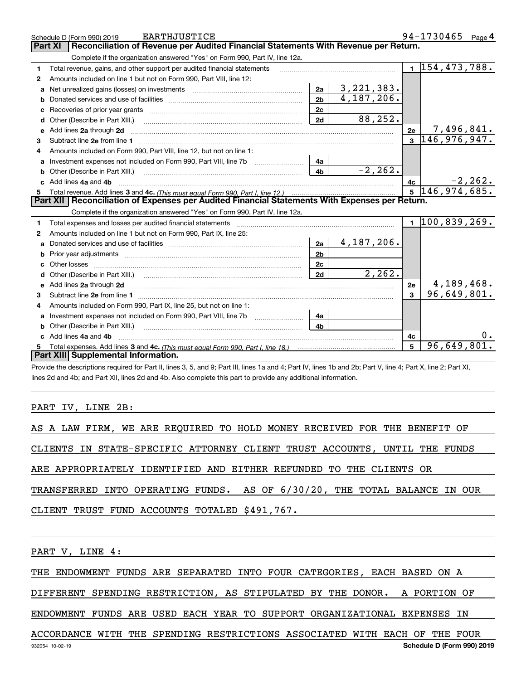|              | EARTHJUSTICE<br>Schedule D (Form 990) 2019                                                                                                                                                                                    |                |                |              | 94-1730465 Page 4             |
|--------------|-------------------------------------------------------------------------------------------------------------------------------------------------------------------------------------------------------------------------------|----------------|----------------|--------------|-------------------------------|
|              | Reconciliation of Revenue per Audited Financial Statements With Revenue per Return.<br>Part XI                                                                                                                                |                |                |              |                               |
|              | Complete if the organization answered "Yes" on Form 990, Part IV, line 12a.                                                                                                                                                   |                |                |              |                               |
| 1            | Total revenue, gains, and other support per audited financial statements                                                                                                                                                      |                |                |              | $\overline{1}$ 154, 473, 788. |
| $\mathbf{2}$ | Amounts included on line 1 but not on Form 990, Part VIII, line 12:                                                                                                                                                           |                |                |              |                               |
| a            | Net unrealized gains (losses) on investments [11] matter contracts and the unrealized gains (losses) on investments                                                                                                           | 2a             | 3, 221, 383.   |              |                               |
|              |                                                                                                                                                                                                                               | 2 <sub>b</sub> | 4,187,206.     |              |                               |
| c            |                                                                                                                                                                                                                               | 2c             |                |              |                               |
| d            | Other (Describe in Part XIII.)                                                                                                                                                                                                | 2d             | 88,252.        |              |                               |
| е            | Add lines 2a through 2d                                                                                                                                                                                                       |                |                | 2e           | 7,496,841.                    |
| з            |                                                                                                                                                                                                                               |                |                |              | $3\vert 146, 976, 947.$       |
| 4            | Amounts included on Form 990, Part VIII, line 12, but not on line 1:                                                                                                                                                          |                |                |              |                               |
|              |                                                                                                                                                                                                                               | 4a             |                |              |                               |
| b            |                                                                                                                                                                                                                               | 4 <sub>b</sub> | $-2, 262.$     |              |                               |
| c.           | Add lines 4a and 4b                                                                                                                                                                                                           |                |                | 4с           | $-2, 262.$                    |
|              |                                                                                                                                                                                                                               | 5 <sup>5</sup> | 146, 974, 685. |              |                               |
|              |                                                                                                                                                                                                                               |                |                |              |                               |
|              | Part XII   Reconciliation of Expenses per Audited Financial Statements With Expenses per Return.                                                                                                                              |                |                |              |                               |
|              | Complete if the organization answered "Yes" on Form 990, Part IV, line 12a.                                                                                                                                                   |                |                |              |                               |
| 1            | Total expenses and losses per audited financial statements [11] [11] contain the control of the statements [11] [11] and the statements [11] and the statements [11] and the statements and the statements and the statements |                |                |              | $1\vert 100, 839, 269.$       |
| 2            | Amounts included on line 1 but not on Form 990, Part IX, line 25:                                                                                                                                                             |                |                |              |                               |
| a            |                                                                                                                                                                                                                               | 2a             | $4,187,206$ .  |              |                               |
| b            |                                                                                                                                                                                                                               | 2 <sub>b</sub> |                |              |                               |
| c            |                                                                                                                                                                                                                               | 2c             |                |              |                               |
| d            |                                                                                                                                                                                                                               | 2d             | 2, 262.        |              |                               |
|              |                                                                                                                                                                                                                               |                |                | 2e           | 4,189,468.                    |
| 3            |                                                                                                                                                                                                                               |                |                | $\mathbf{R}$ | 96,649,801.                   |
| 4            | Amounts included on Form 990, Part IX, line 25, but not on line 1:                                                                                                                                                            |                |                |              |                               |
| a            |                                                                                                                                                                                                                               | 4a             |                |              |                               |
| b            |                                                                                                                                                                                                                               | 4b.            |                |              |                               |
|              | c Add lines 4a and 4b                                                                                                                                                                                                         |                |                | 4c           |                               |
|              | Total expenses. Add lines 3 and 4c. (This must equal Form 990, Part I, line 18.) <b>Conservers</b> manufactured in the<br>Part XIII Supplemental Information.                                                                 |                |                | 5            | 96,649,801.                   |

Provide the descriptions required for Part II, lines 3, 5, and 9; Part III, lines 1a and 4; Part IV, lines 1b and 2b; Part V, line 4; Part X, line 2; Part XI, lines 2d and 4b; and Part XII, lines 2d and 4b. Also complete this part to provide any additional information.

## PART IV, LINE 2B:

|  |  |  | AS A LAW FIRM, WE ARE REQUIRED TO HOLD MONEY RECEIVED FOR THE BENEFIT OF  |  |  |  |  |  |  |  |
|--|--|--|---------------------------------------------------------------------------|--|--|--|--|--|--|--|
|  |  |  |                                                                           |  |  |  |  |  |  |  |
|  |  |  | CLIENTS IN STATE-SPECIFIC ATTORNEY CLIENT TRUST ACCOUNTS, UNTIL THE FUNDS |  |  |  |  |  |  |  |
|  |  |  |                                                                           |  |  |  |  |  |  |  |
|  |  |  | ARE APPROPRIATELY IDENTIFIED AND EITHER REFUNDED TO THE CLIENTS OR        |  |  |  |  |  |  |  |
|  |  |  |                                                                           |  |  |  |  |  |  |  |
|  |  |  | TRANSFERRED INTO OPERATING FUNDS. AS OF 6/30/20, THE TOTAL BALANCE IN OUR |  |  |  |  |  |  |  |
|  |  |  |                                                                           |  |  |  |  |  |  |  |
|  |  |  | CLIENT TRUST FUND ACCOUNTS TOTALED \$491,767.                             |  |  |  |  |  |  |  |
|  |  |  |                                                                           |  |  |  |  |  |  |  |
|  |  |  |                                                                           |  |  |  |  |  |  |  |

PART V, LINE 4:

THE ENDOWMENT FUNDS ARE SEPARATED INTO FOUR CATEGORIES, EACH BASED ON A

DIFFERENT SPENDING RESTRICTION, AS STIPULATED BY THE DONOR. A PORTION OF

ENDOWMENT FUNDS ARE USED EACH YEAR TO SUPPORT ORGANIZATIONAL EXPENSES IN

# ACCORDANCE WITH THE SPENDING RESTRICTIONS ASSOCIATED WITH EACH OF THE FOUR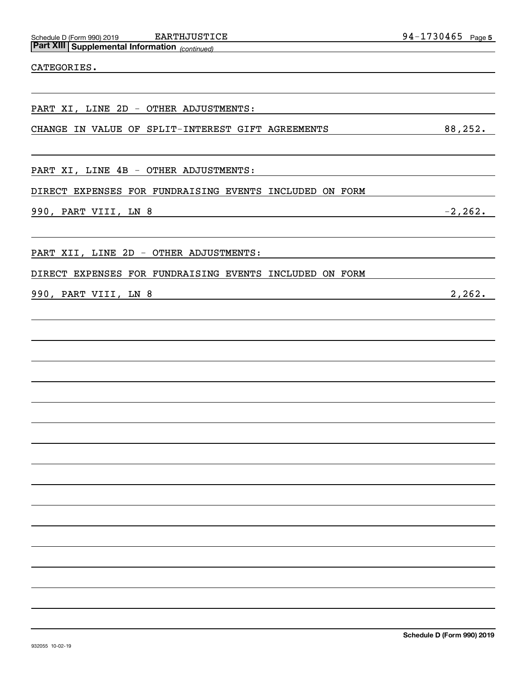| PART XI, LINE 2D - OTHER ADJUSTMENTS:                   |
|---------------------------------------------------------|
| CHANGE IN VALUE OF SPLIT-INTEREST GIFT AGREEMENTS       |
|                                                         |
| PART XI, LINE 4B - OTHER ADJUSTMENTS:                   |
| DIRECT EXPENSES FOR FUNDRAISING EVENTS INCLUDED ON FORM |
| 990, PART VIII, LN 8                                    |
|                                                         |
| PART XII, LINE 2D - OTHER ADJUSTMENTS:                  |
| DIRECT EXPENSES FOR FUNDRAISING EVENTS INCLUDED ON FORM |
|                                                         |

# 990, PART VIII, LN 8 2, 262.

CATEGORIES.

 $-2, 262.$ 

 $\frac{88,252.}{5}$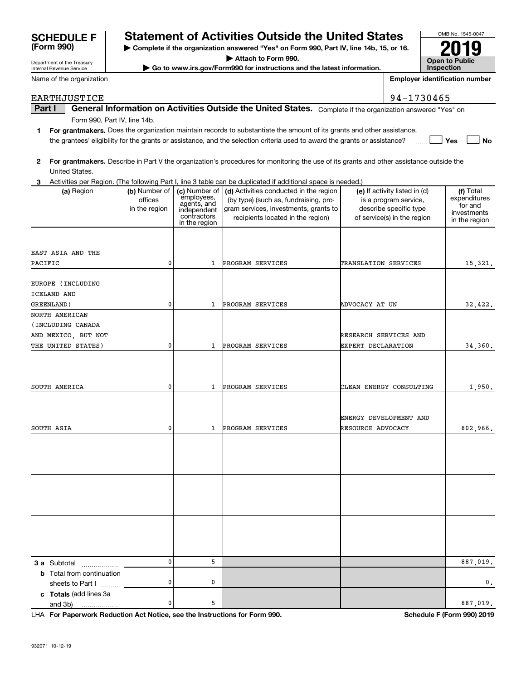# **SCHEDULE F Statement of Activities Outside the United States**

**| Complete if the organization answered "Yes" on Form 990, Part IV, line 14b, 15, or 16.**

**| Go to www.irs.gov/Form990 for instructions and the latest information.**

| United States.<br>3                                        |                                           |                                                                                           | Activities per Region. (The following Part I, line 3 table can be duplicated if additional space is needed.)                                                  |                                                                                                                 |                                                                      |
|------------------------------------------------------------|-------------------------------------------|-------------------------------------------------------------------------------------------|---------------------------------------------------------------------------------------------------------------------------------------------------------------|-----------------------------------------------------------------------------------------------------------------|----------------------------------------------------------------------|
| (a) Region                                                 | (b) Number of<br>offices<br>in the region | (c) Number of<br>employees,<br>agents, and<br>independent<br>contractors<br>in the region | (d) Activities conducted in the region<br>(by type) (such as, fundraising, pro-<br>gram services, investments, grants to<br>recipients located in the region) | (e) If activity listed in (d)<br>is a program service,<br>describe specific type<br>of service(s) in the region | (f) Total<br>expenditures<br>for and<br>investments<br>in the region |
|                                                            |                                           |                                                                                           |                                                                                                                                                               |                                                                                                                 |                                                                      |
| EAST ASIA AND THE                                          |                                           |                                                                                           |                                                                                                                                                               |                                                                                                                 |                                                                      |
| PACIFIC                                                    | 0                                         | 1                                                                                         | PROGRAM SERVICES                                                                                                                                              | TRANSLATION SERVICES                                                                                            | 15,321.                                                              |
| EUROPE (INCLUDING<br>ICELAND AND                           |                                           |                                                                                           |                                                                                                                                                               |                                                                                                                 |                                                                      |
| GREENLAND)                                                 | 0                                         | 1                                                                                         | PROGRAM SERVICES                                                                                                                                              | ADVOCACY AT UN                                                                                                  | 32,422.                                                              |
| NORTH AMERICAN<br>(INCLUDING CANADA<br>AND MEXICO, BUT NOT |                                           |                                                                                           |                                                                                                                                                               | RESEARCH SERVICES AND                                                                                           |                                                                      |
| THE UNITED STATES)                                         | 0                                         | 1                                                                                         | PROGRAM SERVICES                                                                                                                                              | EXPERT DECLARATION                                                                                              | 34,360.                                                              |
| SOUTH AMERICA                                              | 0                                         | 1                                                                                         | PROGRAM SERVICES                                                                                                                                              | CLEAN ENERGY CONSULTING                                                                                         | 1,950.                                                               |
| SOUTH ASIA                                                 | 0                                         | 1                                                                                         | PROGRAM SERVICES                                                                                                                                              | ENERGY DEVELOPMENT AND<br>RESOURCE ADVOCACY                                                                     | 802,966.                                                             |
|                                                            |                                           |                                                                                           |                                                                                                                                                               |                                                                                                                 |                                                                      |
|                                                            |                                           |                                                                                           |                                                                                                                                                               |                                                                                                                 |                                                                      |
|                                                            |                                           |                                                                                           |                                                                                                                                                               |                                                                                                                 |                                                                      |
|                                                            | 0                                         | 5                                                                                         |                                                                                                                                                               |                                                                                                                 | 887,019.                                                             |
| <b>3 a</b> Subtotal<br><b>b</b> Total from continuation    |                                           |                                                                                           |                                                                                                                                                               |                                                                                                                 |                                                                      |
| sheets to Part I                                           | 0                                         | 0                                                                                         |                                                                                                                                                               |                                                                                                                 | 0.                                                                   |
| c Totals (add lines 3a<br>and 3b)                          | 0                                         | 5                                                                                         |                                                                                                                                                               |                                                                                                                 | 887,019.                                                             |
|                                                            |                                           |                                                                                           |                                                                                                                                                               |                                                                                                                 |                                                                      |

EARTHJUSTICE 94-1730465

Department of the Treasury Internal Revenue Service

**(Form 990)**

Name of the organization

**Part I**  $\parallel$  General Information on Activities Outside the United States. Complete if the organization answered "Yes" on Form 990, Part IV, line 14b.

**1For grantmakers.**  Does the organization maintain records to substantiate the amount of its grants and other assistance, **Yes No** the grantees' eligibility for the grants or assistance, and the selection criteria used to award the grants or assistance?  $\frac{1}{\sqrt{2}}$ 

OMB No. 1545-0047 **Open to Public Inspection2019**

**Employer identification number**

**For Paperwork Reduction Act Notice, see the Instructions for Form 990. Schedule F (Form 990) 2019** LHA

**<sup>|</sup> Attach to Form 990.**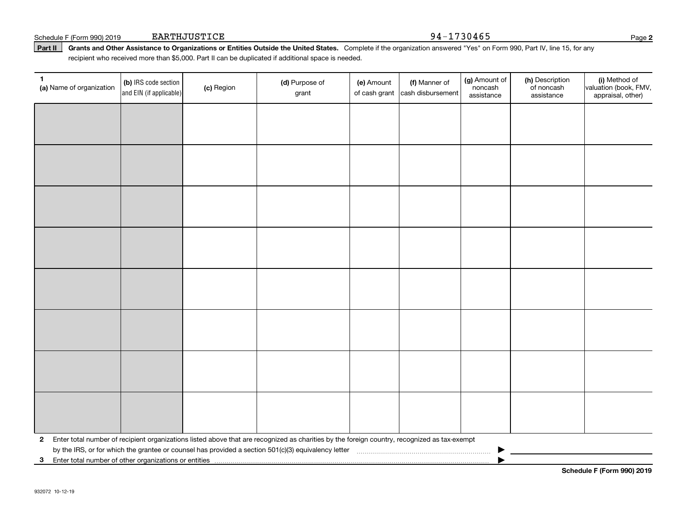| Part II                  |                                                                       |            | Grants and Other Assistance to Organizations or Entities Outside the United States. Complete if the organization answered "Yes" on Form 990, Part IV, line 15, for any<br>recipient who received more than \$5,000. Part II can be duplicated if additional space is needed. |            |                                                  |                                        |                                             |                        |
|--------------------------|-----------------------------------------------------------------------|------------|------------------------------------------------------------------------------------------------------------------------------------------------------------------------------------------------------------------------------------------------------------------------------|------------|--------------------------------------------------|----------------------------------------|---------------------------------------------|------------------------|
| (a) Name of organization | $\vert$ (b) IRS code section $\vert$<br>$ $ and $EIN$ (if applicable) | (c) Region | (d) Purpose of<br>grant                                                                                                                                                                                                                                                      | (e) Amount | (f) Manner of<br>of cash grant cash disbursement | (g) Amount of<br>noncash<br>assistance | (h) Description<br>of noncash<br>assistance | (i)<br>lvaluati<br>app |
|                          |                                                                       |            |                                                                                                                                                                                                                                                                              |            |                                                  |                                        |                                             |                        |

EARTHJUSTICE 94-1730465

| $\mathbf{2}$<br>3 Enter total number of other organizations or entities |  | Enter total number of recipient organizations listed above that are recognized as charities by the foreign country, recognized as tax-exempt<br>by the IRS, or for which the grantee or counsel has provided a section 501(c)(3) equivalency letter [1] concumentam material material material material material material material material material material material materia |  |  |  |
|-------------------------------------------------------------------------|--|--------------------------------------------------------------------------------------------------------------------------------------------------------------------------------------------------------------------------------------------------------------------------------------------------------------------------------------------------------------------------------|--|--|--|

(i) Method of valuation (book, FMV, appraisal, other)

**Schedule F (Form 990) 2019**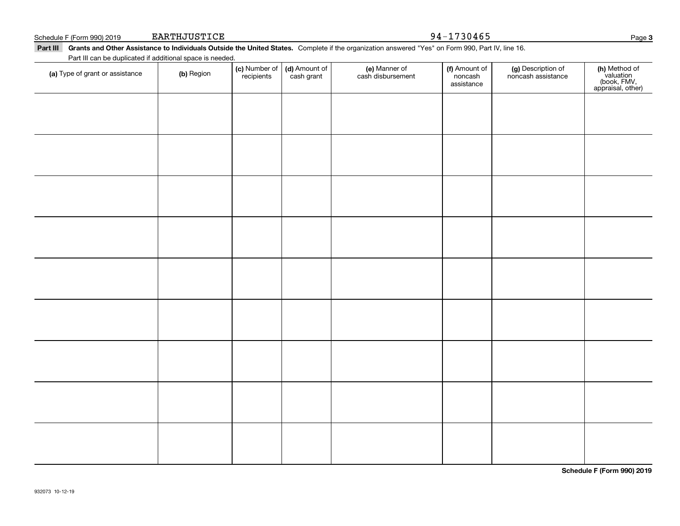| Schedule F (Form 990) 2019<br>Part III Grants and Other Assistance to Individuals Outside the United States. Complete if the organization answered "Yes" on Form 990, Part IV, line 16. | EARTHJUSTICE |                             |                             |                                    | 94-1730465                             |                                          | Page                                                           |
|-----------------------------------------------------------------------------------------------------------------------------------------------------------------------------------------|--------------|-----------------------------|-----------------------------|------------------------------------|----------------------------------------|------------------------------------------|----------------------------------------------------------------|
| Part III can be duplicated if additional space is needed.                                                                                                                               |              |                             |                             |                                    |                                        |                                          |                                                                |
| (a) Type of grant or assistance                                                                                                                                                         | (b) Region   | (c) Number of<br>recipients | (d) Amount of<br>cash grant | (e) Manner of<br>cash disbursement | (f) Amount of<br>noncash<br>assistance | (g) Description of<br>noncash assistance | (h) Method of<br>valuation<br>(book, FMV,<br>appraisal, other) |
|                                                                                                                                                                                         |              |                             |                             |                                    |                                        |                                          |                                                                |
|                                                                                                                                                                                         |              |                             |                             |                                    |                                        |                                          |                                                                |
|                                                                                                                                                                                         |              |                             |                             |                                    |                                        |                                          |                                                                |
|                                                                                                                                                                                         |              |                             |                             |                                    |                                        |                                          |                                                                |
|                                                                                                                                                                                         |              |                             |                             |                                    |                                        |                                          |                                                                |
|                                                                                                                                                                                         |              |                             |                             |                                    |                                        |                                          |                                                                |
|                                                                                                                                                                                         |              |                             |                             |                                    |                                        |                                          |                                                                |
|                                                                                                                                                                                         |              |                             |                             |                                    |                                        |                                          |                                                                |
|                                                                                                                                                                                         |              |                             |                             |                                    |                                        |                                          |                                                                |

**Schedule F (Form 990) 2019**

**3**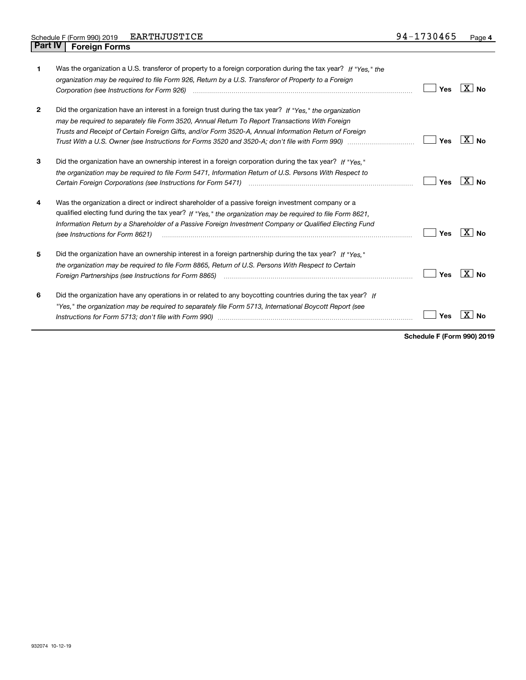| 1            | Was the organization a U.S. transferor of property to a foreign corporation during the tax year? If "Yes." the<br>organization may be required to file Form 926, Return by a U.S. Transferor of Property to a Foreign                                                                                                                                                                                                                  | Yes | $ X $ No        |
|--------------|----------------------------------------------------------------------------------------------------------------------------------------------------------------------------------------------------------------------------------------------------------------------------------------------------------------------------------------------------------------------------------------------------------------------------------------|-----|-----------------|
| $\mathbf{2}$ | Did the organization have an interest in a foreign trust during the tax year? If "Yes." the organization<br>may be required to separately file Form 3520, Annual Return To Report Transactions With Foreign<br>Trusts and Receipt of Certain Foreign Gifts, and/or Form 3520-A, Annual Information Return of Foreign<br>Trust With a U.S. Owner (see Instructions for Forms 3520 and 3520-A; don't file with Form 990) manu-manu-manu- | Yes | $X \mid No$     |
| 3            | Did the organization have an ownership interest in a foreign corporation during the tax year? If "Yes."<br>the organization may be required to file Form 5471, Information Return of U.S. Persons With Respect to                                                                                                                                                                                                                      | Yes | ∣X∣No           |
| 4            | Was the organization a direct or indirect shareholder of a passive foreign investment company or a<br>qualified electing fund during the tax year? If "Yes," the organization may be required to file Form 8621,<br>Information Return by a Shareholder of a Passive Foreign Investment Company or Qualified Electing Fund<br>(see Instructions for Form 8621)                                                                         | Yes | ΧI<br><b>No</b> |
| 5            | Did the organization have an ownership interest in a foreign partnership during the tax year? If "Yes."<br>the organization may be required to file Form 8865, Return of U.S. Persons With Respect to Certain                                                                                                                                                                                                                          | Yes | X∣No            |
| 6            | Did the organization have any operations in or related to any boycotting countries during the tax year? If<br>"Yes," the organization may be required to separately file Form 5713, International Boycott Report (see                                                                                                                                                                                                                  | Yes |                 |

**Schedule F (Form 990) 2019**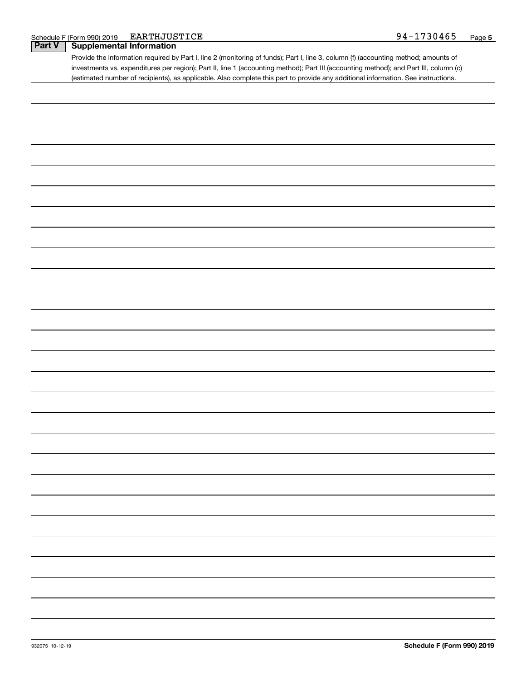|  | Schedule F (Form 990) 2019 | EARTHJUSTICE | 94-1730465 | Page |
|--|----------------------------|--------------|------------|------|
|--|----------------------------|--------------|------------|------|

### **Part V Supplemental Information**

Provide the information required by Part I, line 2 (monitoring of funds); Part I, line 3, column (f) (accounting method; amounts of investments vs. expenditures per region); Part II, line 1 (accounting method); Part III (accounting method); and Part III, column (c) (estimated number of recipients), as applicable. Also complete this part to provide any additional information. See instructions.

| - |  |  |
|---|--|--|
|   |  |  |
|   |  |  |
|   |  |  |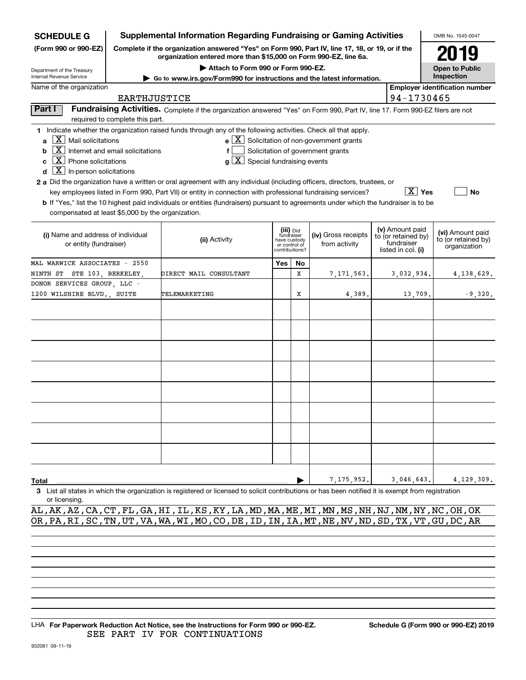| <b>SCHEDULE G</b>                                                                                                                                                                                          |                                                          | <b>Supplemental Information Regarding Fundraising or Gaming Activities</b>                                                                                                                                                                                                                                                                                                                                                                                                                                                                    |                                                                            |    |                                                                                                   |  |                                                                            | OMB No. 1545-0047                                       |
|------------------------------------------------------------------------------------------------------------------------------------------------------------------------------------------------------------|----------------------------------------------------------|-----------------------------------------------------------------------------------------------------------------------------------------------------------------------------------------------------------------------------------------------------------------------------------------------------------------------------------------------------------------------------------------------------------------------------------------------------------------------------------------------------------------------------------------------|----------------------------------------------------------------------------|----|---------------------------------------------------------------------------------------------------|--|----------------------------------------------------------------------------|---------------------------------------------------------|
| (Form 990 or 990-EZ)                                                                                                                                                                                       |                                                          | Complete if the organization answered "Yes" on Form 990, Part IV, line 17, 18, or 19, or if the<br>organization entered more than \$15,000 on Form 990-EZ, line 6a.                                                                                                                                                                                                                                                                                                                                                                           |                                                                            |    |                                                                                                   |  |                                                                            | 2019                                                    |
| Department of the Treasury                                                                                                                                                                                 |                                                          |                                                                                                                                                                                                                                                                                                                                                                                                                                                                                                                                               | <b>Open to Public</b>                                                      |    |                                                                                                   |  |                                                                            |                                                         |
| Internal Revenue Service<br>► Go to www.irs.gov/Form990 for instructions and the latest information.                                                                                                       |                                                          |                                                                                                                                                                                                                                                                                                                                                                                                                                                                                                                                               |                                                                            |    |                                                                                                   |  |                                                                            | Inspection                                              |
| Name of the organization                                                                                                                                                                                   |                                                          |                                                                                                                                                                                                                                                                                                                                                                                                                                                                                                                                               |                                                                            |    |                                                                                                   |  |                                                                            | <b>Employer identification number</b>                   |
|                                                                                                                                                                                                            | EARTHJUSTICE                                             |                                                                                                                                                                                                                                                                                                                                                                                                                                                                                                                                               |                                                                            |    |                                                                                                   |  | 94-1730465                                                                 |                                                         |
| Part I                                                                                                                                                                                                     | required to complete this part.                          | Fundraising Activities. Complete if the organization answered "Yes" on Form 990, Part IV, line 17. Form 990-EZ filers are not                                                                                                                                                                                                                                                                                                                                                                                                                 |                                                                            |    |                                                                                                   |  |                                                                            |                                                         |
| $\mathbf{X}$ Mail solicitations<br>a<br>b<br>$\overline{\mathbf{X}}$ Phone solicitations<br>c<br>$\overline{\mathbf{X}}$ In-person solicitations<br>d<br>compensated at least \$5,000 by the organization. | $\overline{\mathbf{X}}$ Internet and email solicitations | 1 Indicate whether the organization raised funds through any of the following activities. Check all that apply.<br>$g\mid X$ Special fundraising events<br>2 a Did the organization have a written or oral agreement with any individual (including officers, directors, trustees, or<br>key employees listed in Form 990, Part VII) or entity in connection with professional fundraising services?<br>b If "Yes," list the 10 highest paid individuals or entities (fundraisers) pursuant to agreements under which the fundraiser is to be |                                                                            |    | $e$ $\boxed{\text{X}}$ Solicitation of non-government grants<br>Solicitation of government grants |  | $\overline{X}$ Yes                                                         | <b>No</b>                                               |
| (i) Name and address of individual<br>or entity (fundraiser)                                                                                                                                               |                                                          | (ii) Activity                                                                                                                                                                                                                                                                                                                                                                                                                                                                                                                                 | (iii) Did<br>fundraiser<br>have custody<br>or control of<br>contributions? |    | (iv) Gross receipts<br>from activity                                                              |  | (v) Amount paid<br>to (or retained by)<br>fundraiser<br>listed in col. (i) | (vi) Amount paid<br>to (or retained by)<br>organization |
| MAL WARWICK ASSOCIATES - 2550                                                                                                                                                                              |                                                          |                                                                                                                                                                                                                                                                                                                                                                                                                                                                                                                                               | Yes                                                                        | No |                                                                                                   |  |                                                                            |                                                         |
| NINTH ST STE 103, BERKELEY,                                                                                                                                                                                |                                                          | DIRECT MAIL CONSULTANT                                                                                                                                                                                                                                                                                                                                                                                                                                                                                                                        |                                                                            | x  | 7,171,563,                                                                                        |  | 3,032,934.                                                                 | 4, 138, 629.                                            |
| DONOR SERVICES GROUP, LLC -                                                                                                                                                                                |                                                          |                                                                                                                                                                                                                                                                                                                                                                                                                                                                                                                                               |                                                                            |    |                                                                                                   |  |                                                                            |                                                         |
| 1200 WILSHIRE BLVD., SUITE                                                                                                                                                                                 |                                                          | TELEMARKETING                                                                                                                                                                                                                                                                                                                                                                                                                                                                                                                                 |                                                                            | X  | 4,389                                                                                             |  | 13,709.                                                                    | $-9,320.$                                               |
|                                                                                                                                                                                                            |                                                          |                                                                                                                                                                                                                                                                                                                                                                                                                                                                                                                                               |                                                                            |    |                                                                                                   |  |                                                                            |                                                         |
|                                                                                                                                                                                                            |                                                          |                                                                                                                                                                                                                                                                                                                                                                                                                                                                                                                                               |                                                                            |    |                                                                                                   |  |                                                                            |                                                         |
|                                                                                                                                                                                                            |                                                          |                                                                                                                                                                                                                                                                                                                                                                                                                                                                                                                                               |                                                                            |    |                                                                                                   |  |                                                                            |                                                         |
|                                                                                                                                                                                                            |                                                          |                                                                                                                                                                                                                                                                                                                                                                                                                                                                                                                                               |                                                                            |    |                                                                                                   |  |                                                                            |                                                         |
|                                                                                                                                                                                                            |                                                          |                                                                                                                                                                                                                                                                                                                                                                                                                                                                                                                                               |                                                                            |    |                                                                                                   |  |                                                                            |                                                         |
|                                                                                                                                                                                                            |                                                          |                                                                                                                                                                                                                                                                                                                                                                                                                                                                                                                                               |                                                                            |    |                                                                                                   |  |                                                                            |                                                         |
|                                                                                                                                                                                                            |                                                          |                                                                                                                                                                                                                                                                                                                                                                                                                                                                                                                                               |                                                                            |    |                                                                                                   |  |                                                                            |                                                         |
|                                                                                                                                                                                                            |                                                          |                                                                                                                                                                                                                                                                                                                                                                                                                                                                                                                                               |                                                                            |    |                                                                                                   |  |                                                                            |                                                         |
| Total                                                                                                                                                                                                      |                                                          |                                                                                                                                                                                                                                                                                                                                                                                                                                                                                                                                               |                                                                            |    | 7,175,952.                                                                                        |  | 3,046,643.                                                                 | 4,129,309.                                              |
| or licensing.                                                                                                                                                                                              |                                                          | 3 List all states in which the organization is registered or licensed to solicit contributions or has been notified it is exempt from registration                                                                                                                                                                                                                                                                                                                                                                                            |                                                                            |    |                                                                                                   |  |                                                                            |                                                         |

AL,AK,AZ,CA,CT,FL,GA,HI,IL,KS,KY,LA,MD,MA,ME,MI,MN,MS,NH,NJ,NM,NY,NC,OH,OK OR,PA,RI,SC,TN,UT,VA,WA,WI,MO,CO,DE,ID,IN,IA,MT,NE,NV,ND,SD,TX,VT,GU,DC,AR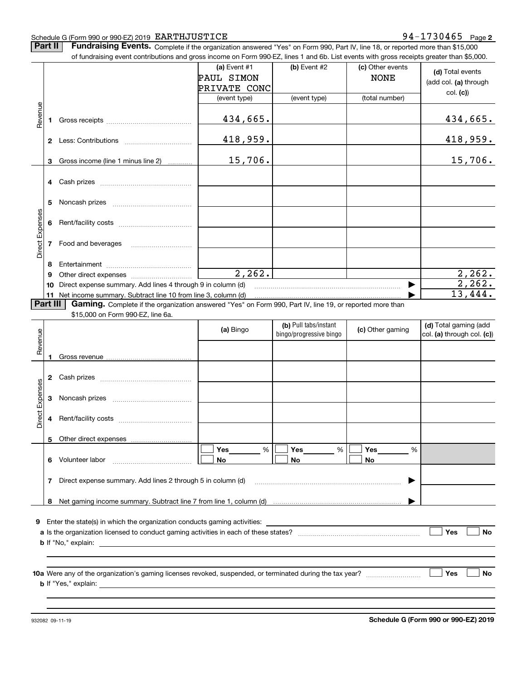#### Schedule G (Form 990 or 990-EZ) 2019 Page EARTHJUSTICE 94-1730465

## **2**

**Part II** | Fundraising Events. Complete if the organization answered "Yes" on Form 990, Part IV, line 18, or reported more than \$15,000

|                 |          | of fundraising event contributions and gross income on Form 990-EZ, lines 1 and 6b. List events with gross receipts greater than \$5,000.                                   |              |                                                  |                  |                                                     |
|-----------------|----------|-----------------------------------------------------------------------------------------------------------------------------------------------------------------------------|--------------|--------------------------------------------------|------------------|-----------------------------------------------------|
|                 |          |                                                                                                                                                                             | (a) Event #1 | $(b)$ Event #2                                   | (c) Other events | (d) Total events                                    |
|                 |          |                                                                                                                                                                             | PAUL SIMON   |                                                  | <b>NONE</b>      |                                                     |
|                 |          |                                                                                                                                                                             | PRIVATE CONC |                                                  |                  | (add col. (a) through                               |
|                 |          |                                                                                                                                                                             | (event type) | (event type)                                     | (total number)   | col. (c)                                            |
|                 |          |                                                                                                                                                                             |              |                                                  |                  |                                                     |
| Revenue         |          |                                                                                                                                                                             | 434,665.     |                                                  |                  | <u>434,665.</u>                                     |
|                 |          |                                                                                                                                                                             |              |                                                  |                  |                                                     |
|                 |          |                                                                                                                                                                             |              |                                                  |                  |                                                     |
|                 |          |                                                                                                                                                                             | 418,959.     |                                                  |                  | 418,959.                                            |
|                 |          |                                                                                                                                                                             |              |                                                  |                  |                                                     |
|                 | 3        | Gross income (line 1 minus line 2)                                                                                                                                          | 15,706.      |                                                  |                  | 15,706.                                             |
|                 |          |                                                                                                                                                                             |              |                                                  |                  |                                                     |
|                 |          |                                                                                                                                                                             |              |                                                  |                  |                                                     |
|                 |          |                                                                                                                                                                             |              |                                                  |                  |                                                     |
|                 | 5.       |                                                                                                                                                                             |              |                                                  |                  |                                                     |
|                 |          |                                                                                                                                                                             |              |                                                  |                  |                                                     |
|                 | 6        |                                                                                                                                                                             |              |                                                  |                  |                                                     |
| Direct Expenses |          |                                                                                                                                                                             |              |                                                  |                  |                                                     |
|                 |          | 7 Food and beverages                                                                                                                                                        |              |                                                  |                  |                                                     |
|                 |          |                                                                                                                                                                             |              |                                                  |                  |                                                     |
|                 | 8        |                                                                                                                                                                             |              |                                                  |                  |                                                     |
|                 | 9        |                                                                                                                                                                             | 2, 262.      |                                                  |                  | 2, 262.                                             |
|                 | 10       | Direct expense summary. Add lines 4 through 9 in column (d)                                                                                                                 |              |                                                  |                  | 2, 262.                                             |
|                 |          |                                                                                                                                                                             |              |                                                  |                  | 13,444.                                             |
|                 | Part III | 11 Net income summary. Subtract line 10 from line 3, column (d)<br>Gaming. Complete if the organization answered "Yes" on Form 990, Part IV, line 19, or reported more than |              |                                                  |                  |                                                     |
|                 |          | \$15,000 on Form 990-EZ, line 6a.                                                                                                                                           |              |                                                  |                  |                                                     |
|                 |          |                                                                                                                                                                             |              |                                                  |                  |                                                     |
|                 |          |                                                                                                                                                                             | (a) Bingo    | (b) Pull tabs/instant<br>bingo/progressive bingo | (c) Other gaming | (d) Total gaming (add<br>col. (a) through col. (c)) |
| Revenue         |          |                                                                                                                                                                             |              |                                                  |                  |                                                     |
|                 |          |                                                                                                                                                                             |              |                                                  |                  |                                                     |
|                 |          |                                                                                                                                                                             |              |                                                  |                  |                                                     |
|                 |          |                                                                                                                                                                             |              |                                                  |                  |                                                     |
|                 |          |                                                                                                                                                                             |              |                                                  |                  |                                                     |
| Expenses        |          |                                                                                                                                                                             |              |                                                  |                  |                                                     |
|                 | 3        |                                                                                                                                                                             |              |                                                  |                  |                                                     |
|                 |          |                                                                                                                                                                             |              |                                                  |                  |                                                     |
| Direct          |          |                                                                                                                                                                             |              |                                                  |                  |                                                     |
|                 |          |                                                                                                                                                                             |              |                                                  |                  |                                                     |
|                 |          | 5 Other direct expenses                                                                                                                                                     |              |                                                  |                  |                                                     |
|                 |          |                                                                                                                                                                             | %<br>Yes     | %<br>Yes                                         | Yes<br>%         |                                                     |
|                 |          | 6 Volunteer labor                                                                                                                                                           | No           | No                                               | No               |                                                     |
|                 |          |                                                                                                                                                                             |              |                                                  |                  |                                                     |
|                 |          | 7 Direct expense summary. Add lines 2 through 5 in column (d)                                                                                                               |              |                                                  |                  |                                                     |
|                 |          |                                                                                                                                                                             |              |                                                  |                  |                                                     |
|                 |          |                                                                                                                                                                             |              |                                                  |                  |                                                     |
|                 |          |                                                                                                                                                                             |              |                                                  |                  |                                                     |
|                 |          | <b>9</b> Enter the state(s) in which the organization conducts gaming activities:                                                                                           |              |                                                  |                  |                                                     |
|                 |          |                                                                                                                                                                             |              |                                                  |                  | Yes<br>No                                           |
|                 |          |                                                                                                                                                                             |              |                                                  |                  |                                                     |
|                 |          |                                                                                                                                                                             |              |                                                  |                  |                                                     |
|                 |          |                                                                                                                                                                             |              |                                                  |                  |                                                     |
|                 |          |                                                                                                                                                                             |              |                                                  |                  |                                                     |
|                 |          |                                                                                                                                                                             |              |                                                  |                  | Yes<br>No                                           |
|                 |          |                                                                                                                                                                             |              |                                                  |                  |                                                     |
|                 |          |                                                                                                                                                                             |              |                                                  |                  |                                                     |
|                 |          |                                                                                                                                                                             |              |                                                  |                  |                                                     |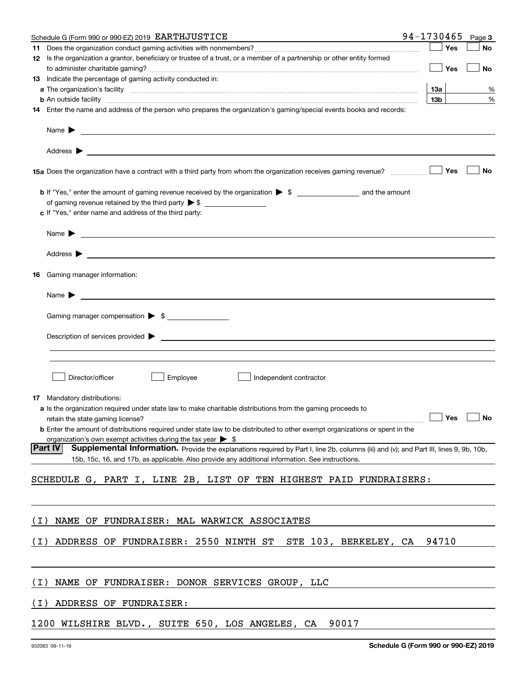|       | Schedule G (Form 990 or 990-EZ) 2019 EARTHJUSTICE                                                                                                                                                                                                                     | 94-1730465      | Page 3               |   |
|-------|-----------------------------------------------------------------------------------------------------------------------------------------------------------------------------------------------------------------------------------------------------------------------|-----------------|----------------------|---|
|       |                                                                                                                                                                                                                                                                       |                 | Yes<br>No            |   |
|       | 12 Is the organization a grantor, beneficiary or trustee of a trust, or a member of a partnership or other entity formed                                                                                                                                              |                 |                      |   |
|       |                                                                                                                                                                                                                                                                       |                 | Yes<br>No            |   |
|       | 13 Indicate the percentage of gaming activity conducted in:                                                                                                                                                                                                           |                 |                      |   |
|       |                                                                                                                                                                                                                                                                       | 13а             |                      | % |
|       | <b>b</b> An outside facility <i>www.communically.communically.communically.communically.communically.communically.communically.communically.communically.communically.communically.communically.communically.communically.communicall</i>                             | 13 <sub>b</sub> |                      | % |
|       | 14 Enter the name and address of the person who prepares the organization's gaming/special events books and records:                                                                                                                                                  |                 |                      |   |
|       | Name $\blacktriangleright$                                                                                                                                                                                                                                            |                 |                      |   |
|       | 15a Does the organization have a contract with a third party from whom the organization receives gaming revenue?                                                                                                                                                      |                 | Yes<br>No            |   |
|       |                                                                                                                                                                                                                                                                       |                 |                      |   |
|       | of gaming revenue retained by the third party $\triangleright$ \$                                                                                                                                                                                                     |                 |                      |   |
|       | c If "Yes," enter name and address of the third party:                                                                                                                                                                                                                |                 |                      |   |
|       | Name $\blacktriangleright$                                                                                                                                                                                                                                            |                 |                      |   |
|       | Address $\blacktriangleright$<br><u>state and the state of the state of the state of the state of the state of the state of the state of the state of the state of the state of the state of the state of the state of the state of the state of the state of the</u> |                 |                      |   |
|       | <b>16</b> Gaming manager information:                                                                                                                                                                                                                                 |                 |                      |   |
|       | Name $\blacktriangleright$                                                                                                                                                                                                                                            |                 |                      |   |
|       | Gaming manager compensation > \$                                                                                                                                                                                                                                      |                 |                      |   |
|       |                                                                                                                                                                                                                                                                       |                 |                      |   |
|       | Description of services provided $\blacktriangleright$                                                                                                                                                                                                                |                 |                      |   |
|       |                                                                                                                                                                                                                                                                       |                 |                      |   |
|       | Director/officer<br>Employee<br>Independent contractor                                                                                                                                                                                                                |                 |                      |   |
|       |                                                                                                                                                                                                                                                                       |                 |                      |   |
| 17.   | Mandatory distributions:                                                                                                                                                                                                                                              |                 |                      |   |
|       | a Is the organization required under state law to make charitable distributions from the gaming proceeds to                                                                                                                                                           |                 | $\Box$ Yes $\Box$ No |   |
|       |                                                                                                                                                                                                                                                                       |                 |                      |   |
|       | <b>b</b> Enter the amount of distributions required under state law to be distributed to other exempt organizations or spent in the<br>organization's own exempt activities during the tax year $\triangleright$ \$                                                   |                 |                      |   |
|       | <b>Part IV</b><br>Supplemental Information. Provide the explanations required by Part I, line 2b, columns (iii) and (v); and Part III, lines 9, 9b, 10b,                                                                                                              |                 |                      |   |
|       | 15b, 15c, 16, and 17b, as applicable. Also provide any additional information. See instructions.                                                                                                                                                                      |                 |                      |   |
|       | SCHEDULE G, PART I, LINE 2B, LIST OF TEN HIGHEST PAID FUNDRAISERS:                                                                                                                                                                                                    |                 |                      |   |
|       |                                                                                                                                                                                                                                                                       |                 |                      |   |
| ( I ) | NAME OF FUNDRAISER: MAL WARWICK ASSOCIATES                                                                                                                                                                                                                            |                 |                      |   |
| ( I ) | ADDRESS OF FUNDRAISER: 2550 NINTH ST STE 103, BERKELEY, CA 94710                                                                                                                                                                                                      |                 |                      |   |
|       |                                                                                                                                                                                                                                                                       |                 |                      |   |
| ( I ) | NAME OF FUNDRAISER: DONOR SERVICES GROUP, LLC                                                                                                                                                                                                                         |                 |                      |   |
|       |                                                                                                                                                                                                                                                                       |                 |                      |   |
| ( I ) | ADDRESS OF FUNDRAISER:                                                                                                                                                                                                                                                |                 |                      |   |
|       | 90017<br>1200 WILSHIRE BLVD., SUITE 650, LOS ANGELES, CA                                                                                                                                                                                                              |                 |                      |   |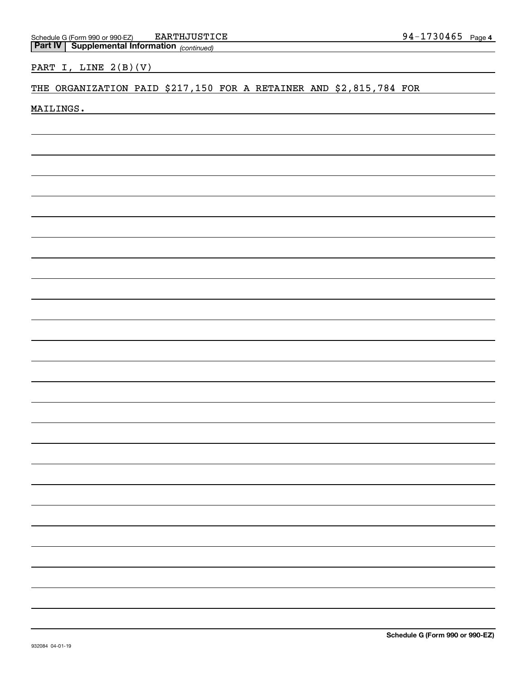PART I, LINE 2(B)(V)

# THE ORGANIZATION PAID \$217,150 FOR A RETAINER AND \$2,815,784 FOR

MAILINGS.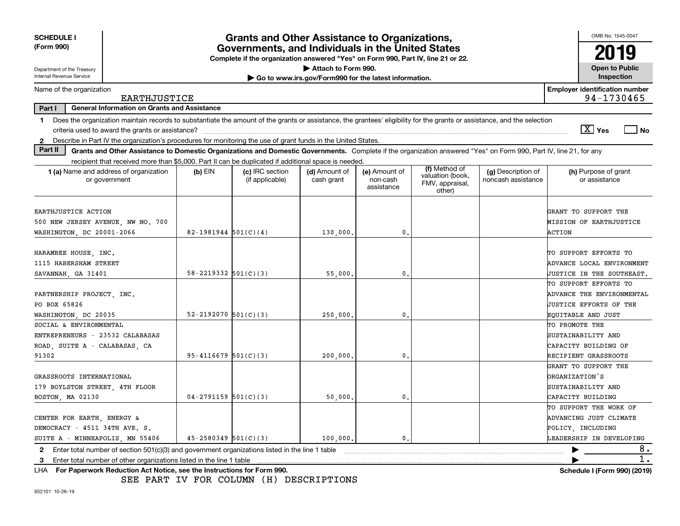| <b>SCHEDULE I</b><br>(Form 990)                                                                                                                                                |                            | <b>Grants and Other Assistance to Organizations,</b><br>Governments, and Individuals in the United States |                                                       |                                         |                                                                |                                          | OMB No. 1545-0047                                   |
|--------------------------------------------------------------------------------------------------------------------------------------------------------------------------------|----------------------------|-----------------------------------------------------------------------------------------------------------|-------------------------------------------------------|-----------------------------------------|----------------------------------------------------------------|------------------------------------------|-----------------------------------------------------|
|                                                                                                                                                                                |                            | Complete if the organization answered "Yes" on Form 990, Part IV, line 21 or 22.                          |                                                       |                                         |                                                                |                                          | 2019                                                |
| Department of the Treasury                                                                                                                                                     |                            |                                                                                                           | Attach to Form 990.                                   |                                         |                                                                |                                          | <b>Open to Public</b>                               |
| Internal Revenue Service                                                                                                                                                       |                            |                                                                                                           | Go to www.irs.gov/Form990 for the latest information. |                                         |                                                                |                                          | Inspection                                          |
| Name of the organization<br>EARTHJUSTICE                                                                                                                                       |                            |                                                                                                           |                                                       |                                         |                                                                |                                          | <b>Employer identification number</b><br>94-1730465 |
| Part I<br><b>General Information on Grants and Assistance</b>                                                                                                                  |                            |                                                                                                           |                                                       |                                         |                                                                |                                          |                                                     |
| Does the organization maintain records to substantiate the amount of the grants or assistance, the grantees' eligibility for the grants or assistance, and the selection<br>1. |                            |                                                                                                           |                                                       |                                         |                                                                |                                          |                                                     |
|                                                                                                                                                                                |                            |                                                                                                           |                                                       |                                         |                                                                |                                          | $\sqrt{X}$ Yes<br>$ $ No                            |
| Describe in Part IV the organization's procedures for monitoring the use of grant funds in the United States.<br>$\mathbf{2}$                                                  |                            |                                                                                                           |                                                       |                                         |                                                                |                                          |                                                     |
| Part II<br>Grants and Other Assistance to Domestic Organizations and Domestic Governments. Complete if the organization answered "Yes" on Form 990, Part IV, line 21, for any  |                            |                                                                                                           |                                                       |                                         |                                                                |                                          |                                                     |
| recipient that received more than \$5,000. Part II can be duplicated if additional space is needed.                                                                            |                            |                                                                                                           |                                                       |                                         |                                                                |                                          |                                                     |
| 1 (a) Name and address of organization<br>or government                                                                                                                        | $(b)$ EIN                  | (c) IRC section<br>(if applicable)                                                                        | (d) Amount of<br>cash grant                           | (e) Amount of<br>non-cash<br>assistance | (f) Method of<br>valuation (book,<br>FMV, appraisal,<br>other) | (g) Description of<br>noncash assistance | (h) Purpose of grant<br>or assistance               |
|                                                                                                                                                                                |                            |                                                                                                           |                                                       |                                         |                                                                |                                          |                                                     |
| EARTHJUSTICE ACTION                                                                                                                                                            |                            |                                                                                                           |                                                       |                                         |                                                                |                                          | GRANT TO SUPPORT THE                                |
| 500 NEW JERSEY AVENUE, NW NO. 700                                                                                                                                              |                            |                                                                                                           |                                                       |                                         |                                                                |                                          | MISSION OF EARTHJUSTICE                             |
| WASHINGTON, DC 20001-2066                                                                                                                                                      | $82-1981944$ 501(C)(4)     |                                                                                                           | 130,000.                                              | 0.                                      |                                                                |                                          | ACTION                                              |
| HARAMBEE HOUSE, INC.                                                                                                                                                           |                            |                                                                                                           |                                                       |                                         |                                                                |                                          | TO SUPPORT EFFORTS TO                               |
| 1115 HABERSHAM STREET                                                                                                                                                          |                            |                                                                                                           |                                                       |                                         |                                                                |                                          | ADVANCE LOCAL ENVIRONMENT                           |
| SAVANNAH, GA 31401                                                                                                                                                             | $58 - 2219332$ $501(C)(3)$ |                                                                                                           | 55,000,                                               | $\mathbf{0}$                            |                                                                |                                          | JUSTICE IN THE SOUTHEAST.                           |
|                                                                                                                                                                                |                            |                                                                                                           |                                                       |                                         |                                                                |                                          | TO SUPPORT EFFORTS TO                               |
| PARTNERSHIP PROJECT, INC.                                                                                                                                                      |                            |                                                                                                           |                                                       |                                         |                                                                |                                          | ADVANCE THE ENVIRONMENTAL                           |
| PO BOX 65826                                                                                                                                                                   |                            |                                                                                                           |                                                       |                                         |                                                                |                                          | <b>JUSTICE EFFORTS OF THE</b>                       |
| WASHINGTON, DC 20035                                                                                                                                                           | $52 - 2192070$ $501(C)(3)$ |                                                                                                           | 250,000                                               | $\mathbf{0}$ .                          |                                                                |                                          | EQUITABLE AND JUST                                  |
| SOCIAL & ENVIRONMENTAL                                                                                                                                                         |                            |                                                                                                           |                                                       |                                         |                                                                |                                          | TO PROMOTE THE                                      |
| ENTREPRENEURS - 23532 CALABASAS                                                                                                                                                |                            |                                                                                                           |                                                       |                                         |                                                                |                                          | SUSTAINABILITY AND                                  |
| ROAD, SUITE A - CALABASAS, CA                                                                                                                                                  |                            |                                                                                                           |                                                       |                                         |                                                                |                                          | CAPACITY BUILDING OF                                |
| 91302                                                                                                                                                                          | $95 - 4116679$ 501(C)(3)   |                                                                                                           | 200,000,                                              | 0.                                      |                                                                |                                          | RECIPIENT GRASSROOTS                                |
|                                                                                                                                                                                |                            |                                                                                                           |                                                       |                                         |                                                                |                                          | GRANT TO SUPPORT THE                                |
| GRASSROOTS INTERNATIONAL                                                                                                                                                       |                            |                                                                                                           |                                                       |                                         |                                                                |                                          | <b>DRGANIZATION'S</b>                               |
|                                                                                                                                                                                |                            |                                                                                                           |                                                       |                                         |                                                                |                                          | SUSTAINABILITY AND                                  |
| 179 BOYLSTON STREET, 4TH FLOOR                                                                                                                                                 | $04 - 2791159$ 501(C)(3)   |                                                                                                           |                                                       | 0.                                      |                                                                |                                          | CAPACITY BUILDING                                   |
| BOSTON, MA 02130                                                                                                                                                               |                            |                                                                                                           | 50,000.                                               |                                         |                                                                |                                          |                                                     |
|                                                                                                                                                                                |                            |                                                                                                           |                                                       |                                         |                                                                |                                          | TO SUPPORT THE WORK OF                              |
| CENTER FOR EARTH, ENERGY &                                                                                                                                                     |                            |                                                                                                           |                                                       |                                         |                                                                |                                          | ADVANCING JUST CLIMATE                              |
| DEMOCRACY - 4511 34TH AVE. S.                                                                                                                                                  |                            |                                                                                                           |                                                       | $\mathbf{0}$ .                          |                                                                |                                          | POLICY, INCLUDING                                   |
| SUITE A - MINNEAPOLIS, MN 55406                                                                                                                                                | $45 - 2580349$ $501(C)(3)$ |                                                                                                           | 100,000.                                              |                                         |                                                                |                                          | LEADERSHIP IN DEVELOPING                            |
| 2 Enter total number of section 501(c)(3) and government organizations listed in the line 1 table                                                                              |                            |                                                                                                           |                                                       |                                         |                                                                |                                          | 8.<br>$\overline{1}$ .                              |
| Enter total number of other organizations listed in the line 1 table<br>3<br>1118. Eas Department: Destrokien, Ant Matter, and the Inchreations for Forms 000                  |                            |                                                                                                           |                                                       |                                         |                                                                |                                          | Calcadole LIPagne 0001 (0040)                       |

**For Paperwork Reduction Act Notice, see the Instructions for Form 990. Schedule I (Form 990) (2019)** LHA

SEE PART IV FOR COLUMN (H) DESCRIPTIONS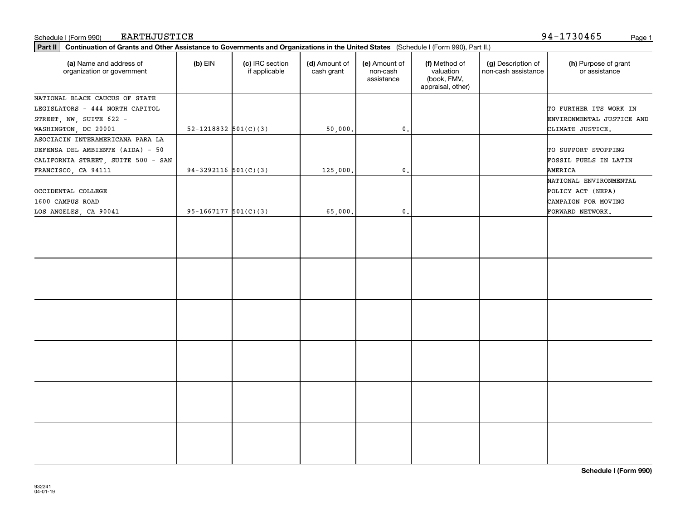| Schedule I (Form 990) | EARTHJUSTICE | .<br>$94 -$<br>730465 |  | Page |  |
|-----------------------|--------------|-----------------------|--|------|--|
|-----------------------|--------------|-----------------------|--|------|--|

94-1730465

| Part II   Continuation of Grants and Other Assistance to Governments and Organizations in the United States (Schedule I (Form 990), Part II.) |                            |                                  |                             |                                         |                                                                |                                           |                                       |
|-----------------------------------------------------------------------------------------------------------------------------------------------|----------------------------|----------------------------------|-----------------------------|-----------------------------------------|----------------------------------------------------------------|-------------------------------------------|---------------------------------------|
| (a) Name and address of<br>organization or government                                                                                         | $(b)$ EIN                  | (c) IRC section<br>if applicable | (d) Amount of<br>cash grant | (e) Amount of<br>non-cash<br>assistance | (f) Method of<br>valuation<br>(book, FMV,<br>appraisal, other) | (g) Description of<br>non-cash assistance | (h) Purpose of grant<br>or assistance |
| NATIONAL BLACK CAUCUS OF STATE                                                                                                                |                            |                                  |                             |                                         |                                                                |                                           |                                       |
| LEGISLATORS - 444 NORTH CAPITOL                                                                                                               |                            |                                  |                             |                                         |                                                                |                                           | TO FURTHER ITS WORK IN                |
| STREET, NW, SUITE 622 -                                                                                                                       |                            |                                  |                             |                                         |                                                                |                                           | ENVIRONMENTAL JUSTICE AND             |
| WASHINGTON, DC 20001                                                                                                                          | $52 - 1218832$ $501(C)(3)$ |                                  | 50,000.                     | $\mathbf{0}$ .                          |                                                                |                                           | CLIMATE JUSTICE.                      |
| ASOCIACIN INTERAMERICANA PARA LA                                                                                                              |                            |                                  |                             |                                         |                                                                |                                           |                                       |
| DEFENSA DEL AMBIENTE (AIDA) - 50                                                                                                              |                            |                                  |                             |                                         |                                                                |                                           | TO SUPPORT STOPPING                   |
| CALIFORNIA STREET, SUITE 500 - SAN                                                                                                            |                            |                                  |                             |                                         |                                                                |                                           | FOSSIL FUELS IN LATIN                 |
| FRANCISCO, CA 94111                                                                                                                           | $94-3292116$ $501(C)(3)$   |                                  | 125,000.                    | $\mathbf{0}$ .                          |                                                                |                                           | AMERICA                               |
|                                                                                                                                               |                            |                                  |                             |                                         |                                                                |                                           | NATIONAL ENVIRONMENTAL                |
| OCCIDENTAL COLLEGE                                                                                                                            |                            |                                  |                             |                                         |                                                                |                                           | POLICY ACT (NEPA)                     |
| 1600 CAMPUS ROAD                                                                                                                              |                            |                                  |                             |                                         |                                                                |                                           | CAMPAIGN FOR MOVING                   |
| LOS ANGELES, CA 90041                                                                                                                         | $95-1667177$ $501(C)(3)$   |                                  | 65,000.                     | $\mathfrak o$ .                         |                                                                |                                           | FORWARD NETWORK.                      |
|                                                                                                                                               |                            |                                  |                             |                                         |                                                                |                                           |                                       |
|                                                                                                                                               |                            |                                  |                             |                                         |                                                                |                                           |                                       |
|                                                                                                                                               |                            |                                  |                             |                                         |                                                                |                                           |                                       |
|                                                                                                                                               |                            |                                  |                             |                                         |                                                                |                                           |                                       |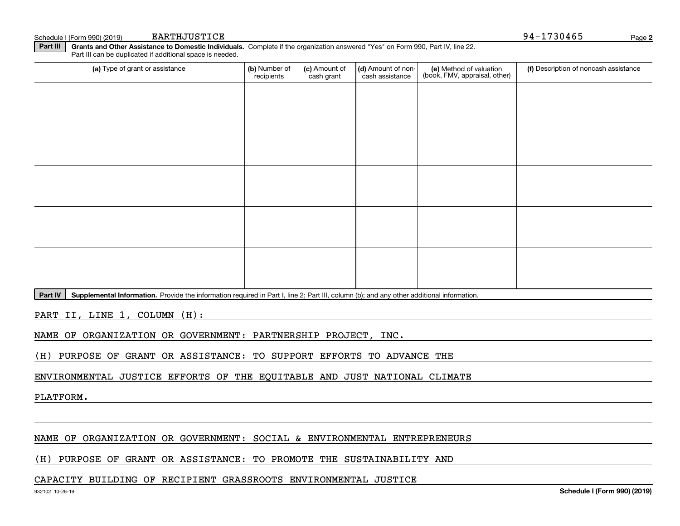| (a) Type of grant or assistance | (b) Number of<br>recipients | (c) Amount of<br>cash grant | (d) Amount of non-<br>cash assistance | (e) Method of valuation<br>(book, FMV, appraisal, other) | (f) Description of noncash assistance |
|---------------------------------|-----------------------------|-----------------------------|---------------------------------------|----------------------------------------------------------|---------------------------------------|
|                                 |                             |                             |                                       |                                                          |                                       |
|                                 |                             |                             |                                       |                                                          |                                       |
|                                 |                             |                             |                                       |                                                          |                                       |
|                                 |                             |                             |                                       |                                                          |                                       |
|                                 |                             |                             |                                       |                                                          |                                       |
|                                 |                             |                             |                                       |                                                          |                                       |
|                                 |                             |                             |                                       |                                                          |                                       |
|                                 |                             |                             |                                       |                                                          |                                       |
|                                 |                             |                             |                                       |                                                          |                                       |
|                                 |                             |                             |                                       |                                                          |                                       |

Part IV | Supplemental Information. Provide the information required in Part I, line 2; Part III, column (b); and any other additional information.

PART II, LINE 1, COLUMN (H):

NAME OF ORGANIZATION OR GOVERNMENT: PARTNERSHIP PROJECT, INC.

(H) PURPOSE OF GRANT OR ASSISTANCE: TO SUPPORT EFFORTS TO ADVANCE THE

ENVIRONMENTAL JUSTICE EFFORTS OF THE EQUITABLE AND JUST NATIONAL CLIMATE

PLATFORM.

# NAME OF ORGANIZATION OR GOVERNMENT: SOCIAL & ENVIRONMENTAL ENTREPRENEURS

# (H) PURPOSE OF GRANT OR ASSISTANCE: TO PROMOTE THE SUSTAINABILITY AND

## CAPACITY BUILDING OF RECIPIENT GRASSROOTS ENVIRONMENTAL JUSTICE

**2**

Schedule I (Form 990) (2019) BARTHJUSTICE NATURAL SCHEDULE 1 (Form 990) (2019) Page BARTHJUSTICE EARTHJUSTICE 94-1730465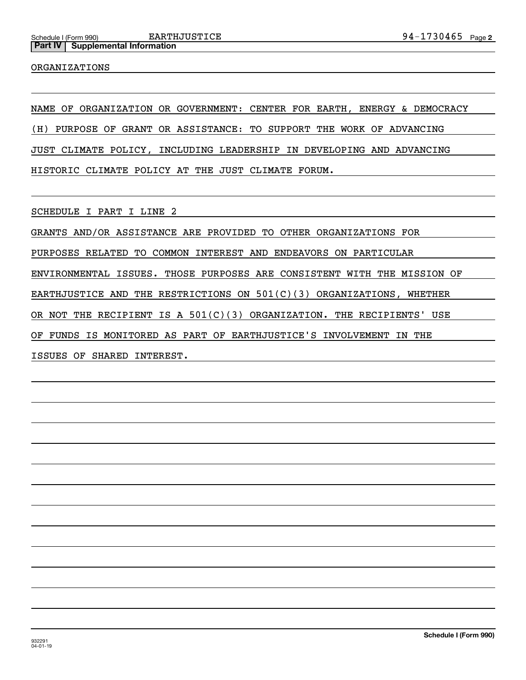#### ORGANIZATIONS

NAME OF ORGANIZATION OR GOVERNMENT: CENTER FOR EARTH, ENERGY & DEMOCRACY

(H) PURPOSE OF GRANT OR ASSISTANCE: TO SUPPORT THE WORK OF ADVANCING

JUST CLIMATE POLICY, INCLUDING LEADERSHIP IN DEVELOPING AND ADVANCING

HISTORIC CLIMATE POLICY AT THE JUST CLIMATE FORUM.

SCHEDULE I PART I LINE 2

GRANTS AND/OR ASSISTANCE ARE PROVIDED TO OTHER ORGANIZATIONS FOR PURPOSES RELATED TO COMMON INTEREST AND ENDEAVORS ON PARTICULAR ENVIRONMENTAL ISSUES. THOSE PURPOSES ARE CONSISTENT WITH THE MISSION OF EARTHJUSTICE AND THE RESTRICTIONS ON 501(C)(3) ORGANIZATIONS, WHETHER OR NOT THE RECIPIENT IS A 501(C)(3) ORGANIZATION. THE RECIPIENTS' USE OF FUNDS IS MONITORED AS PART OF EARTHJUSTICE'S INVOLVEMENT IN THE ISSUES OF SHARED INTEREST.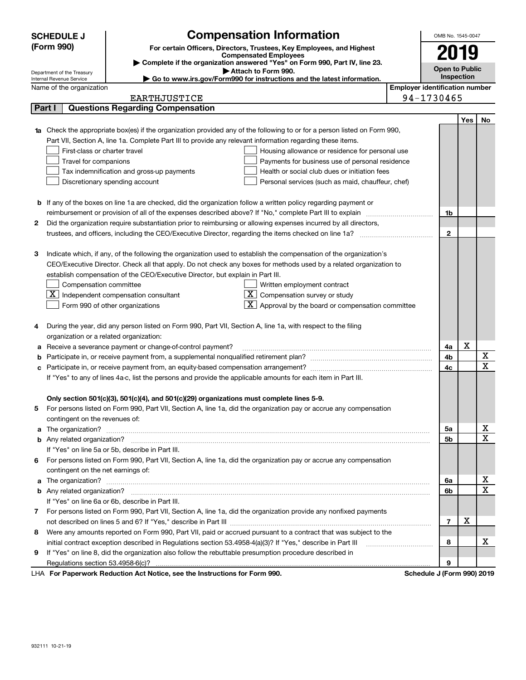|    | <b>SCHEDULE J</b>                                                                                                                                        | <b>Compensation Information</b>                                                                                              |                                       | OMB No. 1545-0047              |            |                  |  |  |
|----|----------------------------------------------------------------------------------------------------------------------------------------------------------|------------------------------------------------------------------------------------------------------------------------------|---------------------------------------|--------------------------------|------------|------------------|--|--|
|    | (Form 990)                                                                                                                                               | For certain Officers, Directors, Trustees, Key Employees, and Highest                                                        |                                       |                                |            |                  |  |  |
|    |                                                                                                                                                          | <b>Compensated Employees</b>                                                                                                 |                                       | 2019                           |            |                  |  |  |
|    | Complete if the organization answered "Yes" on Form 990, Part IV, line 23.<br><b>Open to Public</b><br>Attach to Form 990.<br>Department of the Treasury |                                                                                                                              |                                       |                                |            |                  |  |  |
|    | Internal Revenue Service                                                                                                                                 | ► Go to www.irs.gov/Form990 for instructions and the latest information.                                                     |                                       |                                | Inspection |                  |  |  |
|    | Name of the organization                                                                                                                                 |                                                                                                                              | <b>Employer identification number</b> |                                |            |                  |  |  |
|    |                                                                                                                                                          | <b>EARTHJUSTICE</b>                                                                                                          |                                       | 94-1730465                     |            |                  |  |  |
|    | Part I                                                                                                                                                   | <b>Questions Regarding Compensation</b>                                                                                      |                                       |                                |            |                  |  |  |
|    |                                                                                                                                                          |                                                                                                                              |                                       |                                | Yes        | No               |  |  |
| 1a |                                                                                                                                                          | Check the appropriate box(es) if the organization provided any of the following to or for a person listed on Form 990,       |                                       |                                |            |                  |  |  |
|    |                                                                                                                                                          | Part VII, Section A, line 1a. Complete Part III to provide any relevant information regarding these items.                   |                                       |                                |            |                  |  |  |
|    | First-class or charter travel                                                                                                                            | Housing allowance or residence for personal use                                                                              |                                       |                                |            |                  |  |  |
|    | Travel for companions                                                                                                                                    | Payments for business use of personal residence                                                                              |                                       |                                |            |                  |  |  |
|    |                                                                                                                                                          | Health or social club dues or initiation fees<br>Tax indemnification and gross-up payments                                   |                                       |                                |            |                  |  |  |
|    |                                                                                                                                                          | Discretionary spending account<br>Personal services (such as maid, chauffeur, chef)                                          |                                       |                                |            |                  |  |  |
|    |                                                                                                                                                          |                                                                                                                              |                                       |                                |            |                  |  |  |
|    |                                                                                                                                                          | <b>b</b> If any of the boxes on line 1a are checked, did the organization follow a written policy regarding payment or       |                                       |                                |            |                  |  |  |
|    |                                                                                                                                                          | reimbursement or provision of all of the expenses described above? If "No," complete Part III to explain                     |                                       | 1b                             |            |                  |  |  |
| 2  |                                                                                                                                                          | Did the organization require substantiation prior to reimbursing or allowing expenses incurred by all directors,             |                                       |                                |            |                  |  |  |
|    |                                                                                                                                                          |                                                                                                                              |                                       | $\mathbf{2}$                   |            |                  |  |  |
|    |                                                                                                                                                          |                                                                                                                              |                                       |                                |            |                  |  |  |
| з  |                                                                                                                                                          | Indicate which, if any, of the following the organization used to establish the compensation of the organization's           |                                       |                                |            |                  |  |  |
|    |                                                                                                                                                          | CEO/Executive Director. Check all that apply. Do not check any boxes for methods used by a related organization to           |                                       |                                |            |                  |  |  |
|    |                                                                                                                                                          | establish compensation of the CEO/Executive Director, but explain in Part III.                                               |                                       |                                |            |                  |  |  |
|    | Compensation committee                                                                                                                                   | Written employment contract                                                                                                  |                                       |                                |            |                  |  |  |
|    |                                                                                                                                                          | $\underline{\mathbf{X}}$ Independent compensation consultant<br>$\lfloor \underline{X} \rfloor$ Compensation survey or study |                                       |                                |            |                  |  |  |
|    |                                                                                                                                                          | $\lfloor x \rfloor$ Approval by the board or compensation committee<br>Form 990 of other organizations                       |                                       |                                |            |                  |  |  |
|    |                                                                                                                                                          |                                                                                                                              |                                       |                                |            |                  |  |  |
| 4  |                                                                                                                                                          | During the year, did any person listed on Form 990, Part VII, Section A, line 1a, with respect to the filing                 |                                       |                                |            |                  |  |  |
|    | organization or a related organization:                                                                                                                  |                                                                                                                              |                                       |                                |            |                  |  |  |
| а  |                                                                                                                                                          | Receive a severance payment or change-of-control payment?                                                                    |                                       | 4a                             | X          |                  |  |  |
| b  |                                                                                                                                                          |                                                                                                                              |                                       | 4b<br>4c                       |            | X                |  |  |
|    |                                                                                                                                                          |                                                                                                                              |                                       |                                |            | X                |  |  |
|    |                                                                                                                                                          | If "Yes" to any of lines 4a-c, list the persons and provide the applicable amounts for each item in Part III.                |                                       |                                |            |                  |  |  |
|    |                                                                                                                                                          |                                                                                                                              |                                       |                                |            |                  |  |  |
|    |                                                                                                                                                          | Only section 501(c)(3), 501(c)(4), and 501(c)(29) organizations must complete lines 5-9.                                     |                                       |                                |            |                  |  |  |
|    |                                                                                                                                                          | For persons listed on Form 990, Part VII, Section A, line 1a, did the organization pay or accrue any compensation            |                                       |                                |            |                  |  |  |
|    | contingent on the revenues of:                                                                                                                           |                                                                                                                              |                                       |                                |            |                  |  |  |
| a  |                                                                                                                                                          |                                                                                                                              |                                       | 5а                             |            | х<br>$\mathbf x$ |  |  |
|    |                                                                                                                                                          |                                                                                                                              |                                       | 5b                             |            |                  |  |  |
|    |                                                                                                                                                          | If "Yes" on line 5a or 5b, describe in Part III.                                                                             |                                       |                                |            |                  |  |  |
| 6  |                                                                                                                                                          | For persons listed on Form 990, Part VII, Section A, line 1a, did the organization pay or accrue any compensation            |                                       |                                |            |                  |  |  |
|    | contingent on the net earnings of:                                                                                                                       |                                                                                                                              |                                       | 6a                             |            | х                |  |  |
| a  |                                                                                                                                                          |                                                                                                                              |                                       |                                |            |                  |  |  |
|    |                                                                                                                                                          |                                                                                                                              |                                       | 6b                             |            | $\mathbf X$      |  |  |
|    |                                                                                                                                                          | If "Yes" on line 6a or 6b, describe in Part III.                                                                             |                                       |                                |            |                  |  |  |
| 7  |                                                                                                                                                          | For persons listed on Form 990, Part VII, Section A, line 1a, did the organization provide any nonfixed payments             |                                       |                                |            |                  |  |  |
|    |                                                                                                                                                          |                                                                                                                              |                                       | $\overline{7}$                 | X          |                  |  |  |
| 8  |                                                                                                                                                          | Were any amounts reported on Form 990, Part VII, paid or accrued pursuant to a contract that was subject to the              |                                       |                                |            |                  |  |  |
|    |                                                                                                                                                          | initial contract exception described in Regulations section 53.4958-4(a)(3)? If "Yes," describe in Part III                  |                                       | 8                              |            | х                |  |  |
| 9  |                                                                                                                                                          | If "Yes" on line 8, did the organization also follow the rebuttable presumption procedure described in                       |                                       |                                |            |                  |  |  |
|    |                                                                                                                                                          | convert Deduction Act Notice, ass the Instructions for Form 000.                                                             |                                       | 9<br>Cahadula, UEaum 0001.0040 |            |                  |  |  |

LHA For Paperwork Reduction Act Notice, see the Instructions for Form 990. Schedule J (Form 990) 2019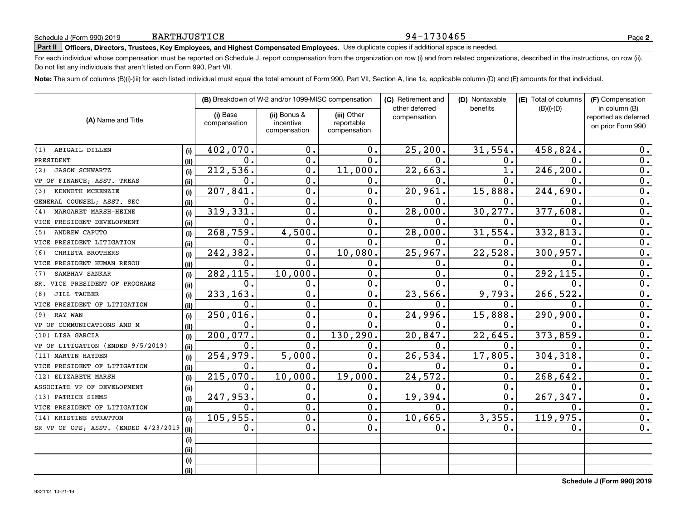# **Part II Officers, Directors, Trustees, Key Employees, and Highest Compensated Employees.**  Schedule J (Form 990) 2019 Page Use duplicate copies if additional space is needed.

For each individual whose compensation must be reported on Schedule J, report compensation from the organization on row (i) and from related organizations, described in the instructions, on row (ii). Do not list any individuals that aren't listed on Form 990, Part VII.

94-1730465

**Note:**  The sum of columns (B)(i)-(iii) for each listed individual must equal the total amount of Form 990, Part VII, Section A, line 1a, applicable column (D) and (E) amounts for that individual.

|                                      |      |                          | (B) Breakdown of W-2 and/or 1099-MISC compensation |                           | (C) Retirement and             | (D) Nontaxable | (E) Total of columns | (F) Compensation                                           |
|--------------------------------------|------|--------------------------|----------------------------------------------------|---------------------------|--------------------------------|----------------|----------------------|------------------------------------------------------------|
| (A) Name and Title                   |      | (i) Base<br>compensation | (ii) Bonus &<br>incentive                          | (iii) Other<br>reportable | other deferred<br>compensation | benefits       | $(B)(i)-(D)$         | in column (B)<br>reported as deferred<br>on prior Form 990 |
|                                      |      |                          | compensation                                       | compensation              |                                |                |                      |                                                            |
| ABIGAIL DILLEN<br>(1)                | (i)  | 402,070.                 | 0.                                                 | 0.                        | 25, 200.                       | 31,554.        | 458,824.             | 0.                                                         |
| PRESIDENT                            | (ii) | $\mathbf 0$ .            | 0.                                                 | 0.                        | $\mathbf{0}$ .                 | 0.             | $\Omega$ .           | 0.                                                         |
| <b>JASON SCHWARTZ</b><br>(2)         | (i)  | 212,536.                 | 0.                                                 | 11,000.                   | 22,663.                        |                | 246,200              | 0.                                                         |
| VP OF FINANCE; ASST. TREAS           | (ii) | 0.                       | $\mathbf 0$ .                                      | 0.                        | 0.                             | $0$ .          | 0.                   | $0$ .                                                      |
| KENNETH MCKENZIE<br>(3)              | (i)  | 207,841.                 | $\mathbf 0$ .                                      | 0.                        | 20,961.                        | 15,888.        | 244,690              | $0$ .                                                      |
| GENERAL COUNSEL; ASST. SEC           | (ii) | 0.                       | $\mathbf 0$ .                                      | 0.                        | 0.                             | 0.             | $\Omega$ .           | $0$ .                                                      |
| MARGARET MARSH-HEINE<br>(4)          | (i)  | 319,331.                 | $\mathbf 0$ .                                      | 0.                        | 28,000.                        | 30,277.        | 377,608              | $0$ .                                                      |
| VICE PRESIDENT DEVELOPMENT           | (ii) | $\mathbf 0$ .            | $\mathbf 0$ .                                      | 0.                        | 0.                             | 0.             | $\Omega$ .           | 0.                                                         |
| ANDREW CAPUTO<br>(5)                 | (i)  | 268,759.                 | 4,500.                                             | 0.                        | 28,000.                        | 31,554.        | 332,813.             | $\overline{0}$ .                                           |
| VICE PRESIDENT LITIGATION            | (ii) | 0.                       | 0.                                                 | 0.                        | 0.                             | 0.             | $\mathbf 0$          | $\overline{0}$ .                                           |
| CHRISTA BROTHERS<br>(6)              | (i)  | 242,382.                 | 0.                                                 | 10,080.                   | 25,967.                        | 22,528.        | 300,957.             | $\overline{0}$ .                                           |
| VICE PRESIDENT HUMAN RESOU           | (ii) | 0.                       | $\mathbf 0$ .                                      | 0.                        | 0.                             | Ο.             | $\mathbf 0$ .        | $\overline{0}$ .                                           |
| SAMBHAV SANKAR<br>(7)                | (i)  | 282,115.                 | 10,000.                                            | $\mathbf 0$ .             | О.                             | $\mathbf{0}$ . | 292,115              | $\overline{0}$ .                                           |
| SR. VICE PRESIDENT OF PROGRAMS       | (ii) | 0.                       | 0.                                                 | 0.                        | 0.                             | $\mathbf{0}$ . | $\mathbf{0}$         | 0.                                                         |
| JILL TAUBER<br>(8)                   | (i)  | 233,163.                 | $\mathbf 0$ .                                      | $\mathbf 0$ .             | 23,566.                        | 9,793.         | 266, 522             | 0.                                                         |
| VICE PRESIDENT OF LITIGATION         | (ii) | 0.                       | $\mathbf 0$ .                                      | 0.                        | О.                             | $\mathbf 0$ .  | $\mathbf 0$ .        | 0.                                                         |
| RAY WAN<br>(9)                       | (i)  | 250,016.                 | $\mathbf 0$ .                                      | 0.                        | 24,996.                        | 15,888.        | 290,900              | 0.                                                         |
| VP OF COMMUNICATIONS AND M           | (ii) | 0.                       | $\mathbf 0$ .                                      | 0.                        | 0.                             | 0.             | $\mathbf 0$ .        | 0.                                                         |
| (10) LISA GARCIA                     | (i)  | 200, 077.                | $\mathbf 0$ .                                      | 130,290.                  | 20,847.                        | 22,645.        | 373,859              | 0.                                                         |
| VP OF LITIGATION (ENDED 9/5/2019)    | (ii) | $0$ .                    | $\mathbf 0$ .                                      | 0.                        | $\mathbf 0$ .                  | 0.             | $\mathbf 0$ .        | 0.                                                         |
| (11) MARTIN HAYDEN                   | (i)  | 254,979.                 | 5,000.                                             | $\overline{0}$ .          | 26,534.                        | 17,805.        | 304,318              | $\overline{0}$ .                                           |
| VICE PRESIDENT OF LITIGATION         | (ii) | $0$ .                    | 0.                                                 | 0.                        | 0.                             | 0.             | $\mathbf 0$ .        | $\overline{0}$ .                                           |
| (12) ELIZABETH MARSH                 | (i)  | 215,070.                 | 10,000.                                            | 19,000.                   | 24, 572.                       | 0.             | 268, 642.            | $\overline{0}$ .                                           |
| ASSOCIATE VP OF DEVELOPMENT          | (ii) | 0.                       | $\mathbf 0$ .                                      | 0.                        | 0.                             | 0.             | $\mathbf 0$ .        | $\overline{0}$ .                                           |
| (13) PATRICE SIMMS                   | (i)  | 247,953.                 | 0.                                                 | 0.                        | 19,394.                        | 0.             | 267, 347.            | $\overline{0}$ .                                           |
| VICE PRESIDENT OF LITIGATION         | (ii) | 0.                       | 0.                                                 | 0.                        | $\mathbf 0$ .                  | 0.             | 0.                   | $\overline{0}$ .                                           |
| (14) KRISTINE STRATTON               | (i)  | 105,955.                 | $\mathbf 0$ .                                      | 0.                        | 10,665.                        | 3,355.         | 119,975.             | $\overline{0}$ .                                           |
| SR VP OF OPS; ASST. (ENDED 4/23/2019 | (ii) | 0.                       | $\mathbf 0$ .                                      | 0.                        | 0.                             | 0.             | 0.                   | 0.                                                         |
|                                      | (i)  |                          |                                                    |                           |                                |                |                      |                                                            |
|                                      | (ii) |                          |                                                    |                           |                                |                |                      |                                                            |
|                                      | (i)  |                          |                                                    |                           |                                |                |                      |                                                            |
|                                      | (ii) |                          |                                                    |                           |                                |                |                      |                                                            |

**2**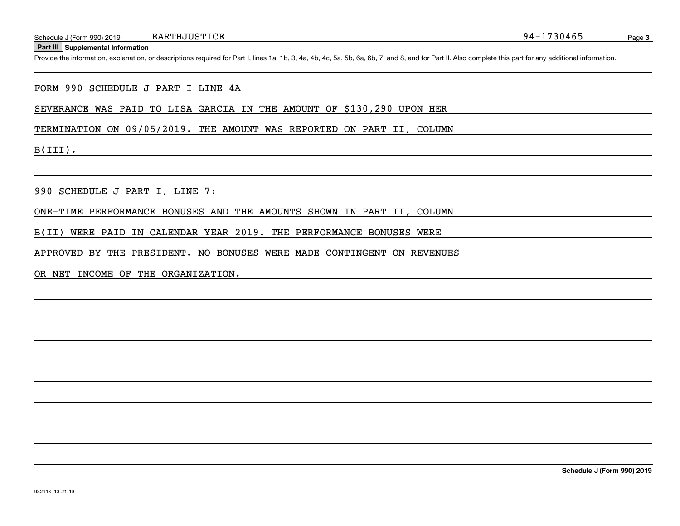**EARTHJUSTICE** 

**Part III Supplemental Information**

Schedule J (Form 990) 2019 EARTHJUSTICE<br>Part III Supplemental Information<br>Provide the information, explanation, or descriptions required for Part I, lines 1a, 1b, 3, 4a, 4b, 4c, 5a, 5b, 6a, 6b, 7, and 8, and for Part II. A

#### FORM 990 SCHEDULE J PART I LINE 4A

SEVERANCE WAS PAID TO LISA GARCIA IN THE AMOUNT OF \$130,290 UPON HER

TERMINATION ON 09/05/2019. THE AMOUNT WAS REPORTED ON PART II, COLUMN

B(III).

990 SCHEDULE J PART I, LINE 7:

ONE-TIME PERFORMANCE BONUSES AND THE AMOUNTS SHOWN IN PART II, COLUMN

B(II) WERE PAID IN CALENDAR YEAR 2019. THE PERFORMANCE BONUSES WERE

APPROVED BY THE PRESIDENT. NO BONUSES WERE MADE CONTINGENT ON REVENUES

OR NET INCOME OF THE ORGANIZATION.

**Schedule J (Form 990) 2019**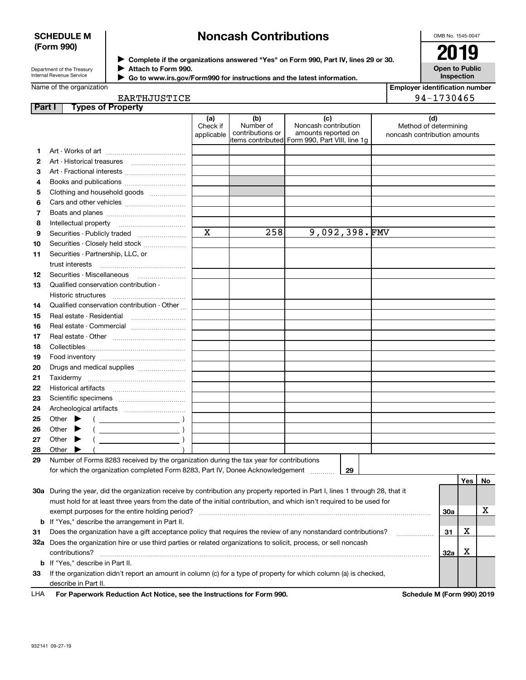## **SCHEDULE M (Form 990)**

# **Noncash Contributions**

OMB No. 1545-0047

| Department of the Treasury      |
|---------------------------------|
| <b>Internal Revenue Service</b> |

**Complete if the organizations answered "Yes" on Form 990, Part IV, lines 29 or 30.** <sup>J</sup>**2019** J

**Open to Public Inspection**

| Attach to Form 990.                                                    |  |
|------------------------------------------------------------------------|--|
| Go to www.irs.gov/Form990 for instructions and the latest information. |  |

| <b>Employer identification number</b> |
|---------------------------------------|
| 94-1730465                            |

|  |  | EARTHJUSTICE |  |  |  |  |
|--|--|--------------|--|--|--|--|
|  |  |              |  |  |  |  |

 $\blacktriangleright$ 

| <b>Part I</b> | <b>Types of Property</b>                                                                                                       |                               |                                      |                                                                                                      |                                                              |            |     |    |
|---------------|--------------------------------------------------------------------------------------------------------------------------------|-------------------------------|--------------------------------------|------------------------------------------------------------------------------------------------------|--------------------------------------------------------------|------------|-----|----|
|               |                                                                                                                                | (a)<br>Check if<br>applicable | (b)<br>Number of<br>contributions or | (c)<br>Noncash contribution<br>amounts reported on<br>items contributed Form 990, Part VIII, line 1g | (d)<br>Method of determining<br>noncash contribution amounts |            |     |    |
| 1             |                                                                                                                                |                               |                                      |                                                                                                      |                                                              |            |     |    |
| 2             | Art - Historical treasures                                                                                                     |                               |                                      |                                                                                                      |                                                              |            |     |    |
| з             | Art - Fractional interests                                                                                                     |                               |                                      |                                                                                                      |                                                              |            |     |    |
| 4             | Books and publications                                                                                                         |                               |                                      |                                                                                                      |                                                              |            |     |    |
| 5             | Clothing and household goods                                                                                                   |                               |                                      |                                                                                                      |                                                              |            |     |    |
| 6             |                                                                                                                                |                               |                                      |                                                                                                      |                                                              |            |     |    |
| 7             |                                                                                                                                |                               |                                      |                                                                                                      |                                                              |            |     |    |
| 8             | Intellectual property                                                                                                          |                               |                                      |                                                                                                      |                                                              |            |     |    |
| 9             | Securities - Publicly traded                                                                                                   | $\mathbf x$                   | 258                                  | 9,092,398. $FMV$                                                                                     |                                                              |            |     |    |
| 10            | Securities - Closely held stock                                                                                                |                               |                                      |                                                                                                      |                                                              |            |     |    |
| 11            | Securities - Partnership, LLC, or                                                                                              |                               |                                      |                                                                                                      |                                                              |            |     |    |
|               | trust interests                                                                                                                |                               |                                      |                                                                                                      |                                                              |            |     |    |
| 12            |                                                                                                                                |                               |                                      |                                                                                                      |                                                              |            |     |    |
| 13            | Qualified conservation contribution -                                                                                          |                               |                                      |                                                                                                      |                                                              |            |     |    |
|               | Historic structures                                                                                                            |                               |                                      |                                                                                                      |                                                              |            |     |    |
| 14            | Qualified conservation contribution - Other                                                                                    |                               |                                      |                                                                                                      |                                                              |            |     |    |
| 15            | Real estate - Residential                                                                                                      |                               |                                      |                                                                                                      |                                                              |            |     |    |
| 16            | Real estate - Commercial                                                                                                       |                               |                                      |                                                                                                      |                                                              |            |     |    |
| 17            |                                                                                                                                |                               |                                      |                                                                                                      |                                                              |            |     |    |
| 18            |                                                                                                                                |                               |                                      |                                                                                                      |                                                              |            |     |    |
| 19            |                                                                                                                                |                               |                                      |                                                                                                      |                                                              |            |     |    |
| 20            | Drugs and medical supplies                                                                                                     |                               |                                      |                                                                                                      |                                                              |            |     |    |
| 21            |                                                                                                                                |                               |                                      |                                                                                                      |                                                              |            |     |    |
| 22            |                                                                                                                                |                               |                                      |                                                                                                      |                                                              |            |     |    |
| 23            |                                                                                                                                |                               |                                      |                                                                                                      |                                                              |            |     |    |
| 24            |                                                                                                                                |                               |                                      |                                                                                                      |                                                              |            |     |    |
| 25            | Other<br>$\overline{\phantom{a}}$                                                                                              |                               |                                      |                                                                                                      |                                                              |            |     |    |
| 26            | Other                                                                                                                          |                               |                                      |                                                                                                      |                                                              |            |     |    |
| 27            | Other                                                                                                                          |                               |                                      |                                                                                                      |                                                              |            |     |    |
| 28            | Other                                                                                                                          |                               |                                      |                                                                                                      |                                                              |            |     |    |
| 29            | Number of Forms 8283 received by the organization during the tax year for contributions                                        |                               |                                      |                                                                                                      |                                                              |            |     |    |
|               | for which the organization completed Form 8283, Part IV, Donee Acknowledgement                                                 |                               |                                      | 29                                                                                                   |                                                              |            |     |    |
|               |                                                                                                                                |                               |                                      |                                                                                                      |                                                              |            | Yes | No |
|               | 30a During the year, did the organization receive by contribution any property reported in Part I, lines 1 through 28, that it |                               |                                      |                                                                                                      |                                                              |            |     |    |
|               | must hold for at least three years from the date of the initial contribution, and which isn't required to be used for          |                               |                                      |                                                                                                      |                                                              |            |     |    |
|               | exempt purposes for the entire holding period?                                                                                 |                               |                                      |                                                                                                      |                                                              | <b>30a</b> |     | х  |
|               | <b>b</b> If "Yes," describe the arrangement in Part II.                                                                        |                               |                                      |                                                                                                      |                                                              |            |     |    |
| 31            | Does the organization have a gift acceptance policy that requires the review of any nonstandard contributions?                 |                               |                                      |                                                                                                      |                                                              | 31         | х   |    |
|               | 32a Does the organization hire or use third parties or related organizations to solicit, process, or sell noncash              |                               |                                      |                                                                                                      |                                                              |            |     |    |
|               | contributions?                                                                                                                 |                               |                                      |                                                                                                      |                                                              | 32a        | X   |    |
|               | <b>b</b> If "Yes," describe in Part II.                                                                                        |                               |                                      |                                                                                                      |                                                              |            |     |    |
| 33            | If the organization didn't report an amount in column (c) for a type of property for which column (a) is checked,              |                               |                                      |                                                                                                      |                                                              |            |     |    |
|               | describe in Part II.                                                                                                           |                               |                                      |                                                                                                      |                                                              |            |     |    |

| LHA |  | For Paperwork Reduction Act Notice, see the Instructions for Form 990. |
|-----|--|------------------------------------------------------------------------|
|-----|--|------------------------------------------------------------------------|

**Schedule M (Form 990) 2019**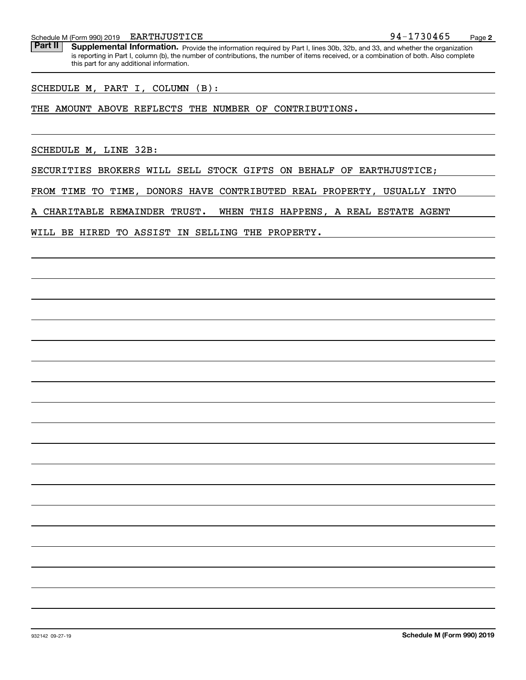EARTHJUSTICE

Schedule M (Form 990) 2019 EARTHJUSTICE<br>**Part II** Supplemental Information. Provide the information required by Part Llines 30b, 32b, and 33, and whether the organization. Part II | Supplemental Information. Provide the information required by Part I, lines 30b, 32b, and 33, and whether the organization is reporting in Part I, column (b), the number of contributions, the number of items received, or a combination of both. Also complete this part for any additional information.

SCHEDULE M, PART I, COLUMN (B):

THE AMOUNT ABOVE REFLECTS THE NUMBER OF CONTRIBUTIONS.

SCHEDULE M, LINE 32B:

SECURITIES BROKERS WILL SELL STOCK GIFTS ON BEHALF OF EARTHJUSTICE;

FROM TIME TO TIME, DONORS HAVE CONTRIBUTED REAL PROPERTY, USUALLY INTO

A CHARITABLE REMAINDER TRUST. WHEN THIS HAPPENS, A REAL ESTATE AGENT

WILL BE HIRED TO ASSIST IN SELLING THE PROPERTY.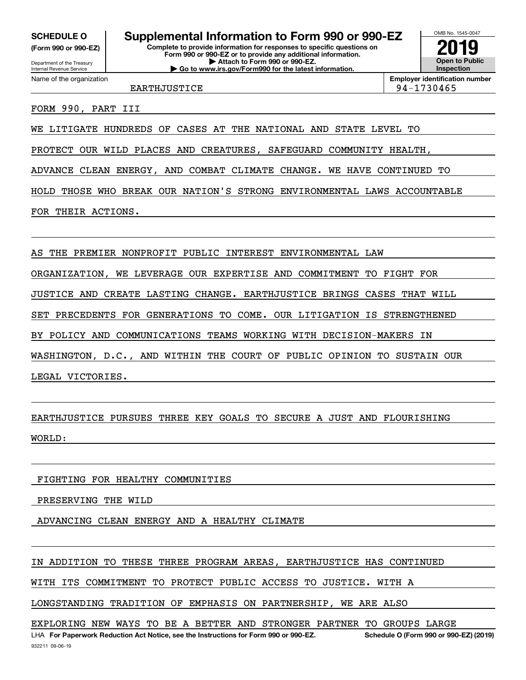**(Form 990 or 990-EZ)**

Department of the Treasury Internal Revenue Service Name of the organization

# **SCHEDULE O Supplemental Information to Form 990 or 990-EZ**

**Complete to provide information for responses to specific questions on Form 990 or 990-EZ or to provide any additional information. | Attach to Form 990 or 990-EZ. | Go to www.irs.gov/Form990 for the latest information.**



**Employer identification number**

EARTHJUSTICE 194-1730465

FORM 990, PART III

WE LITIGATE HUNDREDS OF CASES AT THE NATIONAL AND STATE LEVEL TO

PROTECT OUR WILD PLACES AND CREATURES, SAFEGUARD COMMUNITY HEALTH,

ADVANCE CLEAN ENERGY, AND COMBAT CLIMATE CHANGE. WE HAVE CONTINUED TO

HOLD THOSE WHO BREAK OUR NATION'S STRONG ENVIRONMENTAL LAWS ACCOUNTABLE

FOR THEIR ACTIONS.

AS THE PREMIER NONPROFIT PUBLIC INTEREST ENVIRONMENTAL LAW

ORGANIZATION, WE LEVERAGE OUR EXPERTISE AND COMMITMENT TO FIGHT FOR

JUSTICE AND CREATE LASTING CHANGE. EARTHJUSTICE BRINGS CASES THAT WILL

SET PRECEDENTS FOR GENERATIONS TO COME. OUR LITIGATION IS STRENGTHENED

BY POLICY AND COMMUNICATIONS TEAMS WORKING WITH DECISION-MAKERS IN

WASHINGTON, D.C., AND WITHIN THE COURT OF PUBLIC OPINION TO SUSTAIN OUR

LEGAL VICTORIES.

EARTHJUSTICE PURSUES THREE KEY GOALS TO SECURE A JUST AND FLOURISHING

WORLD:

# FIGHTING FOR HEALTHY COMMUNITIES

PRESERVING THE WILD

ADVANCING CLEAN ENERGY AND A HEALTHY CLIMATE

IN ADDITION TO THESE THREE PROGRAM AREAS, EARTHJUSTICE HAS CONTINUED

WITH ITS COMMITMENT TO PROTECT PUBLIC ACCESS TO JUSTICE. WITH A

LONGSTANDING TRADITION OF EMPHASIS ON PARTNERSHIP, WE ARE ALSO

EXPLORING NEW WAYS TO BE A BETTER AND STRONGER PARTNER TO GROUPS LARGE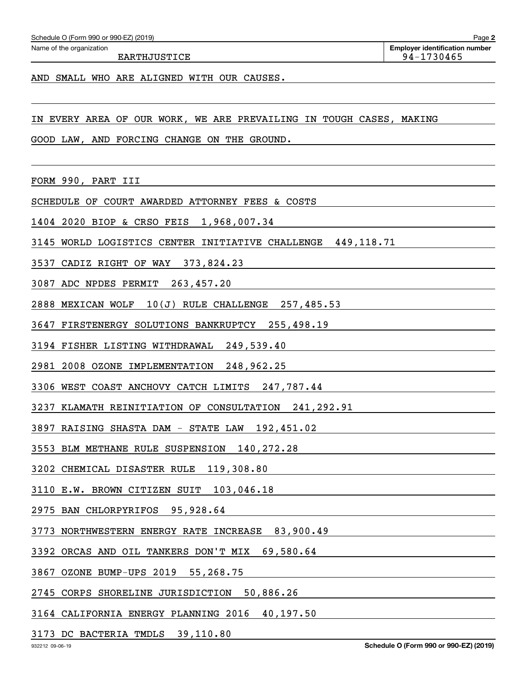EARTHJUSTICE 2012 12:00 12:00 12:00 12:00 12:00 12:00 12:00 12:00 12:00 12:00 12:00 12:00 12:00 12:00 12:00 12:00 12:00 12:00 12:00 12:00 12:00 12:00 12:00 12:00 12:00 12:00 12:00 12:00 12:00 12:00 12:00 12:00 12:00 12:00

AND SMALL WHO ARE ALIGNED WITH OUR CAUSES.

IN EVERY AREA OF OUR WORK, WE ARE PREVAILING IN TOUGH CASES, MAKING

GOOD LAW, AND FORCING CHANGE ON THE GROUND.

FORM 990, PART III

SCHEDULE OF COURT AWARDED ATTORNEY FEES & COSTS

1404 2020 BIOP & CRSO FEIS 1,968,007.34

3145 WORLD LOGISTICS CENTER INITIATIVE CHALLENGE 449,118.71

3537 CADIZ RIGHT OF WAY 373,824.23

3087 ADC NPDES PERMIT 263,457.20

2888 MEXICAN WOLF 10(J) RULE CHALLENGE 257,485.53

3647 FIRSTENERGY SOLUTIONS BANKRUPTCY 255,498.19

3194 FISHER LISTING WITHDRAWAL 249,539.40

2981 2008 OZONE IMPLEMENTATION 248,962.25

3306 WEST COAST ANCHOVY CATCH LIMITS 247,787.44

3237 KLAMATH REINITIATION OF CONSULTATION 241,292.91

3897 RAISING SHASTA DAM - STATE LAW 192,451.02

3553 BLM METHANE RULE SUSPENSION 140,272.28

3202 CHEMICAL DISASTER RULE 119,308.80

3110 E.W. BROWN CITIZEN SUIT 103,046.18

2975 BAN CHLORPYRIFOS 95,928.64

3773 NORTHWESTERN ENERGY RATE INCREASE 83,900.49

3392 ORCAS AND OIL TANKERS DON'T MIX 69,580.64

3867 OZONE BUMP-UPS 2019 55,268.75

2745 CORPS SHORELINE JURISDICTION 50,886.26

3164 CALIFORNIA ENERGY PLANNING 2016 40,197.50

3173 DC BACTERIA TMDLS 39,110.80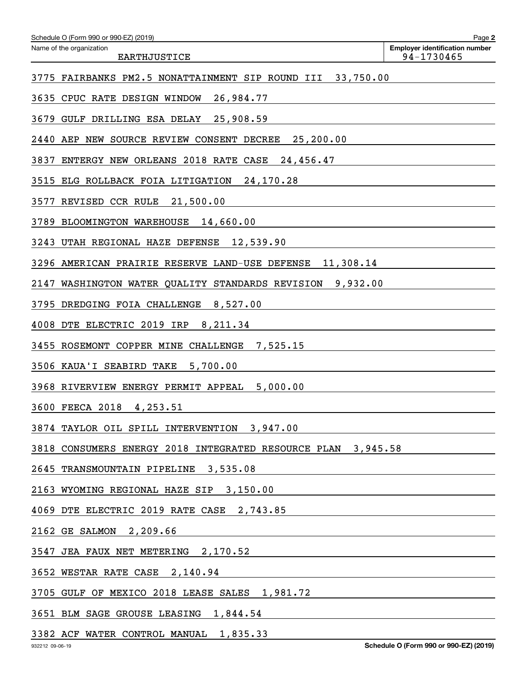| Schedule O (Form 990 or 990-EZ) (2019)                       | Page 2                                              |
|--------------------------------------------------------------|-----------------------------------------------------|
| Name of the organization<br><b>EARTHJUSTICE</b>              | <b>Employer identification number</b><br>94-1730465 |
| 3775 FAIRBANKS PM2.5 NONATTAINMENT SIP ROUND III 33,750.00   |                                                     |
| 3635 CPUC RATE DESIGN WINDOW<br>26,984.77                    |                                                     |
| 3679 GULF DRILLING ESA DELAY 25,908.59                       |                                                     |
| 2440 AEP NEW SOURCE REVIEW CONSENT DECREE 25,200.00          |                                                     |
| 3837<br>ENTERGY NEW ORLEANS 2018 RATE CASE 24,456.47         |                                                     |
| 3515 ELG ROLLBACK FOIA LITIGATION 24,170.28                  |                                                     |
| 3577 REVISED CCR RULE 21,500.00                              |                                                     |
| 3789 BLOOMINGTON WAREHOUSE 14,660.00                         |                                                     |
| 3243 UTAH REGIONAL HAZE DEFENSE 12,539.90                    |                                                     |
| 3296 AMERICAN PRAIRIE RESERVE LAND-USE DEFENSE 11,308.14     |                                                     |
| 2147 WASHINGTON WATER QUALITY STANDARDS REVISION 9,932.00    |                                                     |
| 3795 DREDGING FOIA CHALLENGE 8,527.00                        |                                                     |
| 4008 DTE ELECTRIC 2019 IRP 8,211.34                          |                                                     |
| 3455 ROSEMONT COPPER MINE CHALLENGE<br>7,525.15              |                                                     |
| 3506 KAUA'I SEABIRD TAKE<br>5,700.00                         |                                                     |
| 3968 RIVERVIEW ENERGY PERMIT APPEAL 5,000.00                 |                                                     |
| 3600 FEECA 2018 4,253.51                                     |                                                     |
| 3874 TAYLOR OIL SPILL INTERVENTION 3,947.00                  |                                                     |
| 3818 CONSUMERS ENERGY 2018 INTEGRATED RESOURCE PLAN 3,945.58 |                                                     |
| 2645 TRANSMOUNTAIN PIPELINE 3,535.08                         |                                                     |
| 2163 WYOMING REGIONAL HAZE SIP 3,150.00                      |                                                     |
| 4069 DTE ELECTRIC 2019 RATE CASE 2,743.85                    |                                                     |
| 2162 GE SALMON 2,209.66                                      |                                                     |
| 3547 JEA FAUX NET METERING 2,170.52                          |                                                     |
| 3652 WESTAR RATE CASE 2,140.94                               |                                                     |
| 3705 GULF OF MEXICO 2018 LEASE SALES 1,981.72                |                                                     |
| 3651 BLM SAGE GROUSE LEASING 1,844.54                        |                                                     |

3382 ACF WATER CONTROL MANUAL 1,835.33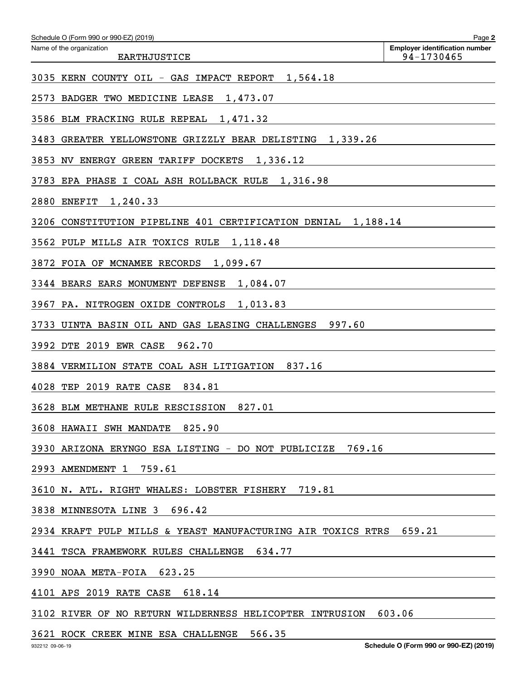| Schedule O (Form 990 or 990-EZ) (2019)                                                                                                              | Page 2                                              |
|-----------------------------------------------------------------------------------------------------------------------------------------------------|-----------------------------------------------------|
| Name of the organization<br><b>EARTHJUSTICE</b>                                                                                                     | <b>Employer identification number</b><br>94-1730465 |
| 3035 KERN COUNTY OIL - GAS IMPACT REPORT<br>1,564.18                                                                                                |                                                     |
| 2573<br>BADGER TWO MEDICINE LEASE<br>1,473.07                                                                                                       |                                                     |
| 3586 BLM FRACKING RULE REPEAL<br>1,471.32                                                                                                           |                                                     |
| 3483<br>GREATER YELLOWSTONE GRIZZLY BEAR DELISTING<br>1,339.26                                                                                      |                                                     |
| 3853 NV ENERGY GREEN TARIFF DOCKETS<br>1,336.12                                                                                                     |                                                     |
| 3783<br>EPA PHASE I COAL ASH ROLLBACK RULE<br>1,316.98                                                                                              |                                                     |
| 2880<br>1,240.33<br><b>ENEFIT</b>                                                                                                                   |                                                     |
| CONSTITUTION PIPELINE 401 CERTIFICATION DENIAL<br>1,188.14<br>3206                                                                                  |                                                     |
| 3562 PULP MILLS AIR TOXICS RULE<br>1,118.48                                                                                                         |                                                     |
| 3872 FOIA OF MCNAMEE RECORDS<br>1,099.67                                                                                                            |                                                     |
| 3344 BEARS EARS MONUMENT DEFENSE<br>1,084.07                                                                                                        |                                                     |
| 3967 PA. NITROGEN OXIDE CONTROLS<br>1,013.83                                                                                                        |                                                     |
| 997.60<br>3733 UINTA BASIN OIL AND GAS LEASING CHALLENGES                                                                                           |                                                     |
| 3992 DTE 2019 EWR CASE<br>962.70                                                                                                                    |                                                     |
| 837.16<br>3884 VERMILION STATE COAL ASH LITIGATION                                                                                                  |                                                     |
| 4028<br>TEP 2019 RATE CASE<br>834.81                                                                                                                |                                                     |
| 827.01<br>3628 BLM METHANE RULE RESCISSION                                                                                                          |                                                     |
| 3608 HAWAII SWH MANDATE 825.90                                                                                                                      |                                                     |
| 3930 ARIZONA ERYNGO ESA LISTING - DO NOT PUBLICIZE 769.16                                                                                           |                                                     |
| 2993 AMENDMENT 1 759.61                                                                                                                             |                                                     |
| 3610 N. ATL. RIGHT WHALES: LOBSTER FISHERY 719.81                                                                                                   |                                                     |
| 3838 MINNESOTA LINE 3 696.42                                                                                                                        |                                                     |
| 2934 KRAFT PULP MILLS & YEAST MANUFACTURING AIR TOXICS RTRS 659.21                                                                                  |                                                     |
| 3441 TSCA FRAMEWORK RULES CHALLENGE 634.77                                                                                                          |                                                     |
| 3990 NOAA META-FOIA 623.25<br><u> 1989 - Johann Harry Harry Harry Harry Harry Harry Harry Harry Harry Harry Harry Harry Harry Harry Harry Harry</u> |                                                     |
| 4101 APS 2019 RATE CASE 618.14                                                                                                                      |                                                     |
| 3102 RIVER OF NO RETURN WILDERNESS HELICOPTER INTRUSION 603.06                                                                                      |                                                     |
|                                                                                                                                                     |                                                     |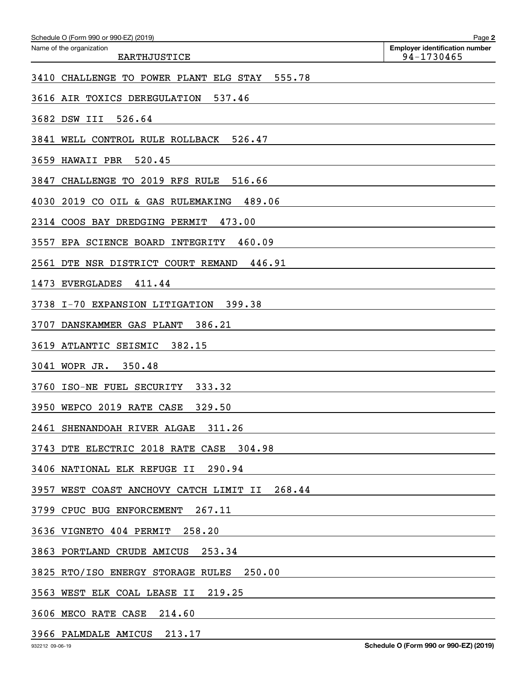| Name of the organization<br><b>Employer identification number</b><br>94-1730465<br><b>EARTHJUSTICE</b> |  |
|--------------------------------------------------------------------------------------------------------|--|
|                                                                                                        |  |
| 3410 CHALLENGE TO POWER PLANT ELG STAY<br>555.78                                                       |  |
| 537.46<br>3616 AIR TOXICS DEREGULATION                                                                 |  |
| 3682 DSW III<br>526.64                                                                                 |  |
| 3841<br>WELL CONTROL RULE ROLLBACK<br>526.47                                                           |  |
| 520.45<br>3659<br>HAWAII PBR                                                                           |  |
| CHALLENGE TO 2019 RFS RULE<br>3847<br>516.66                                                           |  |
| 489.06<br>4030<br>2019 CO OIL & GAS RULEMAKING                                                         |  |
| 473.00<br>2314<br>COOS BAY DREDGING PERMIT                                                             |  |
| 460.09<br>3557<br>EPA SCIENCE BOARD<br>INTEGRITY                                                       |  |
| 2561<br>446.91<br>DTE NSR DISTRICT COURT REMAND                                                        |  |
| 1473<br><b>EVERGLADES</b><br>411.44                                                                    |  |
| 399.38<br>3738<br>I-70 EXPANSION LITIGATION                                                            |  |
| 386.21<br>3707<br>DANSKAMMER GAS PLANT                                                                 |  |
| 3619<br>382.15<br>ATLANTIC SEISMIC                                                                     |  |
| 350.48<br>3041<br>WOPR JR.                                                                             |  |
| 3760<br>333.32<br>ISO-NE FUEL SECURITY                                                                 |  |
| 329.50<br>3950 WEPCO 2019 RATE CASE                                                                    |  |
| 2461 SHENANDOAH RIVER ALGAE<br>311.26                                                                  |  |
| 3743 DTE ELECTRIC 2018 RATE CASE<br>304.98                                                             |  |
| 3406 NATIONAL ELK REFUGE II<br>290.94                                                                  |  |
| 268.44<br>3957 WEST COAST ANCHOVY CATCH LIMIT II                                                       |  |
| 267.11<br>3799 CPUC BUG ENFORCEMENT                                                                    |  |
| 3636 VIGNETO 404 PERMIT<br>258.20                                                                      |  |
| 3863 PORTLAND CRUDE AMICUS<br>253.34                                                                   |  |
| 250.00<br>3825 RTO/ISO ENERGY STORAGE RULES                                                            |  |
| 219.25<br>3563 WEST ELK COAL LEASE II                                                                  |  |
| 3606 MECO RATE CASE<br>214.60                                                                          |  |

3966 PALMDALE AMICUS 213.17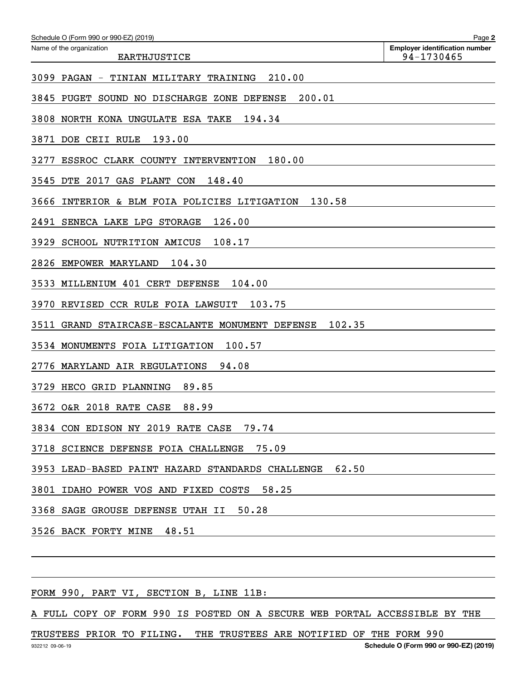| Schedule O (Form 990 or 990-EZ) (2019)                       | Page 2                                              |
|--------------------------------------------------------------|-----------------------------------------------------|
| Name of the organization<br><b>EARTHJUSTICE</b>              | <b>Employer identification number</b><br>94-1730465 |
| 210.00<br>3099 PAGAN - TINIAN MILITARY TRAINING              |                                                     |
| 200.01<br>3845 PUGET SOUND NO DISCHARGE ZONE DEFENSE         |                                                     |
| 194.34<br>3808 NORTH KONA UNGULATE ESA TAKE                  |                                                     |
| 193.00<br>3871<br>DOE CEII RULE                              |                                                     |
| ESSROC CLARK COUNTY INTERVENTION<br>180.00<br>3277           |                                                     |
| 148.40<br>3545 DTE 2017 GAS PLANT CON                        |                                                     |
| 3666<br>INTERIOR & BLM FOIA POLICIES LITIGATION<br>130.58    |                                                     |
| 126.00<br>2491<br>SENECA LAKE LPG STORAGE                    |                                                     |
| 108.17<br>3929<br>SCHOOL NUTRITION AMICUS                    |                                                     |
| 2826<br>EMPOWER MARYLAND<br>104.30                           |                                                     |
| MILLENIUM 401 CERT DEFENSE<br>3533<br>104.00                 |                                                     |
| 103.75<br>3970<br>REVISED CCR RULE FOIA LAWSUIT              |                                                     |
| 102.35<br>3511<br>GRAND STAIRCASE-ESCALANTE MONUMENT DEFENSE |                                                     |
| 100.57<br>3534 MONUMENTS FOIA LITIGATION                     |                                                     |
| 94.08<br>2776<br>MARYLAND AIR REGULATIONS                    |                                                     |
| 3729<br>89.85<br>HECO GRID PLANNING                          |                                                     |
| 3672 O&R 2018 RATE CASE<br>88.99                             |                                                     |
| 3834 CON EDISON NY 2019 RATE CASE 79.74                      |                                                     |
| 75.09<br>3718 SCIENCE DEFENSE FOIA CHALLENGE                 |                                                     |
| 3953 LEAD-BASED PAINT HAZARD STANDARDS CHALLENGE 62.50       |                                                     |
| 3801 IDAHO POWER VOS AND FIXED COSTS 58.25                   |                                                     |
| 50.28<br>3368 SAGE GROUSE DEFENSE UTAH II                    |                                                     |
| 3526 BACK FORTY MINE<br>48.51                                |                                                     |
|                                                              |                                                     |
|                                                              |                                                     |

FORM 990, PART VI, SECTION B, LINE 11B:

A FULL COPY OF FORM 990 IS POSTED ON A SECURE WEB PORTAL ACCESSIBLE BY THE

TRUSTEES PRIOR TO FILING. THE TRUSTEES ARE NOTIFIED OF THE FORM 990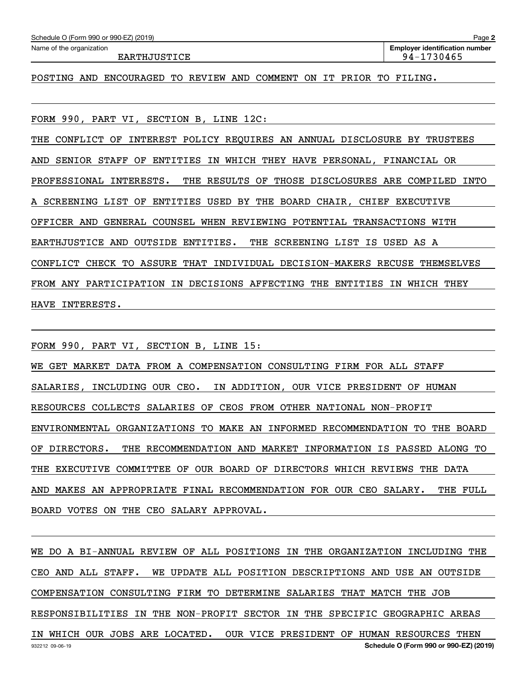| Schedule O (Form 990 or 990-EZ) (2019)                              | Page 2                                              |
|---------------------------------------------------------------------|-----------------------------------------------------|
| Name of the organization<br>EARTHJUSTICE                            | <b>Employer identification number</b><br>94-1730465 |
| POSTING AND ENCOURAGED TO REVIEW AND COMMENT ON IT PRIOR TO FILING. |                                                     |
| FORM 990, PART VI, SECTION B, LINE 12C:                             |                                                     |

THE CONFLICT OF INTEREST POLICY REQUIRES AN ANNUAL DISCLOSURE BY TRUSTEES AND SENIOR STAFF OF ENTITIES IN WHICH THEY HAVE PERSONAL, FINANCIAL OR PROFESSIONAL INTERESTS. THE RESULTS OF THOSE DISCLOSURES ARE COMPILED INTO A SCREENING LIST OF ENTITIES USED BY THE BOARD CHAIR, CHIEF EXECUTIVE OFFICER AND GENERAL COUNSEL WHEN REVIEWING POTENTIAL TRANSACTIONS WITH EARTHJUSTICE AND OUTSIDE ENTITIES. THE SCREENING LIST IS USED AS A CONFLICT CHECK TO ASSURE THAT INDIVIDUAL DECISION-MAKERS RECUSE THEMSELVES FROM ANY PARTICIPATION IN DECISIONS AFFECTING THE ENTITIES IN WHICH THEY HAVE INTERESTS.

FORM 990, PART VI, SECTION B, LINE 15:

WE GET MARKET DATA FROM A COMPENSATION CONSULTING FIRM FOR ALL STAFF SALARIES, INCLUDING OUR CEO. IN ADDITION, OUR VICE PRESIDENT OF HUMAN RESOURCES COLLECTS SALARIES OF CEOS FROM OTHER NATIONAL NON-PROFIT ENVIRONMENTAL ORGANIZATIONS TO MAKE AN INFORMED RECOMMENDATION TO THE BOARD OF DIRECTORS. THE RECOMMENDATION AND MARKET INFORMATION IS PASSED ALONG TO THE EXECUTIVE COMMITTEE OF OUR BOARD OF DIRECTORS WHICH REVIEWS THE DATA AND MAKES AN APPROPRIATE FINAL RECOMMENDATION FOR OUR CEO SALARY. THE FULL BOARD VOTES ON THE CEO SALARY APPROVAL.

932212 09-06-19 **Schedule O (Form 990 or 990-EZ) (2019)** WE DO A BI-ANNUAL REVIEW OF ALL POSITIONS IN THE ORGANIZATION INCLUDING THE CEO AND ALL STAFF. WE UPDATE ALL POSITION DESCRIPTIONS AND USE AN OUTSIDE COMPENSATION CONSULTING FIRM TO DETERMINE SALARIES THAT MATCH THE JOB RESPONSIBILITIES IN THE NON-PROFIT SECTOR IN THE SPECIFIC GEOGRAPHIC AREAS IN WHICH OUR JOBS ARE LOCATED. OUR VICE PRESIDENT OF HUMAN RESOURCES THEN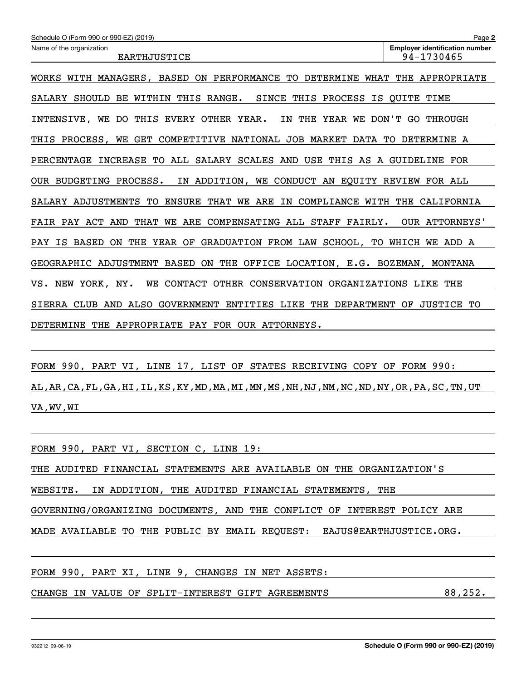| Schedule O (Form 990 or 990-EZ) (2019)                                                       | Page 2                                |
|----------------------------------------------------------------------------------------------|---------------------------------------|
| Name of the organization                                                                     | <b>Employer identification number</b> |
| <b>EARTHJUSTICE</b>                                                                          | 94-1730465                            |
| WORKS WITH MANAGERS, BASED ON PERFORMANCE TO DETERMINE WHAT THE APPROPRIATE                  |                                       |
| SALARY SHOULD BE WITHIN THIS RANGE.<br>SINCE THIS PROCESS IS OUITE TIME                      |                                       |
| IN THE YEAR WE DON'T GO THROUGH<br>INTENSIVE, WE DO THIS EVERY OTHER YEAR.                   |                                       |
| THIS PROCESS, WE GET COMPETITIVE NATIONAL JOB MARKET DATA TO DETERMINE A                     |                                       |
| PERCENTAGE INCREASE TO ALL SALARY SCALES AND USE THIS AS A GUIDELINE FOR                     |                                       |
| IN ADDITION, WE CONDUCT AN EQUITY REVIEW FOR ALL<br>OUR BUDGETING PROCESS.                   |                                       |
| SALARY ADJUSTMENTS TO ENSURE THAT WE ARE IN COMPLIANCE WITH THE CALIFORNIA                   |                                       |
| FAIR PAY ACT AND<br>THAT WE ARE COMPENSATING ALL STAFF FAIRLY.                               | OUR ATTORNEYS'                        |
| GRADUATION FROM LAW SCHOOL, TO WHICH WE ADD A<br>PAY IS BASED<br><b>ON</b><br>THE<br>YEAR OF |                                       |
| GEOGRAPHIC ADJUSTMENT BASED<br>ON THE OFFICE LOCATION, E.G. BOZEMAN, MONTANA                 |                                       |
| CONTACT<br>OTHER CONSERVATION ORGANIZATIONS LIKE<br>NEW YORK, NY.<br>WE<br>vs.               | THE                                   |
| SIERRA CLUB AND ALSO GOVERNMENT ENTITIES LIKE THE DEPARTMENT OF                              | <b>JUSTICE TO</b>                     |
| DETERMINE<br>THE APPROPRIATE PAY FOR OUR ATTORNEYS.                                          |                                       |
|                                                                                              |                                       |

FORM 990, PART VI, LINE 17, LIST OF STATES RECEIVING COPY OF FORM 990: AL,AR,CA,FL,GA,HI,IL,KS,KY,MD,MA,MI,MN,MS,NH,NJ,NM,NC,ND,NY,OR,PA,SC,TN,UT VA,WV,WI

| FORM 990, PART VI, SECTION C, LINE 19:                                  |  |
|-------------------------------------------------------------------------|--|
| THE AUDITED FINANCIAL STATEMENTS ARE AVAILABLE ON THE ORGANIZATION'S    |  |
| IN ADDITION, THE AUDITED FINANCIAL STATEMENTS, THE<br>WEBSITE.          |  |
| GOVERNING/ORGANIZING DOCUMENTS, AND THE CONFLICT OF INTEREST POLICY ARE |  |
| MADE AVAILABLE TO THE PUBLIC BY EMAIL REQUEST: EAJUS@EARTHJUSTICE.ORG.  |  |
|                                                                         |  |
| FORM 990, PART XI, LINE 9, CHANGES IN NET ASSETS:                       |  |
| 88,252.<br>CHANGE IN VALUE OF SPLIT-INTEREST GIFT AGREEMENTS            |  |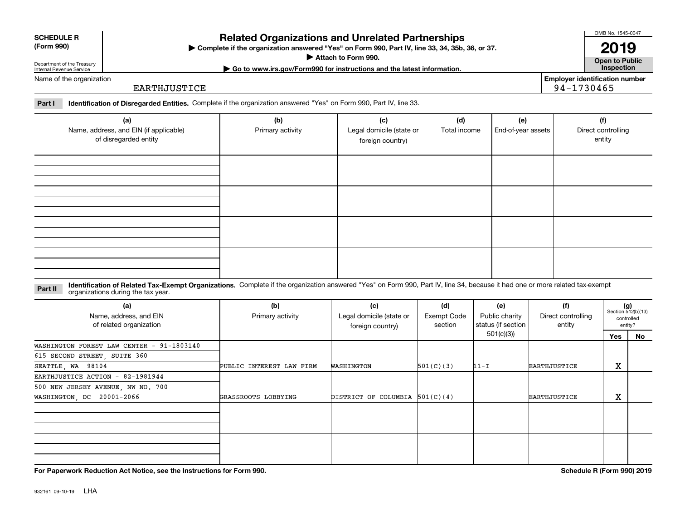| <b>SCHEDULE R</b> |
|-------------------|
| ----              |

**(Form 990)**

# **Related Organizations and Unrelated Partnerships**

**Complete if the organization answered "Yes" on Form 990, Part IV, line 33, 34, 35b, 36, or 37.** |

**Attach to Form 990.**  |

OMB No. 1545-0047 **2019**

**Open to Public | Go to www.irs.gov/Form990 for instructions and the latest information. Inspection**

Department of the Treasury Internal Revenue Service Name of the organization

**Employer identification number** 94-1730465

**Part I Identification of Disregarded Entities.**  Complete if the organization answered "Yes" on Form 990, Part IV, line 33.

EARTHJUSTICE

| (a)<br>Name, address, and EIN (if applicable)<br>of disregarded entity | (b)<br>Primary activity | (c)<br>Legal domicile (state or<br>foreign country) | (d)<br>Total income | (e)<br>End-of-year assets | (f)<br>Direct controlling<br>entity |
|------------------------------------------------------------------------|-------------------------|-----------------------------------------------------|---------------------|---------------------------|-------------------------------------|
|                                                                        |                         |                                                     |                     |                           |                                     |
|                                                                        |                         |                                                     |                     |                           |                                     |
|                                                                        |                         |                                                     |                     |                           |                                     |
|                                                                        |                         |                                                     |                     |                           |                                     |

#### **Identification of Related Tax-Exempt Organizations.** Complete if the organization answered "Yes" on Form 990, Part IV, line 34, because it had one or more related tax-exempt **Part II** organizations during the tax year.

| (a)<br>Name, address, and EIN<br>of related organization | (b)<br>Primary activity  | (c)<br>Legal domicile (state or<br>foreign country) | (d)<br>Exempt Code<br>section | (e)<br>Public charity<br>status (if section | (f)<br>Direct controlling<br>entity | $(g)$<br>Section 512(b)(13)<br>entity? | controlled |
|----------------------------------------------------------|--------------------------|-----------------------------------------------------|-------------------------------|---------------------------------------------|-------------------------------------|----------------------------------------|------------|
|                                                          |                          |                                                     |                               | 501(c)(3)                                   |                                     | Yes                                    | No         |
| WASHINGTON FOREST LAW CENTER - 91-1803140                |                          |                                                     |                               |                                             |                                     |                                        |            |
| 615 SECOND STREET, SUITE 360                             |                          |                                                     |                               |                                             |                                     |                                        |            |
| SEATTLE, WA 98104                                        | PUBLIC INTEREST LAW FIRM | WASHINGTON                                          | 501(C)(3)                     | $11-I$                                      | <b>EARTHJUSTICE</b>                 | х                                      |            |
| EARTHJUSTICE ACTION - 82-1981944                         |                          |                                                     |                               |                                             |                                     |                                        |            |
| 500 NEW JERSEY AVENUE, NW NO. 700                        |                          |                                                     |                               |                                             |                                     |                                        |            |
| WASHINGTON, DC 20001-2066                                | GRASSROOTS LOBBYING      | DISTRICT OF COLUMBIA $501(C)(4)$                    |                               |                                             | EARTHJUSTICE                        | х                                      |            |
|                                                          |                          |                                                     |                               |                                             |                                     |                                        |            |
|                                                          |                          |                                                     |                               |                                             |                                     |                                        |            |
|                                                          |                          |                                                     |                               |                                             |                                     |                                        |            |
|                                                          |                          |                                                     |                               |                                             |                                     |                                        |            |

**For Paperwork Reduction Act Notice, see the Instructions for Form 990. Schedule R (Form 990) 2019**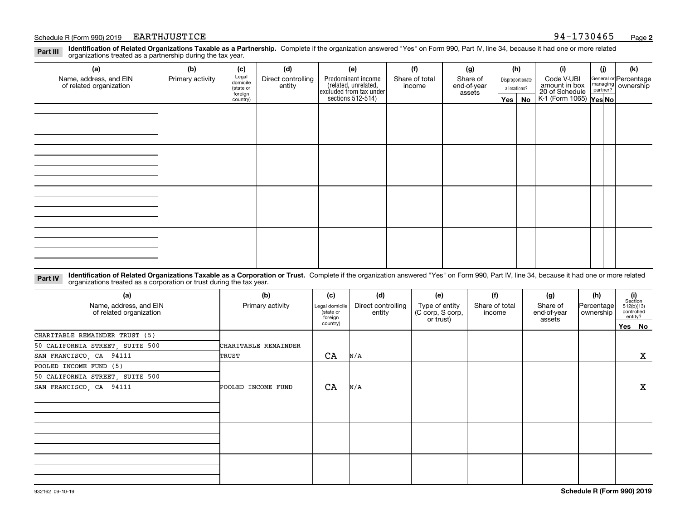#### Schedule R (Form 990) 2019 EARTHJUSTICE (San Francisco Page 1730465) EARTHJUSTICE

**Identification of Related Organizations Taxable as a Partnership.** Complete if the organization answered "Yes" on Form 990, Part IV, line 34, because it had one or more related **Part III** organizations treated as a partnership during the tax year.

| (b)              | (c)       | (d)                          | (e)                | (f)            | (g)                                                                           |                       |    | (i)            | (j)                               | (k)                                                            |  |  |  |  |  |  |  |  |  |  |  |  |  |  |  |  |  |  |  |  |  |
|------------------|-----------|------------------------------|--------------------|----------------|-------------------------------------------------------------------------------|-----------------------|----|----------------|-----------------------------------|----------------------------------------------------------------|--|--|--|--|--|--|--|--|--|--|--|--|--|--|--|--|--|--|--|--|--|
| Primary activity |           | Direct controlling           | Predominant income | Share of total | Share of                                                                      |                       |    | Code V-UBI     |                                   | General or Percentage                                          |  |  |  |  |  |  |  |  |  |  |  |  |  |  |  |  |  |  |  |  |  |
|                  | (state or |                              |                    |                |                                                                               | allocations?          |    |                |                                   |                                                                |  |  |  |  |  |  |  |  |  |  |  |  |  |  |  |  |  |  |  |  |  |
|                  | country)  |                              |                    |                |                                                                               |                       | No |                |                                   |                                                                |  |  |  |  |  |  |  |  |  |  |  |  |  |  |  |  |  |  |  |  |  |
|                  |           |                              |                    |                |                                                                               |                       |    |                |                                   |                                                                |  |  |  |  |  |  |  |  |  |  |  |  |  |  |  |  |  |  |  |  |  |
|                  |           |                              |                    |                |                                                                               |                       |    |                |                                   |                                                                |  |  |  |  |  |  |  |  |  |  |  |  |  |  |  |  |  |  |  |  |  |
|                  |           |                              |                    |                |                                                                               |                       |    |                |                                   |                                                                |  |  |  |  |  |  |  |  |  |  |  |  |  |  |  |  |  |  |  |  |  |
|                  |           |                              |                    |                |                                                                               |                       |    |                |                                   |                                                                |  |  |  |  |  |  |  |  |  |  |  |  |  |  |  |  |  |  |  |  |  |
|                  |           |                              |                    |                |                                                                               |                       |    |                |                                   |                                                                |  |  |  |  |  |  |  |  |  |  |  |  |  |  |  |  |  |  |  |  |  |
|                  |           |                              |                    |                |                                                                               |                       |    |                |                                   |                                                                |  |  |  |  |  |  |  |  |  |  |  |  |  |  |  |  |  |  |  |  |  |
|                  |           |                              |                    |                |                                                                               |                       |    |                |                                   |                                                                |  |  |  |  |  |  |  |  |  |  |  |  |  |  |  |  |  |  |  |  |  |
|                  |           |                              |                    |                |                                                                               |                       |    |                |                                   |                                                                |  |  |  |  |  |  |  |  |  |  |  |  |  |  |  |  |  |  |  |  |  |
|                  |           |                              |                    |                |                                                                               |                       |    |                |                                   |                                                                |  |  |  |  |  |  |  |  |  |  |  |  |  |  |  |  |  |  |  |  |  |
|                  |           |                              |                    |                |                                                                               |                       |    |                |                                   |                                                                |  |  |  |  |  |  |  |  |  |  |  |  |  |  |  |  |  |  |  |  |  |
|                  |           |                              |                    |                |                                                                               |                       |    |                |                                   |                                                                |  |  |  |  |  |  |  |  |  |  |  |  |  |  |  |  |  |  |  |  |  |
|                  |           |                              |                    |                |                                                                               |                       |    |                |                                   |                                                                |  |  |  |  |  |  |  |  |  |  |  |  |  |  |  |  |  |  |  |  |  |
|                  |           |                              |                    |                |                                                                               |                       |    |                |                                   |                                                                |  |  |  |  |  |  |  |  |  |  |  |  |  |  |  |  |  |  |  |  |  |
|                  |           |                              |                    |                |                                                                               |                       |    |                |                                   |                                                                |  |  |  |  |  |  |  |  |  |  |  |  |  |  |  |  |  |  |  |  |  |
|                  |           |                              |                    |                |                                                                               |                       |    |                |                                   |                                                                |  |  |  |  |  |  |  |  |  |  |  |  |  |  |  |  |  |  |  |  |  |
|                  |           |                              |                    |                |                                                                               |                       |    |                |                                   |                                                                |  |  |  |  |  |  |  |  |  |  |  |  |  |  |  |  |  |  |  |  |  |
|                  |           | Legal<br>domicile<br>foreign | entity             |                | related, unrelated,<br>excluded from tax under<br>sections 512-514)<br>income | end-of-year<br>assets |    | (h)<br>Yes $ $ | Disproportionate<br>amount in box | managing ownership<br>20 of Schedule<br>K-1 (Form 1065) Yes No |  |  |  |  |  |  |  |  |  |  |  |  |  |  |  |  |  |  |  |  |  |

**Identification of Related Organizations Taxable as a Corporation or Trust.** Complete if the organization answered "Yes" on Form 990, Part IV, line 34, because it had one or more related **Part IV** organizations treated as a corporation or trust during the tax year.

| (a)<br>Name, address, and EIN<br>of related organization | (b)<br>Primary activity | (c)<br>(d)<br>Direct controlling<br>Legal domicile<br>(state or<br>entity<br>foreign |     | (e)<br>Type of entity<br>(C corp, S corp,<br>or trust) | (f)<br>Share of total<br>income | (g)<br>Share of<br>end-of-year<br>assets | (h)<br> Percentage <br>ownership | (i)<br>Section<br>512(b)(13)<br>controlled<br>entity? |
|----------------------------------------------------------|-------------------------|--------------------------------------------------------------------------------------|-----|--------------------------------------------------------|---------------------------------|------------------------------------------|----------------------------------|-------------------------------------------------------|
|                                                          |                         | country)                                                                             |     |                                                        |                                 |                                          |                                  | Yes   No                                              |
| CHARITABLE REMAINDER TRUST (5)                           |                         |                                                                                      |     |                                                        |                                 |                                          |                                  |                                                       |
| 50 CALIFORNIA STREET, SUITE 500                          | CHARITABLE REMAINDER    |                                                                                      |     |                                                        |                                 |                                          |                                  |                                                       |
| SAN FRANCISCO, CA 94111                                  | TRUST                   | CA                                                                                   | N/A |                                                        |                                 |                                          |                                  | X                                                     |
| POOLED INCOME FUND (5)                                   |                         |                                                                                      |     |                                                        |                                 |                                          |                                  |                                                       |
| 50 CALIFORNIA STREET, SUITE 500                          |                         |                                                                                      |     |                                                        |                                 |                                          |                                  |                                                       |
| SAN FRANCISCO, CA 94111                                  | POOLED INCOME FUND      | CA                                                                                   | N/A |                                                        |                                 |                                          |                                  | $\mathbf{x}$                                          |
|                                                          |                         |                                                                                      |     |                                                        |                                 |                                          |                                  |                                                       |
|                                                          |                         |                                                                                      |     |                                                        |                                 |                                          |                                  |                                                       |
|                                                          |                         |                                                                                      |     |                                                        |                                 |                                          |                                  |                                                       |
|                                                          |                         |                                                                                      |     |                                                        |                                 |                                          |                                  |                                                       |
|                                                          |                         |                                                                                      |     |                                                        |                                 |                                          |                                  |                                                       |
|                                                          |                         |                                                                                      |     |                                                        |                                 |                                          |                                  |                                                       |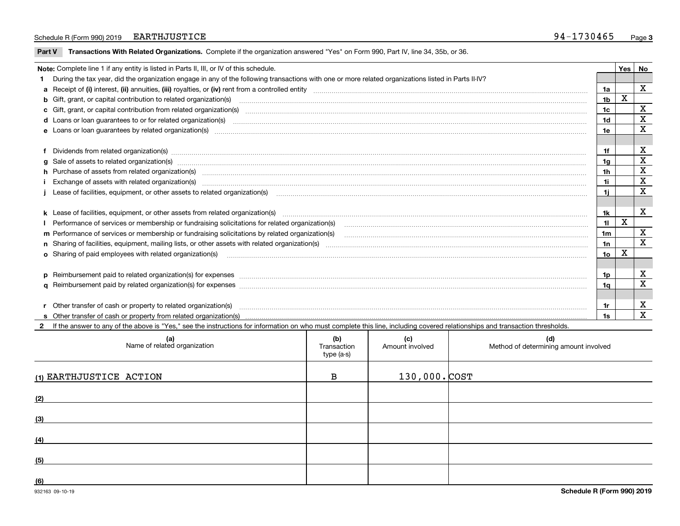#### Schedule R (Form 990) 2019 EARTHJUSTICE 30 and 50 and 50 and 50 and 50 and 50 and 50 and 50 and 50 and 50 and 50 and 50 and 50 and 50 and 50 and 50 and 50 and 50 and 50 and 50 and 50 and 50 and 50 and 50 and 50 and 50 and EARTHJUSTICE 94-1730465

 $\overline{\phantom{a}}$ 

**Part V** T**ransactions With Related Organizations.** Complete if the organization answered "Yes" on Form 990, Part IV, line 34, 35b, or 36.

| Note: Complete line 1 if any entity is listed in Parts II, III, or IV of this schedule.                                                                                                                                        |                | Yes | No                      |
|--------------------------------------------------------------------------------------------------------------------------------------------------------------------------------------------------------------------------------|----------------|-----|-------------------------|
| 1 During the tax year, did the organization engage in any of the following transactions with one or more related organizations listed in Parts II-IV?                                                                          |                |     |                         |
|                                                                                                                                                                                                                                | 1a             |     | X                       |
| <b>b</b> Gift, grant, or capital contribution to related organization(s)                                                                                                                                                       | 1 <sub>b</sub> | X   |                         |
| c Gift, grant, or capital contribution from related organization(s) manufaction contribution from related organization(s) manufaction contribution from related organization(s) manufaction contribution from related organiza | 1c             |     | X                       |
| <b>d</b> Loans or loan quarantees to or for related organization(s)                                                                                                                                                            | 1d             |     | X                       |
| <b>e</b> Loans or loan quarantees by related organization(s)                                                                                                                                                                   | 1e             |     | X                       |
|                                                                                                                                                                                                                                |                |     |                         |
|                                                                                                                                                                                                                                | 1f             |     | X                       |
| g Sale of assets to related organization(s) material content and content and content and content and content and content and content and content and content and content and content and content and content and content and c | 1g             |     | х                       |
| h Purchase of assets from related organization(s) manufactured content to the content of the content of the content of the content of the content of the content of the content of the content of the content of the content o | 1h             |     | X                       |
|                                                                                                                                                                                                                                | 1i             |     | X                       |
|                                                                                                                                                                                                                                | 1i             |     | $\overline{\mathbf{X}}$ |
|                                                                                                                                                                                                                                |                |     |                         |
|                                                                                                                                                                                                                                | 1k             |     | х                       |
| Performance of services or membership or fundraising solicitations for related organization(s)                                                                                                                                 | 11             | X   |                         |
| m Performance of services or membership or fundraising solicitations by related organization(s)                                                                                                                                | 1m             |     | х                       |
|                                                                                                                                                                                                                                | 1n             |     | X                       |
| o Sharing of paid employees with related organization(s)                                                                                                                                                                       | 10             | X   |                         |
|                                                                                                                                                                                                                                |                |     |                         |
| p Reimbursement paid to related organization(s) for expenses [1111] and the content of the content of the content of the content of the content of the content of the content of the content of the content of the content of  | 1p             |     | х                       |
|                                                                                                                                                                                                                                | 1a             |     | X                       |
|                                                                                                                                                                                                                                |                |     |                         |
| r Other transfer of cash or property to related organization(s)                                                                                                                                                                |                |     | х                       |
| <b>s</b> Other transfer of cash or property from related organization(s)                                                                                                                                                       | 1s             |     | X                       |

**2**If the answer to any of the above is "Yes," see the instructions for information on who must complete this line, including covered relationships and transaction thresholds.

| (a)<br>Name of related organization | (b)<br>Transaction<br>type (a-s) | (c)<br>Amount involved | (d)<br>Method of determining amount involved |
|-------------------------------------|----------------------------------|------------------------|----------------------------------------------|
| (1) EARTHJUSTICE ACTION             | в                                | $130,000.$ $COST$      |                                              |
| (2)                                 |                                  |                        |                                              |
| (3)                                 |                                  |                        |                                              |
| (4)                                 |                                  |                        |                                              |
| (5)                                 |                                  |                        |                                              |
| (6)                                 |                                  |                        |                                              |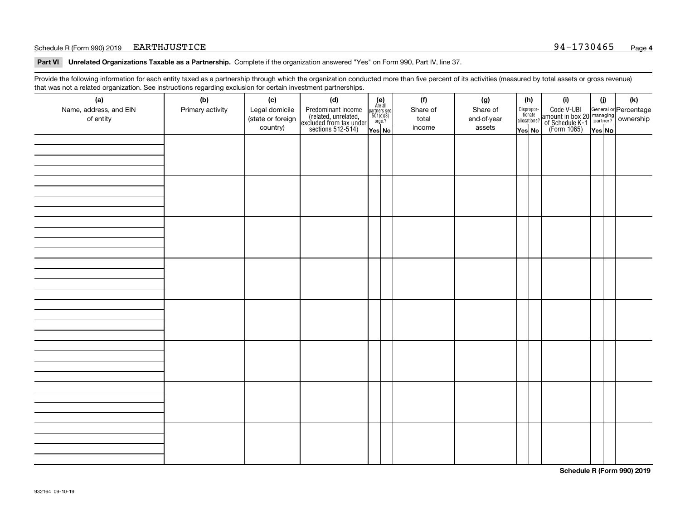#### Schedule R (Form 990) 2019 Page EARTHJUSTICE 94-1730465

**Part VI Unrelated Organizations Taxable as a Partnership. Complete if the organization answered "Yes" on Form 990, Part IV, line 37.** 

Provide the following information for each entity taxed as a partnership through which the organization conducted more than five percent of its activities (measured by total assets or gross revenue) that was not a related organization. See instructions regarding exclusion for certain investment partnerships.

| $\overline{\phantom{0}}$<br>(a)<br>Name, address, and EIN<br>of entity | ັ<br>ັ<br>(b)<br>Primary activity | (c)<br>Legal domicile<br>(state or foreign<br>country) | (d)<br>Predominant income<br>(related, unrelated,<br>excluded from tax under<br>sections 512-514) | (e)<br>Are all<br>$\begin{array}{c}\n\text{partners} & \text{sec.} \\ 501(c)(3) & \text{orgs.?} \n\end{array}$<br>Yes No | (f)<br>Share of<br>total<br>income | (g)<br>Share of<br>end-of-year<br>assets | (h)<br>Dispropor-<br>tionate<br>allocations?<br>Yes No | (i)<br>Code V-UBI<br>  amount in box 20 managing<br>  of Schedule K-1 partner? ownership<br>  of Schedule K-1 partner? ownership<br>  Yes No | (i)<br>Yes No | (k) |
|------------------------------------------------------------------------|-----------------------------------|--------------------------------------------------------|---------------------------------------------------------------------------------------------------|--------------------------------------------------------------------------------------------------------------------------|------------------------------------|------------------------------------------|--------------------------------------------------------|----------------------------------------------------------------------------------------------------------------------------------------------|---------------|-----|
|                                                                        |                                   |                                                        |                                                                                                   |                                                                                                                          |                                    |                                          |                                                        |                                                                                                                                              |               |     |
|                                                                        |                                   |                                                        |                                                                                                   |                                                                                                                          |                                    |                                          |                                                        |                                                                                                                                              |               |     |
|                                                                        |                                   |                                                        |                                                                                                   |                                                                                                                          |                                    |                                          |                                                        |                                                                                                                                              |               |     |
|                                                                        |                                   |                                                        |                                                                                                   |                                                                                                                          |                                    |                                          |                                                        |                                                                                                                                              |               |     |
|                                                                        |                                   |                                                        |                                                                                                   |                                                                                                                          |                                    |                                          |                                                        |                                                                                                                                              |               |     |
|                                                                        |                                   |                                                        |                                                                                                   |                                                                                                                          |                                    |                                          |                                                        |                                                                                                                                              |               |     |
|                                                                        |                                   |                                                        |                                                                                                   |                                                                                                                          |                                    |                                          |                                                        |                                                                                                                                              |               |     |
|                                                                        |                                   |                                                        |                                                                                                   |                                                                                                                          |                                    |                                          |                                                        |                                                                                                                                              |               |     |

**Schedule R (Form 990) 2019**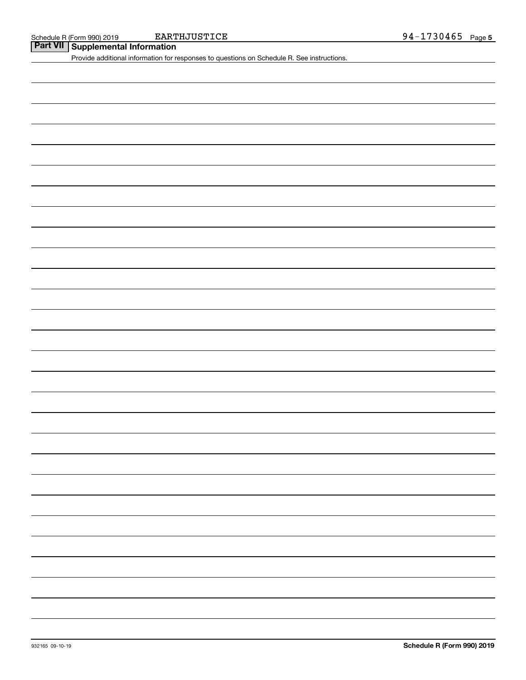**Part VII Supplemental Information**

Provide additional information for responses to questions on Schedule R. See instructions.